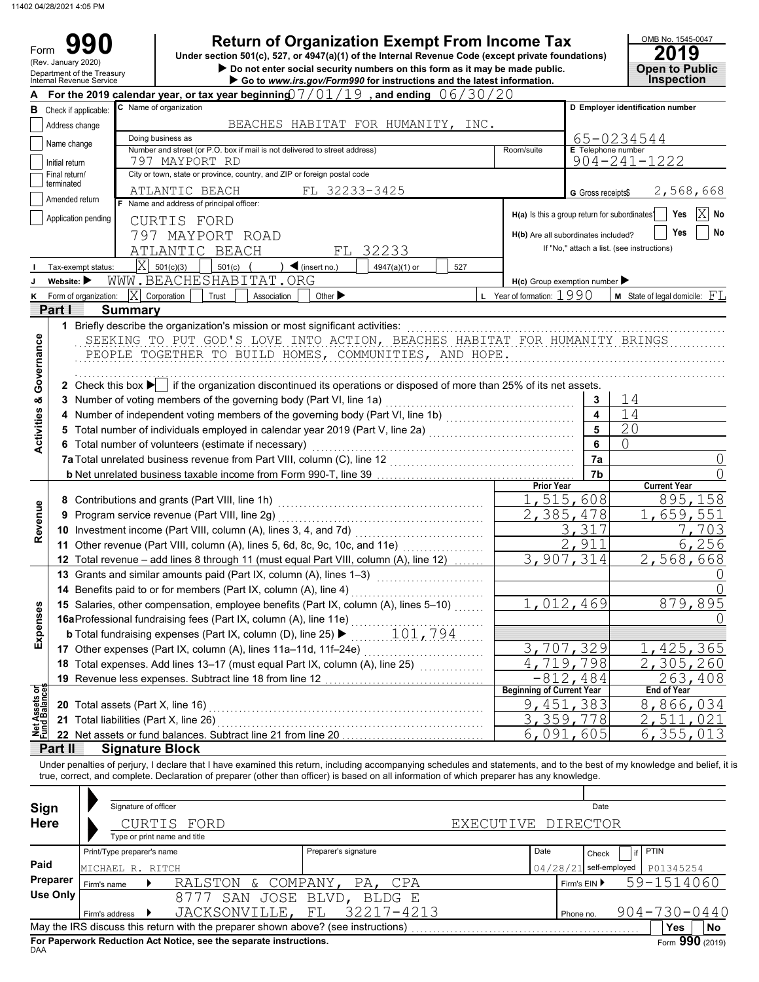Form 990

**990 2019 2019 2019 2019 2019 Depend From Income Tax 2019 Depend on Find Attack Conder section 501(c), 527, or 4947(a)(1) of the Internal Revenue Code (except private foundations)** 

| onder section bu $(c)$ , 527, or 4947(a)(1) or the internal Kevende Code (except private foundations)<br>(Rev. January 2020)<br>Do not enter social security numbers on this form as it may be made public. |                                                                                                            |                         |                        |                                                                            |             |                                   | LU I J<br><b>Open to Public</b>                                                                                                                                            |     |                                                     |                         |                                               |                                        |
|-------------------------------------------------------------------------------------------------------------------------------------------------------------------------------------------------------------|------------------------------------------------------------------------------------------------------------|-------------------------|------------------------|----------------------------------------------------------------------------|-------------|-----------------------------------|----------------------------------------------------------------------------------------------------------------------------------------------------------------------------|-----|-----------------------------------------------------|-------------------------|-----------------------------------------------|----------------------------------------|
| Department of the Treasury<br>Internal Revenue Service<br>Go to www.irs.gov/Form990 for instructions and the latest information.                                                                            |                                                                                                            |                         |                        |                                                                            |             |                                   | <b>Inspection</b>                                                                                                                                                          |     |                                                     |                         |                                               |                                        |
|                                                                                                                                                                                                             | For the 2019 calendar year, or tax year beginning $7/01/19$ , and ending $06/30/20$                        |                         |                        |                                                                            |             |                                   |                                                                                                                                                                            |     |                                                     |                         |                                               |                                        |
| в                                                                                                                                                                                                           | Check if applicable:                                                                                       |                         | C Name of organization |                                                                            |             |                                   |                                                                                                                                                                            |     |                                                     |                         | D Employer identification number              |                                        |
|                                                                                                                                                                                                             | Address change                                                                                             |                         |                        |                                                                            |             |                                   | BEACHES HABITAT FOR HUMANITY, INC.                                                                                                                                         |     |                                                     |                         |                                               |                                        |
|                                                                                                                                                                                                             | Name change                                                                                                |                         | Doing business as      |                                                                            |             |                                   |                                                                                                                                                                            |     |                                                     |                         | 65-0234544                                    |                                        |
|                                                                                                                                                                                                             | Initial return                                                                                             |                         | 797 MAYPORT RD         | Number and street (or P.O. box if mail is not delivered to street address) |             |                                   |                                                                                                                                                                            |     | Room/suite                                          |                         | E Telephone number<br>$904 - 241 - 1222$      |                                        |
|                                                                                                                                                                                                             | Final return/                                                                                              |                         |                        | City or town, state or province, country, and ZIP or foreign postal code   |             |                                   |                                                                                                                                                                            |     |                                                     |                         |                                               |                                        |
|                                                                                                                                                                                                             | terminated                                                                                                 |                         | ATLANTIC BEACH         |                                                                            |             | FL 32233-3425                     |                                                                                                                                                                            |     |                                                     | G Gross receipts\$      |                                               | 2,568,668                              |
|                                                                                                                                                                                                             | Amended return                                                                                             |                         |                        | F Name and address of principal officer:                                   |             |                                   |                                                                                                                                                                            |     |                                                     |                         |                                               |                                        |
|                                                                                                                                                                                                             | Application pending                                                                                        |                         | CURTIS FORD            |                                                                            |             |                                   |                                                                                                                                                                            |     |                                                     |                         | H(a) Is this a group return for subordinates? | ΙX<br>Yes<br>No                        |
|                                                                                                                                                                                                             |                                                                                                            | 797                     |                        | MAYPORT ROAD                                                               |             |                                   |                                                                                                                                                                            |     | H(b) Are all subordinates included?                 |                         |                                               | Yes<br>No                              |
|                                                                                                                                                                                                             |                                                                                                            |                         |                        | ATLANTIC BEACH                                                             |             | FL.                               | 32233                                                                                                                                                                      |     |                                                     |                         | If "No," attach a list. (see instructions)    |                                        |
|                                                                                                                                                                                                             | Tax-exempt status:                                                                                         | $\overline{\mathrm{X}}$ | 501(c)(3)              | 501(c)                                                                     |             | $\blacktriangleleft$ (insert no.) | 4947(a)(1) or                                                                                                                                                              | 527 |                                                     |                         |                                               |                                        |
|                                                                                                                                                                                                             | Website: $\blacktriangleright$                                                                             |                         |                        | WWW.BEACHESHABITAT.ORG                                                     |             |                                   |                                                                                                                                                                            |     | $H(c)$ Group exemption number $\blacktriangleright$ |                         |                                               |                                        |
|                                                                                                                                                                                                             | Form of organization:                                                                                      | ΙX                      | Corporation            | Trust                                                                      | Association | Other $\blacktriangleright$       |                                                                                                                                                                            |     | <b>L</b> Year of formation: $1990$                  |                         |                                               | <b>M</b> State of legal domicile: $FL$ |
|                                                                                                                                                                                                             | Part I                                                                                                     | <b>Summary</b>          |                        |                                                                            |             |                                   |                                                                                                                                                                            |     |                                                     |                         |                                               |                                        |
|                                                                                                                                                                                                             | 1 Briefly describe the organization's mission or most significant activities:                              |                         |                        |                                                                            |             |                                   |                                                                                                                                                                            |     |                                                     |                         |                                               |                                        |
|                                                                                                                                                                                                             |                                                                                                            |                         |                        |                                                                            |             |                                   | SEEKING TO PUT GOD'S LOVE INTO ACTION, BEACHES HABITAT FOR HUMANITY BRINGS                                                                                                 |     |                                                     |                         |                                               |                                        |
|                                                                                                                                                                                                             |                                                                                                            |                         |                        |                                                                            |             |                                   |                                                                                                                                                                            |     |                                                     |                         |                                               |                                        |
|                                                                                                                                                                                                             |                                                                                                            |                         |                        |                                                                            |             |                                   | PEOPLE TOGETHER TO BUILD HOMES, COMMUNITIES, AND HOPE.                                                                                                                     |     |                                                     |                         |                                               |                                        |
|                                                                                                                                                                                                             |                                                                                                            |                         |                        |                                                                            |             |                                   |                                                                                                                                                                            |     |                                                     |                         |                                               |                                        |
| Governance                                                                                                                                                                                                  |                                                                                                            |                         |                        |                                                                            |             |                                   | 2 Check this box $\blacktriangleright$ if the organization discontinued its operations or disposed of more than 25% of its net assets.                                     |     |                                                     |                         |                                               |                                        |
|                                                                                                                                                                                                             | 3 Number of voting members of the governing body (Part VI, line 1a)                                        |                         |                        |                                                                            |             |                                   |                                                                                                                                                                            |     |                                                     | 3                       | 14                                            |                                        |
|                                                                                                                                                                                                             |                                                                                                            |                         |                        |                                                                            |             |                                   | 4 Number of independent voting members of the governing body (Part VI, line 1b) [[[[[[[[[[[[[[[[[[[[[[[[[[[[[                                                              |     |                                                     | $\overline{\mathbf{4}}$ | 14                                            |                                        |
| <b>Activities &amp;</b>                                                                                                                                                                                     |                                                                                                            |                         |                        |                                                                            |             |                                   |                                                                                                                                                                            |     |                                                     | 5                       | 20                                            |                                        |
|                                                                                                                                                                                                             | 6 Total number of volunteers (estimate if necessary)                                                       |                         |                        |                                                                            |             |                                   |                                                                                                                                                                            |     |                                                     | 6                       | 0                                             |                                        |
|                                                                                                                                                                                                             | 7a Total unrelated business revenue from Part VIII, column (C), line 12                                    |                         |                        |                                                                            |             |                                   |                                                                                                                                                                            |     |                                                     | 7a                      |                                               |                                        |
|                                                                                                                                                                                                             |                                                                                                            |                         |                        |                                                                            |             |                                   |                                                                                                                                                                            |     |                                                     | 7b                      |                                               |                                        |
|                                                                                                                                                                                                             |                                                                                                            |                         |                        |                                                                            |             |                                   |                                                                                                                                                                            |     | <b>Prior Year</b>                                   |                         |                                               | <b>Current Year</b>                    |
|                                                                                                                                                                                                             |                                                                                                            |                         |                        |                                                                            |             |                                   |                                                                                                                                                                            |     |                                                     | 1,515,608               |                                               | 895,158                                |
| Revenue                                                                                                                                                                                                     | 9 Program service revenue (Part VIII, line 2g)                                                             |                         |                        |                                                                            |             |                                   |                                                                                                                                                                            |     |                                                     | 2, 385, 478             |                                               | 1,659,551                              |
|                                                                                                                                                                                                             |                                                                                                            |                         |                        |                                                                            |             |                                   |                                                                                                                                                                            |     |                                                     | 3,317                   |                                               | 7,703                                  |
|                                                                                                                                                                                                             | 11 Other revenue (Part VIII, column (A), lines 5, 6d, 8c, 9c, 10c, and 11e)                                |                         |                        |                                                                            |             |                                   |                                                                                                                                                                            | .   |                                                     | 2,911                   |                                               | 6,256                                  |
|                                                                                                                                                                                                             |                                                                                                            |                         |                        |                                                                            |             |                                   | 12 Total revenue - add lines 8 through 11 (must equal Part VIII, column (A), line 12)                                                                                      |     |                                                     | $\overline{3,907,314}$  |                                               | 2,568,668                              |
|                                                                                                                                                                                                             |                                                                                                            |                         |                        |                                                                            |             |                                   | 13 Grants and similar amounts paid (Part IX, column (A), lines 1-3)                                                                                                        |     |                                                     |                         |                                               |                                        |
|                                                                                                                                                                                                             | 14 Benefits paid to or for members (Part IX, column (A), line 4)                                           |                         |                        |                                                                            |             |                                   |                                                                                                                                                                            |     |                                                     |                         |                                               |                                        |
| 8                                                                                                                                                                                                           |                                                                                                            |                         |                        |                                                                            |             |                                   | 15 Salaries, other compensation, employee benefits (Part IX, column (A), lines 5-10)                                                                                       |     |                                                     | 1,012,469               |                                               | 879,895                                |
|                                                                                                                                                                                                             | 16aProfessional fundraising fees (Part IX, column (A), line 11e)                                           |                         |                        |                                                                            |             |                                   |                                                                                                                                                                            |     |                                                     |                         |                                               |                                        |
| Expense                                                                                                                                                                                                     |                                                                                                            |                         |                        |                                                                            |             |                                   |                                                                                                                                                                            |     |                                                     |                         |                                               |                                        |
|                                                                                                                                                                                                             | 17 Other expenses (Part IX, column (A), lines 11a-11d, 11f-24e)                                            |                         |                        |                                                                            |             |                                   |                                                                                                                                                                            |     |                                                     | 3,707,329               |                                               | 1,425,365                              |
|                                                                                                                                                                                                             |                                                                                                            |                         |                        |                                                                            |             |                                   | 18 Total expenses. Add lines 13-17 (must equal Part IX, column (A), line 25) [[[[[[[[[[[[[[[[[[[[[[[                                                                       |     |                                                     | 4,719,798               |                                               | 2,305,260                              |
|                                                                                                                                                                                                             |                                                                                                            |                         |                        |                                                                            |             |                                   |                                                                                                                                                                            |     |                                                     |                         |                                               | 263,408                                |
|                                                                                                                                                                                                             | $-812, 484$<br>19 Revenue less expenses. Subtract line 18 from line 12<br><b>Beginning of Current Year</b> |                         |                        |                                                                            |             |                                   | <b>End of Year</b>                                                                                                                                                         |     |                                                     |                         |                                               |                                        |
|                                                                                                                                                                                                             | 20 Total assets (Part X, line 16)                                                                          |                         |                        |                                                                            |             |                                   |                                                                                                                                                                            |     |                                                     | <u>9,451,383</u>        |                                               | 8,866,034                              |
|                                                                                                                                                                                                             | 21 Total liabilities (Part X, line 26)                                                                     |                         |                        |                                                                            |             |                                   |                                                                                                                                                                            |     |                                                     | 3,359,778               |                                               | 2,511,021                              |
| Net Assets or<br>Fund Balances                                                                                                                                                                              |                                                                                                            |                         |                        |                                                                            |             |                                   |                                                                                                                                                                            |     |                                                     | 6,091,605               |                                               | 6,355,013                              |
|                                                                                                                                                                                                             | 22 Net assets or fund balances. Subtract line 21 from line 20                                              |                         |                        |                                                                            |             |                                   |                                                                                                                                                                            |     |                                                     |                         |                                               |                                        |
|                                                                                                                                                                                                             | Part II                                                                                                    |                         | <b>Signature Block</b> |                                                                            |             |                                   |                                                                                                                                                                            |     |                                                     |                         |                                               |                                        |
|                                                                                                                                                                                                             |                                                                                                            |                         |                        |                                                                            |             |                                   | Under penalties of perjury, I declare that I have examined this return, including accompanying schedules and statements, and to the best of my knowledge and belief, it is |     |                                                     |                         |                                               |                                        |

true, correct, and complete. Declaration of preparer (other than officer) is based on all information of which preparer has any knowledge.

| Sign<br><b>Here</b> |                                                                                       | Signature of officer | CURTIS FORD<br>Type or print name and title                                       |                       | EXECUTIVE DIRECTOR |              | Date                     |                    |           |
|---------------------|---------------------------------------------------------------------------------------|----------------------|-----------------------------------------------------------------------------------|-----------------------|--------------------|--------------|--------------------------|--------------------|-----------|
|                     | Print/Type preparer's name                                                            |                      |                                                                                   | Preparer's signature  |                    | Date         | if<br>Check              | <b>PTIN</b>        |           |
| Paid                | MICHAEL R. RITCH                                                                      |                      |                                                                                   |                       |                    |              | $04/28/21$ self-employed | P01345254          |           |
| Preparer            | Firm's name                                                                           |                      | RALSTON & COMPANY, PA, CPA                                                        |                       |                    | Firm's $EIN$ |                          | 59-1514060         |           |
| <b>Use Only</b>     |                                                                                       |                      | 8777                                                                              | SAN JOSE BLVD, BLDG E |                    |              |                          |                    |           |
|                     | Firm's address                                                                        |                      | JACKSONVILLE, FL                                                                  | 32217-4213            |                    | Phone no.    |                          | $904 - 730 - 0440$ |           |
|                     |                                                                                       |                      | May the IRS discuss this return with the preparer shown above? (see instructions) |                       |                    |              |                          | <b>Yes</b>         | <b>No</b> |
| <b>DAA</b>          | Form 990 (2019)<br>For Paperwork Reduction Act Notice, see the separate instructions. |                      |                                                                                   |                       |                    |              |                          |                    |           |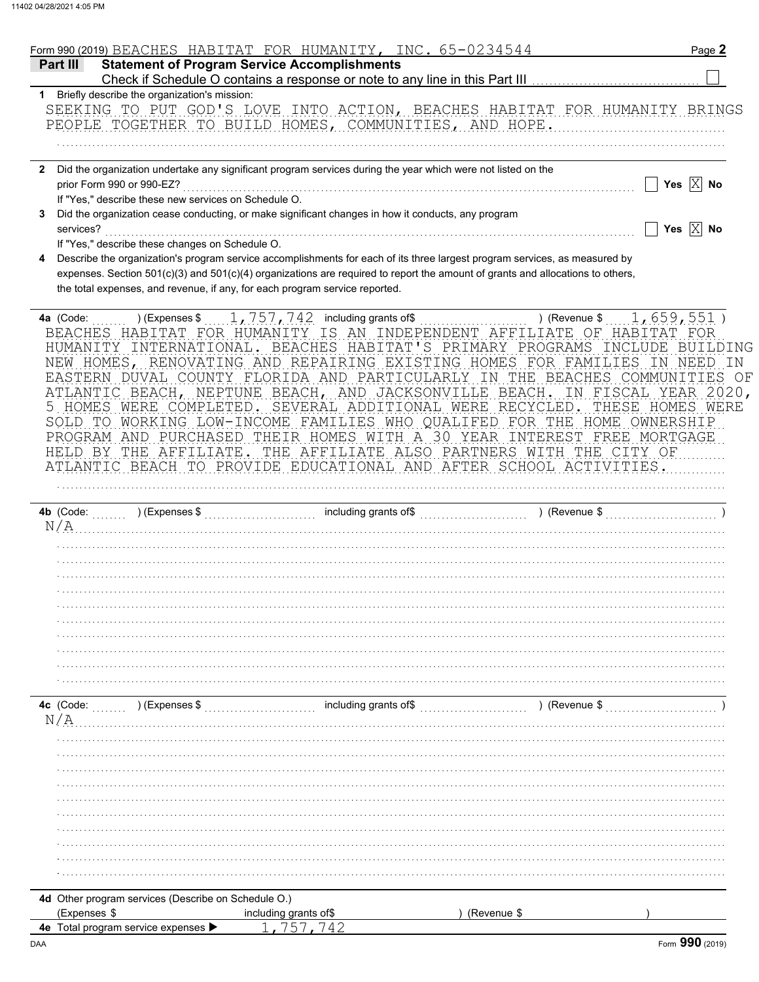|                                                                             | Form 990 (2019) BEACHES HABITAT FOR HUMANITY, INC. 65-0234544                                                                                                                                                                                                                                                                                                                                                                                                                                                                                                                                                                                                                             |               | Page 2                                                                                                |
|-----------------------------------------------------------------------------|-------------------------------------------------------------------------------------------------------------------------------------------------------------------------------------------------------------------------------------------------------------------------------------------------------------------------------------------------------------------------------------------------------------------------------------------------------------------------------------------------------------------------------------------------------------------------------------------------------------------------------------------------------------------------------------------|---------------|-------------------------------------------------------------------------------------------------------|
| <b>Statement of Program Service Accomplishments</b><br>Part III             |                                                                                                                                                                                                                                                                                                                                                                                                                                                                                                                                                                                                                                                                                           |               |                                                                                                       |
|                                                                             | Check if Schedule O contains a response or note to any line in this Part III                                                                                                                                                                                                                                                                                                                                                                                                                                                                                                                                                                                                              |               |                                                                                                       |
| 1 Briefly describe the organization's mission:                              | SEEKING TO PUT GOD'S LOVE INTO ACTION, BEACHES HABITAT FOR HUMANITY BRINGS                                                                                                                                                                                                                                                                                                                                                                                                                                                                                                                                                                                                                |               |                                                                                                       |
|                                                                             | PEOPLE TOGETHER TO BUILD HOMES, COMMUNITIES, AND HOPE.                                                                                                                                                                                                                                                                                                                                                                                                                                                                                                                                                                                                                                    |               |                                                                                                       |
|                                                                             |                                                                                                                                                                                                                                                                                                                                                                                                                                                                                                                                                                                                                                                                                           |               |                                                                                                       |
|                                                                             |                                                                                                                                                                                                                                                                                                                                                                                                                                                                                                                                                                                                                                                                                           |               |                                                                                                       |
|                                                                             | 2 Did the organization undertake any significant program services during the year which were not listed on the                                                                                                                                                                                                                                                                                                                                                                                                                                                                                                                                                                            |               |                                                                                                       |
| prior Form 990 or 990-EZ?                                                   |                                                                                                                                                                                                                                                                                                                                                                                                                                                                                                                                                                                                                                                                                           |               | Yes $X$ No                                                                                            |
| If "Yes," describe these new services on Schedule O.                        |                                                                                                                                                                                                                                                                                                                                                                                                                                                                                                                                                                                                                                                                                           |               |                                                                                                       |
|                                                                             | Did the organization cease conducting, or make significant changes in how it conducts, any program                                                                                                                                                                                                                                                                                                                                                                                                                                                                                                                                                                                        |               |                                                                                                       |
| services?                                                                   |                                                                                                                                                                                                                                                                                                                                                                                                                                                                                                                                                                                                                                                                                           |               | Yes $\boxed{\times}$ No                                                                               |
| If "Yes," describe these changes on Schedule O.                             |                                                                                                                                                                                                                                                                                                                                                                                                                                                                                                                                                                                                                                                                                           |               |                                                                                                       |
| the total expenses, and revenue, if any, for each program service reported. | Describe the organization's program service accomplishments for each of its three largest program services, as measured by<br>expenses. Section 501(c)(3) and 501(c)(4) organizations are required to report the amount of grants and allocations to others,                                                                                                                                                                                                                                                                                                                                                                                                                              |               |                                                                                                       |
|                                                                             |                                                                                                                                                                                                                                                                                                                                                                                                                                                                                                                                                                                                                                                                                           |               |                                                                                                       |
| 4a (Code:<br>HELD BY THE AFFILIATE.                                         | BEACHES HABITAT FOR HUMANITY IS AN INDEPENDENT AFFILIATE OF HABITAT<br>HUMANITY INTERNATIONAL. BEACHES HABITAT'S PRIMARY PROGRAMS<br>NEW HOMES, RENOVATING AND REPAIRING EXISTING HOMES FOR FAMILIES IN<br>EASTERN DUVAL COUNTY FLORIDA AND PARTICULARLY IN THE BEACHES COMMUNITIES OF<br>ATLANTIC BEACH, NEPTUNE BEACH, AND JACKSONVILLE BEACH.<br>5 HOMES WERE COMPLETED. SEVERAL ADDITIONAL WERE RECYCLED.<br>SOLD TO WORKING LOW-INCOME FAMILIES WHO QUALIFED FOR THE HOME OWNERSHIP<br>PROGRAM AND PURCHASED THEIR HOMES WITH A 30 YEAR INTEREST FREE MORTGAGE<br>THE AFFILIATE ALSO PARTNERS WITH THE CITY OF<br>ATLANTIC BEACH TO PROVIDE EDUCATIONAL AND AFTER SCHOOL ACTIVITIES. | ) (Revenue \$ | 1,659,551)<br>- FOR<br>INCLUDE<br>BUILDING<br>NEED<br>IN.<br>IN FISCAL YEAR 2020,<br>THESE HOMES WERE |
| N/A                                                                         |                                                                                                                                                                                                                                                                                                                                                                                                                                                                                                                                                                                                                                                                                           |               |                                                                                                       |
|                                                                             |                                                                                                                                                                                                                                                                                                                                                                                                                                                                                                                                                                                                                                                                                           |               |                                                                                                       |
|                                                                             |                                                                                                                                                                                                                                                                                                                                                                                                                                                                                                                                                                                                                                                                                           |               |                                                                                                       |
|                                                                             |                                                                                                                                                                                                                                                                                                                                                                                                                                                                                                                                                                                                                                                                                           |               |                                                                                                       |
|                                                                             |                                                                                                                                                                                                                                                                                                                                                                                                                                                                                                                                                                                                                                                                                           |               |                                                                                                       |
|                                                                             |                                                                                                                                                                                                                                                                                                                                                                                                                                                                                                                                                                                                                                                                                           |               |                                                                                                       |
|                                                                             |                                                                                                                                                                                                                                                                                                                                                                                                                                                                                                                                                                                                                                                                                           |               |                                                                                                       |
|                                                                             |                                                                                                                                                                                                                                                                                                                                                                                                                                                                                                                                                                                                                                                                                           |               |                                                                                                       |
|                                                                             |                                                                                                                                                                                                                                                                                                                                                                                                                                                                                                                                                                                                                                                                                           |               |                                                                                                       |
|                                                                             |                                                                                                                                                                                                                                                                                                                                                                                                                                                                                                                                                                                                                                                                                           |               |                                                                                                       |
|                                                                             |                                                                                                                                                                                                                                                                                                                                                                                                                                                                                                                                                                                                                                                                                           |               |                                                                                                       |
| $\ldots$ ) (Expenses \$<br>4c (Code:                                        | including grants of\$                                                                                                                                                                                                                                                                                                                                                                                                                                                                                                                                                                                                                                                                     | ) (Revenue \$ |                                                                                                       |
| N/A                                                                         |                                                                                                                                                                                                                                                                                                                                                                                                                                                                                                                                                                                                                                                                                           |               |                                                                                                       |
|                                                                             |                                                                                                                                                                                                                                                                                                                                                                                                                                                                                                                                                                                                                                                                                           |               |                                                                                                       |
|                                                                             |                                                                                                                                                                                                                                                                                                                                                                                                                                                                                                                                                                                                                                                                                           |               |                                                                                                       |
|                                                                             |                                                                                                                                                                                                                                                                                                                                                                                                                                                                                                                                                                                                                                                                                           |               |                                                                                                       |
|                                                                             |                                                                                                                                                                                                                                                                                                                                                                                                                                                                                                                                                                                                                                                                                           |               |                                                                                                       |
|                                                                             |                                                                                                                                                                                                                                                                                                                                                                                                                                                                                                                                                                                                                                                                                           |               |                                                                                                       |
|                                                                             |                                                                                                                                                                                                                                                                                                                                                                                                                                                                                                                                                                                                                                                                                           |               |                                                                                                       |
|                                                                             |                                                                                                                                                                                                                                                                                                                                                                                                                                                                                                                                                                                                                                                                                           |               |                                                                                                       |
|                                                                             |                                                                                                                                                                                                                                                                                                                                                                                                                                                                                                                                                                                                                                                                                           |               |                                                                                                       |
|                                                                             |                                                                                                                                                                                                                                                                                                                                                                                                                                                                                                                                                                                                                                                                                           |               |                                                                                                       |
|                                                                             |                                                                                                                                                                                                                                                                                                                                                                                                                                                                                                                                                                                                                                                                                           |               |                                                                                                       |
| 4d Other program services (Describe on Schedule O.)                         |                                                                                                                                                                                                                                                                                                                                                                                                                                                                                                                                                                                                                                                                                           |               |                                                                                                       |
| (Expenses \$                                                                | including grants of \$                                                                                                                                                                                                                                                                                                                                                                                                                                                                                                                                                                                                                                                                    | (Revenue \$   |                                                                                                       |
| 4e Total program service expenses >                                         |                                                                                                                                                                                                                                                                                                                                                                                                                                                                                                                                                                                                                                                                                           |               |                                                                                                       |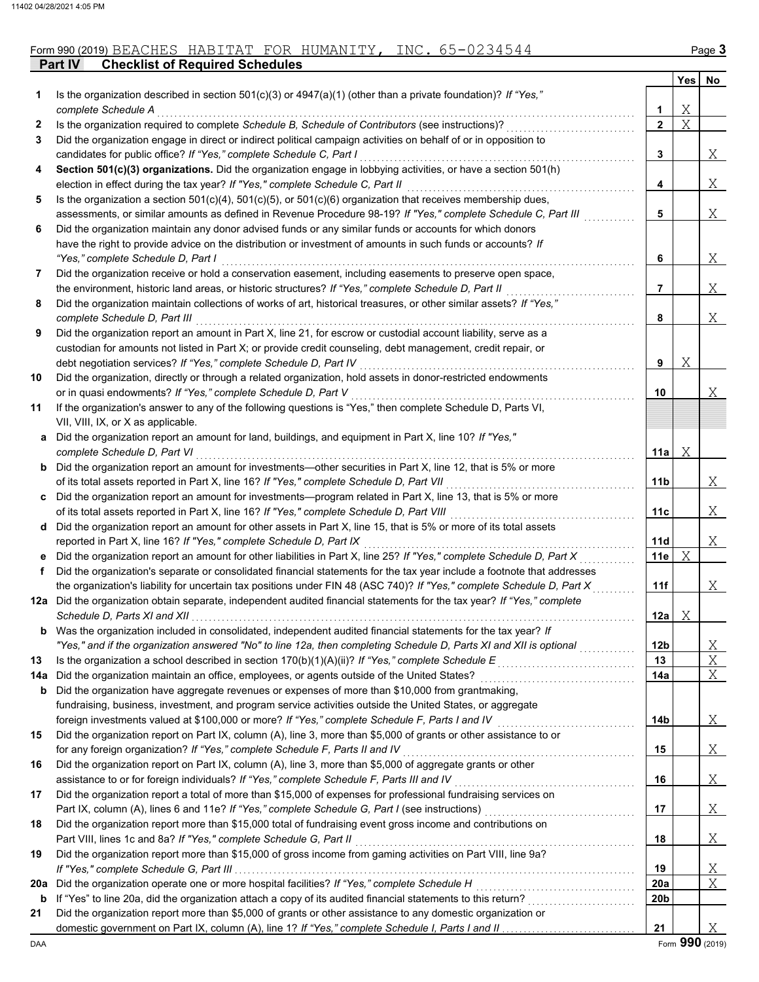|              |                                                                                                                                                                                                                           |                 | Yes | No |
|--------------|---------------------------------------------------------------------------------------------------------------------------------------------------------------------------------------------------------------------------|-----------------|-----|----|
| 1            | Is the organization described in section 501(c)(3) or $4947(a)(1)$ (other than a private foundation)? If "Yes,"                                                                                                           |                 |     |    |
|              | complete Schedule A                                                                                                                                                                                                       | 1               | Χ   |    |
| $\mathbf{2}$ | Is the organization required to complete Schedule B, Schedule of Contributors (see instructions)?                                                                                                                         | $\mathbf{2}$    | Χ   |    |
| 3            | Did the organization engage in direct or indirect political campaign activities on behalf of or in opposition to                                                                                                          |                 |     |    |
|              | candidates for public office? If "Yes," complete Schedule C, Part I                                                                                                                                                       | 3               |     | Χ  |
| 4            | Section 501(c)(3) organizations. Did the organization engage in lobbying activities, or have a section 501(h)                                                                                                             |                 |     |    |
|              | election in effect during the tax year? If "Yes," complete Schedule C, Part II                                                                                                                                            | 4               |     | Χ  |
| 5            | Is the organization a section $501(c)(4)$ , $501(c)(5)$ , or $501(c)(6)$ organization that receives membership dues,                                                                                                      |                 |     |    |
|              | assessments, or similar amounts as defined in Revenue Procedure 98-19? If "Yes," complete Schedule C, Part III<br>Did the organization maintain any donor advised funds or any similar funds or accounts for which donors | 5               |     | Χ  |
| 6            | have the right to provide advice on the distribution or investment of amounts in such funds or accounts? If                                                                                                               |                 |     |    |
|              | "Yes," complete Schedule D, Part I                                                                                                                                                                                        | 6               |     | Χ  |
| 7            | Did the organization receive or hold a conservation easement, including easements to preserve open space,                                                                                                                 |                 |     |    |
|              | the environment, historic land areas, or historic structures? If "Yes," complete Schedule D, Part II                                                                                                                      | 7               |     | Χ  |
| 8            | Did the organization maintain collections of works of art, historical treasures, or other similar assets? If "Yes,"                                                                                                       |                 |     |    |
|              | complete Schedule D, Part III                                                                                                                                                                                             | 8               |     | Χ  |
| 9            | Did the organization report an amount in Part X, line 21, for escrow or custodial account liability, serve as a                                                                                                           |                 |     |    |
|              | custodian for amounts not listed in Part X; or provide credit counseling, debt management, credit repair, or                                                                                                              |                 |     |    |
|              | debt negotiation services? If "Yes," complete Schedule D, Part IV                                                                                                                                                         | 9               | Χ   |    |
| 10           | Did the organization, directly or through a related organization, hold assets in donor-restricted endowments                                                                                                              |                 |     |    |
|              | or in quasi endowments? If "Yes," complete Schedule D, Part V                                                                                                                                                             | 10              |     | Χ  |
| 11           | If the organization's answer to any of the following questions is "Yes," then complete Schedule D, Parts VI,                                                                                                              |                 |     |    |
|              | VII, VIII, IX, or X as applicable.                                                                                                                                                                                        |                 |     |    |
| a            | Did the organization report an amount for land, buildings, and equipment in Part X, line 10? If "Yes,"                                                                                                                    |                 |     |    |
|              | complete Schedule D, Part VI                                                                                                                                                                                              | 11a             | Χ   |    |
| b            | Did the organization report an amount for investments—other securities in Part X, line 12, that is 5% or more                                                                                                             |                 |     |    |
|              | of its total assets reported in Part X, line 16? If "Yes," complete Schedule D, Part VII                                                                                                                                  | 11b             |     | Χ  |
| c            | Did the organization report an amount for investments—program related in Part X, line 13, that is 5% or more                                                                                                              |                 |     |    |
|              | of its total assets reported in Part X, line 16? If "Yes," complete Schedule D, Part VIII                                                                                                                                 | 11c             |     | Χ  |
| d            | Did the organization report an amount for other assets in Part X, line 15, that is 5% or more of its total assets                                                                                                         |                 |     |    |
|              | reported in Part X, line 16? If "Yes," complete Schedule D, Part IX                                                                                                                                                       | 11d             |     | Χ  |
|              | Did the organization report an amount for other liabilities in Part X, line 25? If "Yes," complete Schedule D, Part X                                                                                                     | 11e             | Χ   |    |
| f.           | Did the organization's separate or consolidated financial statements for the tax year include a footnote that addresses                                                                                                   |                 |     |    |
|              | the organization's liability for uncertain tax positions under FIN 48 (ASC 740)? If "Yes," complete Schedule D, Part X                                                                                                    | 11f             |     | Χ  |
|              | 12a Did the organization obtain separate, independent audited financial statements for the tax year? If "Yes," complete                                                                                                   |                 |     |    |
|              | Schedule D, Parts XI and XII                                                                                                                                                                                              | 12a             | Χ   |    |
|              | <b>b</b> Was the organization included in consolidated, independent audited financial statements for the tax year? If                                                                                                     |                 |     |    |
|              | "Yes," and if the organization answered "No" to line 12a, then completing Schedule D, Parts XI and XII is optional                                                                                                        | 12 <sub>b</sub> |     | Χ  |
| 13           | Is the organization a school described in section $170(b)(1)(A)(ii)?$ If "Yes," complete Schedule E                                                                                                                       | 13              |     | Χ  |
| 14a          | Did the organization maintain an office, employees, or agents outside of the United States?                                                                                                                               | 14a             |     | Χ  |
| b            | Did the organization have aggregate revenues or expenses of more than \$10,000 from grantmaking,                                                                                                                          |                 |     |    |
|              | fundraising, business, investment, and program service activities outside the United States, or aggregate<br>foreign investments valued at \$100,000 or more? If "Yes," complete Schedule F, Parts I and IV               | 14b             |     | Χ  |
| 15           | Did the organization report on Part IX, column (A), line 3, more than \$5,000 of grants or other assistance to or                                                                                                         |                 |     |    |
|              | for any foreign organization? If "Yes," complete Schedule F, Parts II and IV                                                                                                                                              | 15              |     | Χ  |
| 16           | Did the organization report on Part IX, column (A), line 3, more than \$5,000 of aggregate grants or other                                                                                                                |                 |     |    |
|              | assistance to or for foreign individuals? If "Yes," complete Schedule F, Parts III and IV                                                                                                                                 | 16              |     | Χ  |
| 17           | Did the organization report a total of more than \$15,000 of expenses for professional fundraising services on                                                                                                            |                 |     |    |
|              |                                                                                                                                                                                                                           | 17              |     | Χ  |
| 18           | Did the organization report more than \$15,000 total of fundraising event gross income and contributions on                                                                                                               |                 |     |    |
|              | Part VIII, lines 1c and 8a? If "Yes," complete Schedule G, Part II                                                                                                                                                        | 18              |     | Χ  |
| 19           | Did the organization report more than \$15,000 of gross income from gaming activities on Part VIII, line 9a?                                                                                                              |                 |     |    |
|              |                                                                                                                                                                                                                           | 19              |     | Χ  |
| 20a          | Did the organization operate one or more hospital facilities? If "Yes," complete Schedule H                                                                                                                               | 20a             |     | Χ  |
| b            | If "Yes" to line 20a, did the organization attach a copy of its audited financial statements to this return?                                                                                                              | 20 <sub>b</sub> |     |    |
| 21           | Did the organization report more than \$5,000 of grants or other assistance to any domestic organization or                                                                                                               |                 |     |    |
|              |                                                                                                                                                                                                                           | 21              |     | Χ  |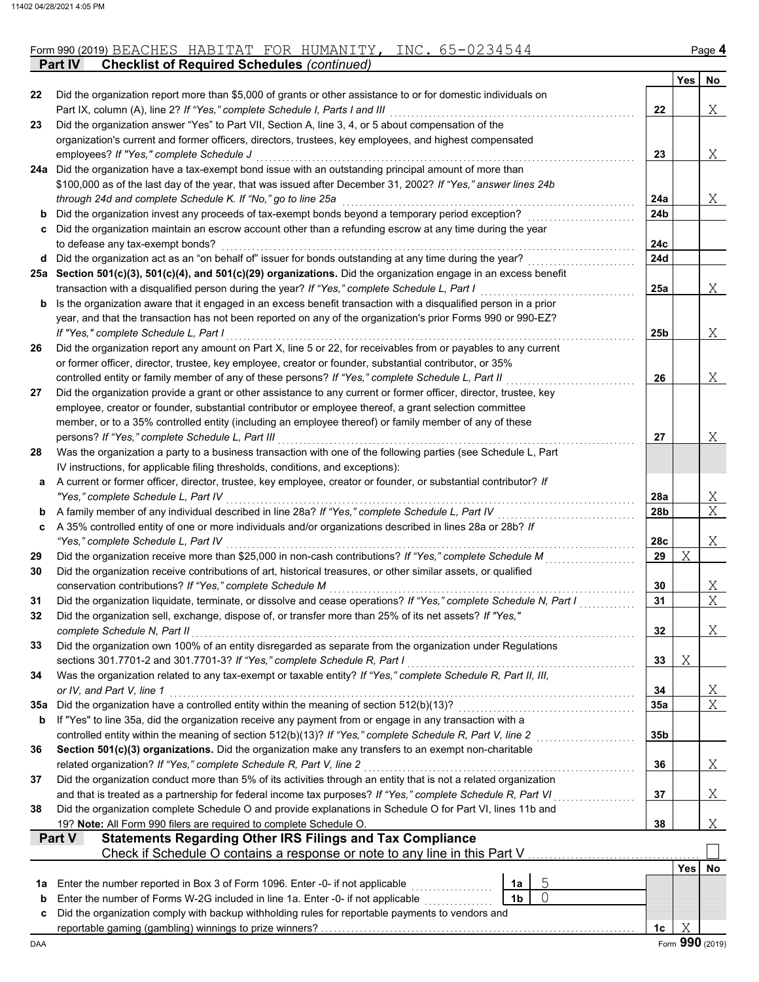|  | Form 990 (2019)<br>$\Lambda$<br>BEACHES | m<br>$\mathbf{v}$<br>HABITAT | 70R | NTT LTV<br>AUMANITY, | <b>INC</b> |  | Page |
|--|-----------------------------------------|------------------------------|-----|----------------------|------------|--|------|
|--|-----------------------------------------|------------------------------|-----|----------------------|------------|--|------|

**Part IV Checklist of Required Schedules** *(continued)*

|          |                                                                                                                                                                                                                               |                |                |                 | Yes        | No                |
|----------|-------------------------------------------------------------------------------------------------------------------------------------------------------------------------------------------------------------------------------|----------------|----------------|-----------------|------------|-------------------|
| 22       | Did the organization report more than \$5,000 of grants or other assistance to or for domestic individuals on                                                                                                                 |                |                |                 |            |                   |
| 23       | Part IX, column (A), line 2? If "Yes," complete Schedule I, Parts I and III<br>Did the organization answer "Yes" to Part VII, Section A, line 3, 4, or 5 about compensation of the                                            |                |                | 22              |            | Χ                 |
|          | organization's current and former officers, directors, trustees, key employees, and highest compensated                                                                                                                       |                |                |                 |            |                   |
|          | employees? If "Yes," complete Schedule J                                                                                                                                                                                      |                |                | 23              |            | Χ                 |
| 24a      | Did the organization have a tax-exempt bond issue with an outstanding principal amount of more than                                                                                                                           |                |                |                 |            |                   |
|          | \$100,000 as of the last day of the year, that was issued after December 31, 2002? If "Yes," answer lines 24b                                                                                                                 |                |                |                 |            |                   |
|          | through 24d and complete Schedule K. If "No," go to line 25a                                                                                                                                                                  |                |                | 24a             |            | Χ                 |
| b        | Did the organization invest any proceeds of tax-exempt bonds beyond a temporary period exception?                                                                                                                             |                |                | 24b             |            |                   |
| c        | Did the organization maintain an escrow account other than a refunding escrow at any time during the year                                                                                                                     |                |                |                 |            |                   |
|          | to defease any tax-exempt bonds?                                                                                                                                                                                              |                |                | 24c             |            |                   |
| d        | Did the organization act as an "on behalf of" issuer for bonds outstanding at any time during the year?                                                                                                                       |                |                | 24d             |            |                   |
|          | 25a Section 501(c)(3), 501(c)(4), and 501(c)(29) organizations. Did the organization engage in an excess benefit                                                                                                              |                |                |                 |            |                   |
|          | transaction with a disqualified person during the year? If "Yes," complete Schedule L, Part I                                                                                                                                 |                |                | 25a             |            | Χ                 |
| b        | Is the organization aware that it engaged in an excess benefit transaction with a disqualified person in a prior                                                                                                              |                |                |                 |            |                   |
|          | year, and that the transaction has not been reported on any of the organization's prior Forms 990 or 990-EZ?                                                                                                                  |                |                |                 |            |                   |
|          | If "Yes," complete Schedule L, Part I                                                                                                                                                                                         |                |                | 25 <sub>b</sub> |            | Χ                 |
| 26       | Did the organization report any amount on Part X, line 5 or 22, for receivables from or payables to any current<br>or former officer, director, trustee, key employee, creator or founder, substantial contributor, or 35%    |                |                |                 |            |                   |
|          | controlled entity or family member of any of these persons? If "Yes," complete Schedule L, Part II                                                                                                                            |                |                | 26              |            | Χ                 |
| 27       | Did the organization provide a grant or other assistance to any current or former officer, director, trustee, key                                                                                                             |                |                |                 |            |                   |
|          | employee, creator or founder, substantial contributor or employee thereof, a grant selection committee                                                                                                                        |                |                |                 |            |                   |
|          | member, or to a 35% controlled entity (including an employee thereof) or family member of any of these                                                                                                                        |                |                |                 |            |                   |
|          | persons? If "Yes," complete Schedule L, Part III                                                                                                                                                                              |                |                | 27              |            | Χ                 |
| 28       | Was the organization a party to a business transaction with one of the following parties (see Schedule L, Part                                                                                                                |                |                |                 |            |                   |
|          | IV instructions, for applicable filing thresholds, conditions, and exceptions):                                                                                                                                               |                |                |                 |            |                   |
| а        | A current or former officer, director, trustee, key employee, creator or founder, or substantial contributor? If                                                                                                              |                |                |                 |            |                   |
|          | "Yes," complete Schedule L, Part IV                                                                                                                                                                                           |                |                | 28a             |            | <u>X</u>          |
| b        | A family member of any individual described in line 28a? If "Yes," complete Schedule L, Part IV                                                                                                                               |                |                | 28b             |            | $\overline{X}$    |
| c        | A 35% controlled entity of one or more individuals and/or organizations described in lines 28a or 28b? If                                                                                                                     |                |                |                 |            |                   |
|          | "Yes," complete Schedule L, Part IV                                                                                                                                                                                           |                |                | 28c             |            | Χ                 |
| 29       | Did the organization receive more than \$25,000 in non-cash contributions? If "Yes," complete Schedule M                                                                                                                      |                |                | 29              | Χ          |                   |
| 30       | Did the organization receive contributions of art, historical treasures, or other similar assets, or qualified                                                                                                                |                |                |                 |            |                   |
|          | conservation contributions? If "Yes," complete Schedule M                                                                                                                                                                     |                |                | 30              |            | X<br>X            |
| 31<br>32 | Did the organization liquidate, terminate, or dissolve and cease operations? If "Yes," complete Schedule N, Part I<br>Did the organization sell, exchange, dispose of, or transfer more than 25% of its net assets? If "Yes," |                |                | 31              |            |                   |
|          | complete Schedule N, Part II                                                                                                                                                                                                  |                |                | 32              |            | Χ                 |
| 33       | Did the organization own 100% of an entity disregarded as separate from the organization under Regulations                                                                                                                    |                |                |                 |            |                   |
|          | sections 301.7701-2 and 301.7701-3? If "Yes," complete Schedule R, Part I                                                                                                                                                     |                |                | 33              | Χ          |                   |
| 34       | Was the organization related to any tax-exempt or taxable entity? If "Yes," complete Schedule R, Part II, III,                                                                                                                |                |                |                 |            |                   |
|          | or IV, and Part V, line 1                                                                                                                                                                                                     |                |                | 34              |            | <u>X</u>          |
| 35a      | Did the organization have a controlled entity within the meaning of section 512(b)(13)?                                                                                                                                       |                |                | 35a             |            | $X_{\mathcal{L}}$ |
| b        | If "Yes" to line 35a, did the organization receive any payment from or engage in any transaction with a                                                                                                                       |                |                |                 |            |                   |
|          | controlled entity within the meaning of section 512(b)(13)? If "Yes," complete Schedule R, Part V, line 2                                                                                                                     |                |                | 35 <sub>b</sub> |            |                   |
| 36       | Section 501(c)(3) organizations. Did the organization make any transfers to an exempt non-charitable                                                                                                                          |                |                |                 |            |                   |
|          | related organization? If "Yes," complete Schedule R, Part V, line 2                                                                                                                                                           |                |                | 36              |            | $X_{\perp}$       |
| 37       | Did the organization conduct more than 5% of its activities through an entity that is not a related organization                                                                                                              |                |                |                 |            |                   |
|          | and that is treated as a partnership for federal income tax purposes? If "Yes," complete Schedule R, Part VI                                                                                                                  |                |                | 37              |            | Χ                 |
| 38       | Did the organization complete Schedule O and provide explanations in Schedule O for Part VI, lines 11b and                                                                                                                    |                |                |                 |            |                   |
|          | 19? Note: All Form 990 filers are required to complete Schedule O.<br><b>Statements Regarding Other IRS Filings and Tax Compliance</b><br>Part V                                                                              |                |                | 38              |            | X                 |
|          | Check if Schedule O contains a response or note to any line in this Part V.                                                                                                                                                   |                |                |                 |            |                   |
|          |                                                                                                                                                                                                                               |                |                |                 | <b>Yes</b> | No                |
| 1a       | Enter the number reported in Box 3 of Form 1096. Enter -0- if not applicable                                                                                                                                                  | 1a             | 5              |                 |            |                   |
| b        | Enter the number of Forms W-2G included in line 1a. Enter -0- if not applicable                                                                                                                                               | 1 <sub>b</sub> | $\overline{0}$ |                 |            |                   |
| c        | Did the organization comply with backup withholding rules for reportable payments to vendors and                                                                                                                              |                |                |                 |            |                   |
|          |                                                                                                                                                                                                                               |                |                | 1c              | Χ          |                   |
| DAA      |                                                                                                                                                                                                                               |                |                |                 |            | Form 990 (2019)   |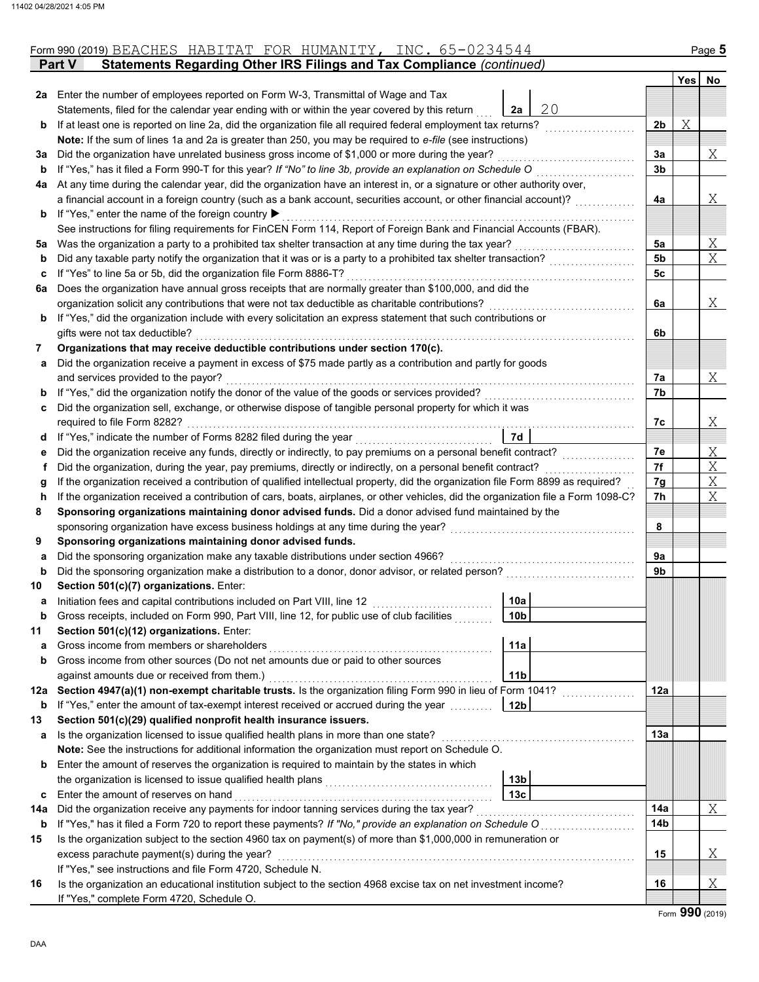|     | Statements Regarding Other IRS Filings and Tax Compliance (continued)<br><b>Part V</b>                                             |                |     |                |
|-----|------------------------------------------------------------------------------------------------------------------------------------|----------------|-----|----------------|
|     |                                                                                                                                    |                | Yes | No             |
|     | 2a Enter the number of employees reported on Form W-3, Transmittal of Wage and Tax                                                 |                |     |                |
|     | 20<br>2a<br>Statements, filed for the calendar year ending with or within the year covered by this return                          |                |     |                |
| b   | If at least one is reported on line 2a, did the organization file all required federal employment tax returns?                     | 2b             | Χ   |                |
|     | Note: If the sum of lines 1a and 2a is greater than 250, you may be required to e-file (see instructions)                          |                |     |                |
| За  | Did the organization have unrelated business gross income of \$1,000 or more during the year?                                      | 3a             |     | X              |
| b   | If "Yes," has it filed a Form 990-T for this year? If "No" to line 3b, provide an explanation on Schedule O                        | 3b             |     |                |
| 4a  | At any time during the calendar year, did the organization have an interest in, or a signature or other authority over,            |                |     |                |
|     | a financial account in a foreign country (such as a bank account, securities account, or other financial account)?                 | 4a             |     | Χ              |
| b   | If "Yes," enter the name of the foreign country ▶                                                                                  |                |     |                |
|     | See instructions for filing requirements for FinCEN Form 114, Report of Foreign Bank and Financial Accounts (FBAR).                |                |     |                |
| 5а  | Was the organization a party to a prohibited tax shelter transaction at any time during the tax year?                              | 5a             |     | Χ              |
| b   | Did any taxable party notify the organization that it was or is a party to a prohibited tax shelter transaction?                   | 5 <sub>b</sub> |     | $\overline{X}$ |
| c   | If "Yes" to line 5a or 5b, did the organization file Form 8886-T?                                                                  | 5c             |     |                |
| 6а  | Does the organization have annual gross receipts that are normally greater than \$100,000, and did the                             |                |     |                |
|     | organization solicit any contributions that were not tax deductible as charitable contributions?                                   | 6a             |     | X              |
| b   | If "Yes," did the organization include with every solicitation an express statement that such contributions or                     |                |     |                |
|     | gifts were not tax deductible?                                                                                                     | 6b             |     |                |
| 7   | Organizations that may receive deductible contributions under section 170(c).                                                      |                |     |                |
| а   | Did the organization receive a payment in excess of \$75 made partly as a contribution and partly for goods                        |                |     |                |
|     | and services provided to the payor?                                                                                                | 7а             |     | X              |
| b   | If "Yes," did the organization notify the donor of the value of the goods or services provided?                                    | 7b             |     |                |
| c   | Did the organization sell, exchange, or otherwise dispose of tangible personal property for which it was                           |                |     |                |
|     | required to file Form 8282?                                                                                                        | 7c             |     | Χ              |
| d   | 7d                                                                                                                                 |                |     |                |
| е   | Did the organization receive any funds, directly or indirectly, to pay premiums on a personal benefit contract?                    | 7е             |     | Χ              |
| f   | Did the organization, during the year, pay premiums, directly or indirectly, on a personal benefit contract?                       | 7f             |     | $\overline{X}$ |
| g   | If the organization received a contribution of qualified intellectual property, did the organization file Form 8899 as required?   | 7g             |     | $\overline{X}$ |
| h   | If the organization received a contribution of cars, boats, airplanes, or other vehicles, did the organization file a Form 1098-C? | 7h             |     | X              |
| 8   | Sponsoring organizations maintaining donor advised funds. Did a donor advised fund maintained by the                               |                |     |                |
|     | sponsoring organization have excess business holdings at any time during the year?                                                 | 8              |     |                |
| 9   | Sponsoring organizations maintaining donor advised funds.                                                                          |                |     |                |
| а   | Did the sponsoring organization make any taxable distributions under section 4966?                                                 | 9а             |     |                |
| b   | Did the sponsoring organization make a distribution to a donor, donor advisor, or related person?                                  | 9b             |     |                |
| 10  | Section 501(c)(7) organizations. Enter:                                                                                            |                |     |                |
| а   | 10a<br>Initiation fees and capital contributions included on Part VIII, line 12                                                    |                |     |                |
|     | 10 <sub>b</sub><br>Gross receipts, included on Form 990, Part VIII, line 12, for public use of club facilities                     |                |     |                |
| 11  | Section 501(c)(12) organizations. Enter:                                                                                           |                |     |                |
| a   | 11a<br>Gross income from members or shareholders                                                                                   |                |     |                |
| b   | Gross income from other sources (Do not net amounts due or paid to other sources                                                   |                |     |                |
|     | 11 <sub>b</sub><br>against amounts due or received from them.)                                                                     |                |     |                |
|     | 12a Section 4947(a)(1) non-exempt charitable trusts. Is the organization filing Form 990 in lieu of Form 1041?                     | 12a            |     |                |
| b   | 12 <sub>b</sub><br>If "Yes," enter the amount of tax-exempt interest received or accrued during the year                           |                |     |                |
| 13  | Section 501(c)(29) qualified nonprofit health insurance issuers.                                                                   |                |     |                |
| а   | Is the organization licensed to issue qualified health plans in more than one state?                                               | 13а            |     |                |
|     | Note: See the instructions for additional information the organization must report on Schedule O.                                  |                |     |                |
| b   | Enter the amount of reserves the organization is required to maintain by the states in which                                       |                |     |                |
|     | 13 <sub>b</sub>                                                                                                                    |                |     |                |
| c   | 13 <sub>c</sub><br>Enter the amount of reserves on hand                                                                            |                |     |                |
| 14a | Did the organization receive any payments for indoor tanning services during the tax year?                                         | 14a            |     | Χ              |
| b   | If "Yes," has it filed a Form 720 to report these payments? If "No," provide an explanation on Schedule O                          | 14b            |     |                |
| 15  | Is the organization subject to the section 4960 tax on payment(s) of more than \$1,000,000 in remuneration or                      |                |     |                |
|     | excess parachute payment(s) during the year?                                                                                       | 15             |     | Χ              |
|     | If "Yes," see instructions and file Form 4720, Schedule N.                                                                         |                |     |                |
| 16  | Is the organization an educational institution subject to the section 4968 excise tax on net investment income?                    | 16             |     | Χ              |
|     | If "Yes," complete Form 4720, Schedule O.                                                                                          |                |     |                |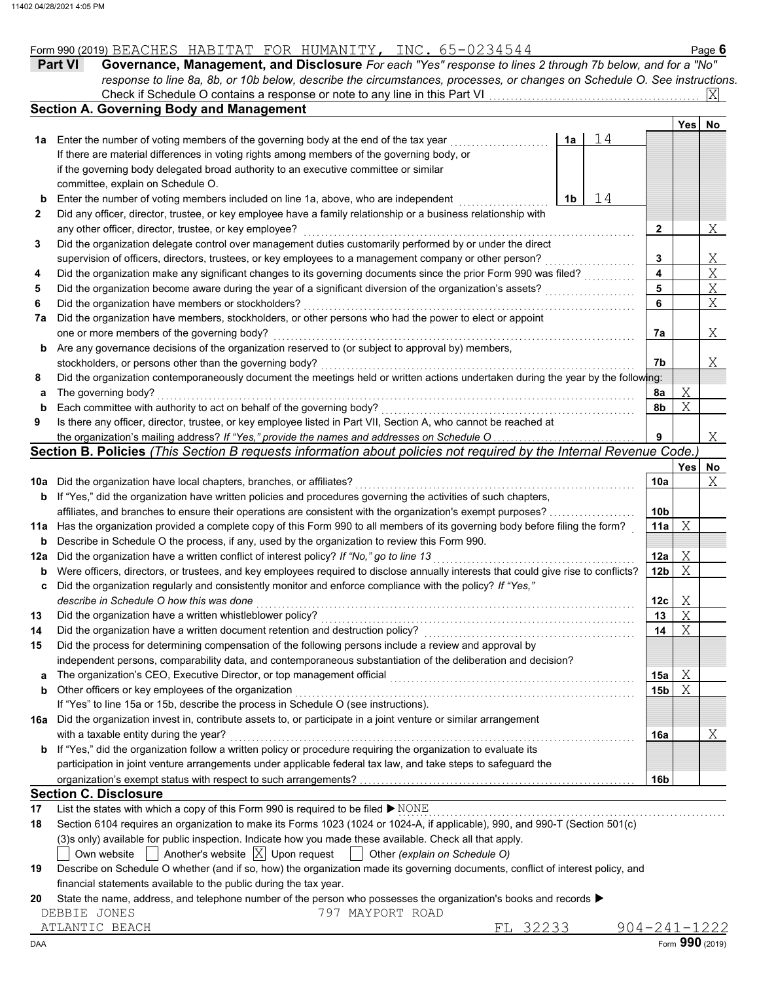|  |  |  |  |  |  | Form 990 (2019) BEACHES HABITAT FOR HUMANITY, | INC. | 0234544<br>65-023 |
|--|--|--|--|--|--|-----------------------------------------------|------|-------------------|
|--|--|--|--|--|--|-----------------------------------------------|------|-------------------|

|              | Form 990 (2019) BEACHES HABITAT FOR HUMANITY, INC. 65-0234544                                                                       |    |    |                 |      | Page 6         |
|--------------|-------------------------------------------------------------------------------------------------------------------------------------|----|----|-----------------|------|----------------|
|              | Governance, Management, and Disclosure For each "Yes" response to lines 2 through 7b below, and for a "No"<br><b>Part VI</b>        |    |    |                 |      |                |
|              | response to line 8a, 8b, or 10b below, describe the circumstances, processes, or changes on Schedule O. See instructions.           |    |    |                 |      |                |
|              |                                                                                                                                     |    |    |                 |      | ΙXΙ            |
|              | <b>Section A. Governing Body and Management</b>                                                                                     |    |    |                 |      |                |
|              |                                                                                                                                     |    |    |                 | Yesl | No             |
| 1а           | Enter the number of voting members of the governing body at the end of the tax year                                                 | 1a | 14 |                 |      |                |
|              | If there are material differences in voting rights among members of the governing body, or                                          |    |    |                 |      |                |
|              | if the governing body delegated broad authority to an executive committee or similar                                                |    |    |                 |      |                |
|              | committee, explain on Schedule O.                                                                                                   |    |    |                 |      |                |
| b            | Enter the number of voting members included on line 1a, above, who are independent                                                  | 1b | 14 |                 |      |                |
| $\mathbf{2}$ | Did any officer, director, trustee, or key employee have a family relationship or a business relationship with                      |    |    |                 |      |                |
|              | any other officer, director, trustee, or key employee?                                                                              |    |    | $\mathbf{2}$    |      | Χ              |
| 3            | Did the organization delegate control over management duties customarily performed by or under the direct                           |    |    |                 |      |                |
|              | supervision of officers, directors, trustees, or key employees to a management company or other person?                             |    |    | 3               |      |                |
| 4            | Did the organization make any significant changes to its governing documents since the prior Form 990 was filed?                    |    |    | 4               |      | $\frac{X}{X}$  |
| 5            | Did the organization become aware during the year of a significant diversion of the organization's assets?                          |    |    | 5               |      | $\overline{X}$ |
| 6            | Did the organization have members or stockholders?                                                                                  |    |    | 6               |      | $\overline{X}$ |
| 7a           | Did the organization have members, stockholders, or other persons who had the power to elect or appoint                             |    |    |                 |      |                |
|              | one or more members of the governing body?                                                                                          |    |    | 7a              |      | Χ              |
| b            | Are any governance decisions of the organization reserved to (or subject to approval by) members,                                   |    |    |                 |      |                |
|              | stockholders, or persons other than the governing body?                                                                             |    |    | 7b              |      | Χ              |
| 8            | Did the organization contemporaneously document the meetings held or written actions undertaken during the year by the following:   |    |    |                 |      |                |
| а            | The governing body?                                                                                                                 |    |    | 8a              | Χ    |                |
| b            | Each committee with authority to act on behalf of the governing body?                                                               |    |    | 8b              | Χ    |                |
| 9            | Is there any officer, director, trustee, or key employee listed in Part VII, Section A, who cannot be reached at                    |    |    |                 |      |                |
|              | the organization's mailing address? If "Yes," provide the names and addresses on Schedule O                                         |    |    | 9               |      | Χ              |
|              | Section B. Policies (This Section B requests information about policies not required by the Internal Revenue Code.)                 |    |    |                 |      |                |
|              |                                                                                                                                     |    |    |                 | Yesl | No             |
| 10a          | Did the organization have local chapters, branches, or affiliates?                                                                  |    |    | 10a             |      | Χ              |
| b            | If "Yes," did the organization have written policies and procedures governing the activities of such chapters,                      |    |    |                 |      |                |
|              | affiliates, and branches to ensure their operations are consistent with the organization's exempt purposes?                         |    |    | 10 <sub>b</sub> |      |                |
| 11a          | Has the organization provided a complete copy of this Form 990 to all members of its governing body before filing the form?         |    |    | 11a             | Χ    |                |
| b            | Describe in Schedule O the process, if any, used by the organization to review this Form 990.                                       |    |    |                 |      |                |
| 12a          | Did the organization have a written conflict of interest policy? If "No," go to line 13                                             |    |    | 12a             | Χ    |                |
| b            | Were officers, directors, or trustees, and key employees required to disclose annually interests that could give rise to conflicts? |    |    | 12 <sub>b</sub> | Χ    |                |
|              | Did the organization regularly and consistently monitor and enforce compliance with the policy? If "Yes,"                           |    |    |                 |      |                |
|              | describe in Schedule O how this was done                                                                                            |    |    | 12c             | X    |                |
| 13           | Did the organization have a written whistleblower policy?                                                                           |    |    | 13              | Χ    |                |
| 14           | Did the organization have a written document retention and destruction policy?                                                      |    |    | 14              | Χ    |                |
| 15           | Did the process for determining compensation of the following persons include a review and approval by                              |    |    |                 |      |                |
|              | independent persons, comparability data, and contemporaneous substantiation of the deliberation and decision?                       |    |    |                 |      |                |
| a            | The organization's CEO, Executive Director, or top management official                                                              |    |    | 15a             | Χ    |                |
| b            | Other officers or key employees of the organization                                                                                 |    |    | 15b             | Χ    |                |
|              | If "Yes" to line 15a or 15b, describe the process in Schedule O (see instructions).                                                 |    |    |                 |      |                |
| 16a          | Did the organization invest in, contribute assets to, or participate in a joint venture or similar arrangement                      |    |    |                 |      |                |
|              | with a taxable entity during the year?                                                                                              |    |    | 16a             |      | Χ              |
| b            | If "Yes," did the organization follow a written policy or procedure requiring the organization to evaluate its                      |    |    |                 |      |                |
|              | participation in joint venture arrangements under applicable federal tax law, and take steps to safeguard the                       |    |    |                 |      |                |
|              |                                                                                                                                     |    |    | 16b             |      |                |
|              | <b>Section C. Disclosure</b>                                                                                                        |    |    |                 |      |                |
| 17           | List the states with which a copy of this Form 990 is required to be filed ▶ NONE                                                   |    |    |                 |      |                |
| 18           | Section 6104 requires an organization to make its Forms 1023 (1024 or 1024-A, if applicable), 990, and 990-T (Section 501(c)        |    |    |                 |      |                |
|              |                                                                                                                                     |    |    |                 |      |                |

|  |  | Section 6104 requires an organization to make its Forms 1023 (1024 or 1024-A, if applicable), 990, and 990-T (Section 501(c) |  |  |  |
|--|--|------------------------------------------------------------------------------------------------------------------------------|--|--|--|
|--|--|------------------------------------------------------------------------------------------------------------------------------|--|--|--|

- (3)s only) available for public inspection. Indicate how you made these available. Check all that apply.
- Own website Another's website Upon request Other *(explain on Schedule O)* X

| 19 Describe on Schedule O whether (and if so, how) the organization made its governing documents, conflict of interest policy, and |
|------------------------------------------------------------------------------------------------------------------------------------|
| financial statements available to the public during the tax year.                                                                  |

#### **20** State the name, address, and telephone number of the person who possesses the organization's books and records ▶

- DEBBIE JONES 797 MAYPORT ROAD
- 

DAA Form **990** (2019)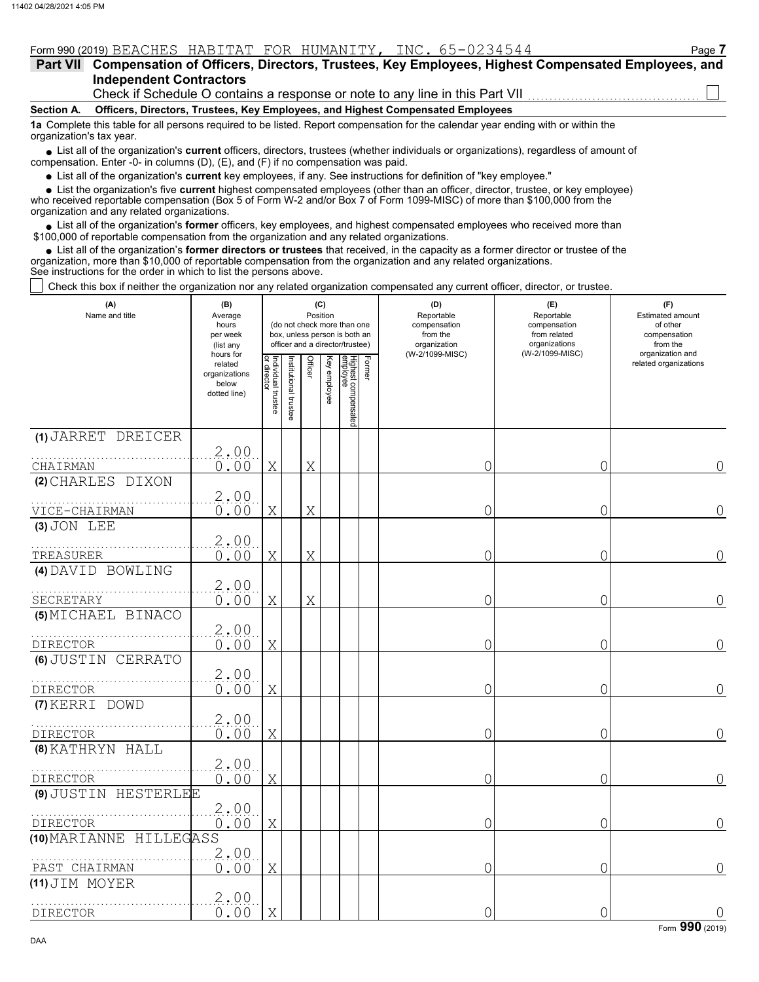| Form 990 (2019) BEACHES HABITAT FOR HUMANITY, INC. 65-0234544                                                                                                 | Page 7 |  |  |  |  |  |  |  |  |
|---------------------------------------------------------------------------------------------------------------------------------------------------------------|--------|--|--|--|--|--|--|--|--|
| Part VII Compensation of Officers, Directors, Trustees, Key Employees, Highest Compensated Employees, and                                                     |        |  |  |  |  |  |  |  |  |
| <b>Independent Contractors</b>                                                                                                                                |        |  |  |  |  |  |  |  |  |
| Check if Schedule O contains a response or note to any line in this Part VII                                                                                  |        |  |  |  |  |  |  |  |  |
| Officers, Directors, Trustees, Key Employees, and Highest Compensated Employees<br>Section A.                                                                 |        |  |  |  |  |  |  |  |  |
| 1a Complete this table for all persons required to be listed. Report compensation for the calendar year ending with or within the<br>organization's tax year. |        |  |  |  |  |  |  |  |  |
| • List all of the organization's current officers, directors, trustees (whether individuals or organizations), regardless of amount of                        |        |  |  |  |  |  |  |  |  |

● List all of the organization's **current** officers, directors, trustees (whether indi<br>compensation. Enter -0- in columns (D), (E), and (F) if no compensation was paid.

● List all of the organization's **current** key employees, if any. See instructions for definition of "key employee."

who received reportable compensation (Box 5 of Form W-2 and/or Box 7 of Form 1099-MISC) of more than \$100,000 from the organization and any related organizations. ■ List the organization's five **current** highest compensated employees (other than an officer, director, trustee, or key employee)<br>
a received reportable compensation (Box 5 of Form W 2 and/or Box 7 of Form 1099 MISC) of

• List all of the organization's **former** officers, key employees, and highest compensated employees who received more than<br>00,000 of reportable compensation from the organization and any related erganizations. \$100,000 of reportable compensation from the organization and any related organizations.

List all of the organization's **former directors or trustees** that received, in the capacity as a former director or trustee of the • List all of the organization's **former directors or trustees** that received, in the capacity as a former director organization, more than \$10,000 of reportable compensation from the organization and any related organizat See instructions for the order in which to list the persons above.

Check this box if neither the organization nor any related organization compensated any current officer, director, or trustee.

| (A)<br>Name and title               | (B)<br>Average<br>hours<br>per week<br>(list any               | (C)<br>Position<br>(do not check more than one<br>box, unless person is both an<br>officer and a director/trustee) |                       |         |              |                                 |        | (D)<br>Reportable<br>compensation<br>from the<br>organization | (E)<br>Reportable<br>compensation<br>from related<br>organizations | (F)<br>Estimated amount<br>of other<br>compensation<br>from the |  |
|-------------------------------------|----------------------------------------------------------------|--------------------------------------------------------------------------------------------------------------------|-----------------------|---------|--------------|---------------------------------|--------|---------------------------------------------------------------|--------------------------------------------------------------------|-----------------------------------------------------------------|--|
|                                     | hours for<br>related<br>organizations<br>below<br>dotted line) | Individual trustee<br>or director                                                                                  | Institutional trustee | Officer | Key employee | Highest compensated<br>employee | Former | (W-2/1099-MISC)                                               | (W-2/1099-MISC)                                                    | organization and<br>related organizations                       |  |
| (1) JARRET DREICER                  |                                                                |                                                                                                                    |                       |         |              |                                 |        |                                                               |                                                                    |                                                                 |  |
| CHAIRMAN                            | $\frac{2.00}{0.00}$                                            | X                                                                                                                  |                       | Χ       |              |                                 |        | 0                                                             | 0                                                                  | 0                                                               |  |
| (2) CHARLES DIXON                   |                                                                |                                                                                                                    |                       |         |              |                                 |        |                                                               |                                                                    |                                                                 |  |
|                                     | 2.00                                                           |                                                                                                                    |                       |         |              |                                 |        |                                                               |                                                                    |                                                                 |  |
| VICE-CHAIRMAN                       | 0.00                                                           | X                                                                                                                  |                       | X       |              |                                 |        | 0                                                             | 0                                                                  | $\overline{0}$                                                  |  |
| (3) JON LEE                         | 2.00                                                           |                                                                                                                    |                       |         |              |                                 |        |                                                               |                                                                    |                                                                 |  |
| TREASURER                           | 0.00                                                           | Χ                                                                                                                  |                       | Χ       |              |                                 |        | 0                                                             | 0                                                                  | 0                                                               |  |
| (4) DAVID BOWLING                   |                                                                |                                                                                                                    |                       |         |              |                                 |        |                                                               |                                                                    |                                                                 |  |
| SECRETARY                           | 2.00<br>0.00                                                   | X                                                                                                                  |                       | Χ       |              |                                 |        | 0                                                             | 0                                                                  | 0                                                               |  |
| (5) MICHAEL BINACO                  |                                                                |                                                                                                                    |                       |         |              |                                 |        |                                                               |                                                                    |                                                                 |  |
| <b>DIRECTOR</b>                     | 2.00<br>0.00                                                   | Χ                                                                                                                  |                       |         |              |                                 |        | 0                                                             | 0                                                                  | $\overline{0}$                                                  |  |
| (6) JUSTIN CERRATO                  |                                                                |                                                                                                                    |                       |         |              |                                 |        |                                                               |                                                                    |                                                                 |  |
| <b>DIRECTOR</b>                     | 2.00<br>0.00                                                   | Χ                                                                                                                  |                       |         |              |                                 |        | 0                                                             | 0                                                                  | $\overline{O}$                                                  |  |
| (7) KERRI DOWD                      |                                                                |                                                                                                                    |                       |         |              |                                 |        |                                                               |                                                                    |                                                                 |  |
|                                     | 2,00                                                           |                                                                                                                    |                       |         |              |                                 |        |                                                               |                                                                    |                                                                 |  |
| <b>DIRECTOR</b><br>(8) KATHRYN HALL | 0.00                                                           | X                                                                                                                  |                       |         |              |                                 |        | 0                                                             | 0                                                                  | $\Omega$                                                        |  |
| <b>DIRECTOR</b>                     | 2.00<br>0.00                                                   | X                                                                                                                  |                       |         |              |                                 |        | 0                                                             | 0                                                                  | $\overline{O}$                                                  |  |
| (9) JUSTIN HESTERLEE                |                                                                |                                                                                                                    |                       |         |              |                                 |        |                                                               |                                                                    |                                                                 |  |
| DIRECTOR                            | 2.00<br>0.00                                                   | Χ                                                                                                                  |                       |         |              |                                 |        | 0                                                             | 0                                                                  | $\mathcal{O}$                                                   |  |
| (10) MARIANNE HILLEGASS             |                                                                |                                                                                                                    |                       |         |              |                                 |        |                                                               |                                                                    |                                                                 |  |
| PAST CHAIRMAN                       | 2.00<br>0.00                                                   | X                                                                                                                  |                       |         |              |                                 |        | 0                                                             | $\overline{O}$                                                     | $\bigcap$                                                       |  |
| (11) JIM MOYER                      | 2.00                                                           |                                                                                                                    |                       |         |              |                                 |        |                                                               |                                                                    |                                                                 |  |
| DIRECTOR                            | 0.00                                                           | X                                                                                                                  |                       |         |              |                                 |        | 0                                                             | 0                                                                  | $\mathbf 0$                                                     |  |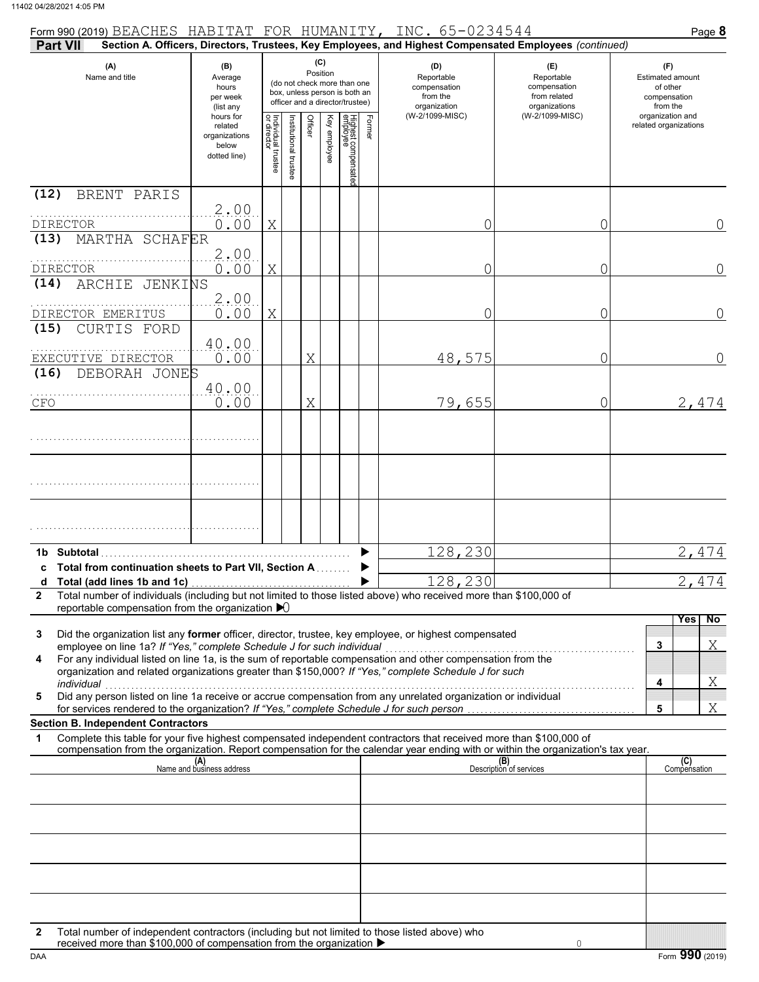| Form 990 (2019) BEACHES HABITAT FOR HUMANITY, INC. 65-0234544                                                                                                                                                                                                        |                                                                |                                   |                      |         |                 |                                                                                                 |        |                                                                                                        |                                                                    | Page 8                                                          |
|----------------------------------------------------------------------------------------------------------------------------------------------------------------------------------------------------------------------------------------------------------------------|----------------------------------------------------------------|-----------------------------------|----------------------|---------|-----------------|-------------------------------------------------------------------------------------------------|--------|--------------------------------------------------------------------------------------------------------|--------------------------------------------------------------------|-----------------------------------------------------------------|
| Part VII                                                                                                                                                                                                                                                             |                                                                |                                   |                      |         |                 |                                                                                                 |        | Section A. Officers, Directors, Trustees, Key Employees, and Highest Compensated Employees (continued) |                                                                    |                                                                 |
| (A)<br>Name and title                                                                                                                                                                                                                                                | (B)<br>Average<br>hours<br>per week<br>(list any               |                                   |                      |         | (C)<br>Position | (do not check more than one<br>box, unless person is both an<br>officer and a director/trustee) |        | (D)<br>Reportable<br>compensation<br>from the<br>organization                                          | (E)<br>Reportable<br>compensation<br>from related<br>organizations | (F)<br>Estimated amount<br>of other<br>compensation<br>from the |
|                                                                                                                                                                                                                                                                      | hours for<br>related<br>organizations<br>below<br>dotted line) | Individual trustee<br>or director | nstitutional trustee | Officer | Key employee    | Highest compensatec<br>employee                                                                 | Former | (W-2/1099-MISC)                                                                                        | (W-2/1099-MISC)                                                    | organization and<br>related organizations                       |
| (12)<br>BRENT PARIS                                                                                                                                                                                                                                                  |                                                                |                                   |                      |         |                 |                                                                                                 |        |                                                                                                        |                                                                    |                                                                 |
| <b>DIRECTOR</b>                                                                                                                                                                                                                                                      | 2.00<br>0.00                                                   | X                                 |                      |         |                 |                                                                                                 |        | 0                                                                                                      | 0                                                                  | 0                                                               |
| MARTHA SCHAFER<br>(13)                                                                                                                                                                                                                                               |                                                                |                                   |                      |         |                 |                                                                                                 |        |                                                                                                        |                                                                    |                                                                 |
|                                                                                                                                                                                                                                                                      | 2.00                                                           |                                   |                      |         |                 |                                                                                                 |        |                                                                                                        |                                                                    |                                                                 |
| <b>DIRECTOR</b><br>ARCHIE<br>JENKINS<br>(14)                                                                                                                                                                                                                         | 0.00                                                           | X                                 |                      |         |                 |                                                                                                 |        | 0                                                                                                      | 0                                                                  | $\overline{0}$                                                  |
|                                                                                                                                                                                                                                                                      | 2.00                                                           |                                   |                      |         |                 |                                                                                                 |        |                                                                                                        |                                                                    |                                                                 |
| DIRECTOR EMERITUS                                                                                                                                                                                                                                                    | 0.00                                                           | X                                 |                      |         |                 |                                                                                                 |        | 0                                                                                                      | 0                                                                  | $\overline{0}$                                                  |
| (15)<br>CURTIS FORD                                                                                                                                                                                                                                                  | 40.00                                                          |                                   |                      |         |                 |                                                                                                 |        |                                                                                                        |                                                                    |                                                                 |
| EXECUTIVE DIRECTOR                                                                                                                                                                                                                                                   | 0.00                                                           |                                   |                      | Χ       |                 |                                                                                                 |        | 48,575                                                                                                 | 0                                                                  | 0                                                               |
| DEBORAH JONES<br>(16)                                                                                                                                                                                                                                                |                                                                |                                   |                      |         |                 |                                                                                                 |        |                                                                                                        |                                                                    |                                                                 |
| CFO                                                                                                                                                                                                                                                                  | 40.00<br>0.00                                                  |                                   |                      | Χ       |                 |                                                                                                 |        | 79,655                                                                                                 | 0                                                                  | 2,474                                                           |
|                                                                                                                                                                                                                                                                      |                                                                |                                   |                      |         |                 |                                                                                                 |        |                                                                                                        |                                                                    |                                                                 |
|                                                                                                                                                                                                                                                                      |                                                                |                                   |                      |         |                 |                                                                                                 |        |                                                                                                        |                                                                    |                                                                 |
|                                                                                                                                                                                                                                                                      |                                                                |                                   |                      |         |                 |                                                                                                 |        |                                                                                                        |                                                                    |                                                                 |
|                                                                                                                                                                                                                                                                      |                                                                |                                   |                      |         |                 |                                                                                                 |        |                                                                                                        |                                                                    |                                                                 |
|                                                                                                                                                                                                                                                                      |                                                                |                                   |                      |         |                 |                                                                                                 |        |                                                                                                        |                                                                    |                                                                 |
|                                                                                                                                                                                                                                                                      |                                                                |                                   |                      |         |                 |                                                                                                 |        |                                                                                                        |                                                                    |                                                                 |
| 1b Subtotal                                                                                                                                                                                                                                                          |                                                                |                                   |                      |         |                 |                                                                                                 |        | 128,230                                                                                                |                                                                    | 2,474                                                           |
| c Total from continuation sheets to Part VII, Section A                                                                                                                                                                                                              |                                                                |                                   |                      |         |                 |                                                                                                 |        |                                                                                                        |                                                                    |                                                                 |
| Total number of individuals (including but not limited to those listed above) who received more than \$100,000 of<br>$\mathbf{2}$                                                                                                                                    |                                                                |                                   |                      |         |                 |                                                                                                 |        | 128,230                                                                                                |                                                                    | 2 <sub>1</sub><br>474                                           |
| reportable compensation from the organization $\blacktriangleright$                                                                                                                                                                                                  |                                                                |                                   |                      |         |                 |                                                                                                 |        |                                                                                                        |                                                                    |                                                                 |
| Did the organization list any former officer, director, trustee, key employee, or highest compensated<br>3                                                                                                                                                           |                                                                |                                   |                      |         |                 |                                                                                                 |        |                                                                                                        |                                                                    | No<br>Yes                                                       |
| employee on line 1a? If "Yes," complete Schedule J for such individual<br>employee on line 1a? If "Yes," complete Schedule J for such individual<br>For any individual listed on line 1a, is the sum of reportable compensation and other compensation from the<br>4 |                                                                |                                   |                      |         |                 |                                                                                                 |        |                                                                                                        |                                                                    | Χ<br>3                                                          |
| organization and related organizations greater than \$150,000? If "Yes," complete Schedule J for such                                                                                                                                                                |                                                                |                                   |                      |         |                 |                                                                                                 |        |                                                                                                        |                                                                    |                                                                 |
| individual<br>Did any person listed on line 1a receive or accrue compensation from any unrelated organization or individual<br>5                                                                                                                                     |                                                                |                                   |                      |         |                 |                                                                                                 |        |                                                                                                        |                                                                    | Χ<br>4                                                          |
|                                                                                                                                                                                                                                                                      |                                                                |                                   |                      |         |                 |                                                                                                 |        |                                                                                                        |                                                                    | Χ<br>5                                                          |
| <b>Section B. Independent Contractors</b><br>Complete this table for your five highest compensated independent contractors that received more than \$100,000 of<br>1                                                                                                 |                                                                |                                   |                      |         |                 |                                                                                                 |        |                                                                                                        |                                                                    |                                                                 |
| compensation from the organization. Report compensation for the calendar year ending with or within the organization's tax year.                                                                                                                                     |                                                                |                                   |                      |         |                 |                                                                                                 |        |                                                                                                        |                                                                    |                                                                 |
|                                                                                                                                                                                                                                                                      | (A)<br>Name and business address                               |                                   |                      |         |                 |                                                                                                 |        |                                                                                                        | (B)<br>Description of services                                     | (C)<br>Compensation                                             |
|                                                                                                                                                                                                                                                                      |                                                                |                                   |                      |         |                 |                                                                                                 |        |                                                                                                        |                                                                    |                                                                 |
|                                                                                                                                                                                                                                                                      |                                                                |                                   |                      |         |                 |                                                                                                 |        |                                                                                                        |                                                                    |                                                                 |
|                                                                                                                                                                                                                                                                      |                                                                |                                   |                      |         |                 |                                                                                                 |        |                                                                                                        |                                                                    |                                                                 |
|                                                                                                                                                                                                                                                                      |                                                                |                                   |                      |         |                 |                                                                                                 |        |                                                                                                        |                                                                    |                                                                 |
|                                                                                                                                                                                                                                                                      |                                                                |                                   |                      |         |                 |                                                                                                 |        |                                                                                                        |                                                                    |                                                                 |
|                                                                                                                                                                                                                                                                      |                                                                |                                   |                      |         |                 |                                                                                                 |        |                                                                                                        |                                                                    |                                                                 |
|                                                                                                                                                                                                                                                                      |                                                                |                                   |                      |         |                 |                                                                                                 |        |                                                                                                        |                                                                    |                                                                 |
| Total number of independent contractors (including but not limited to those listed above) who<br>2<br>received more than \$100,000 of compensation from the organization ▶                                                                                           |                                                                |                                   |                      |         |                 |                                                                                                 |        |                                                                                                        | $\circ$                                                            |                                                                 |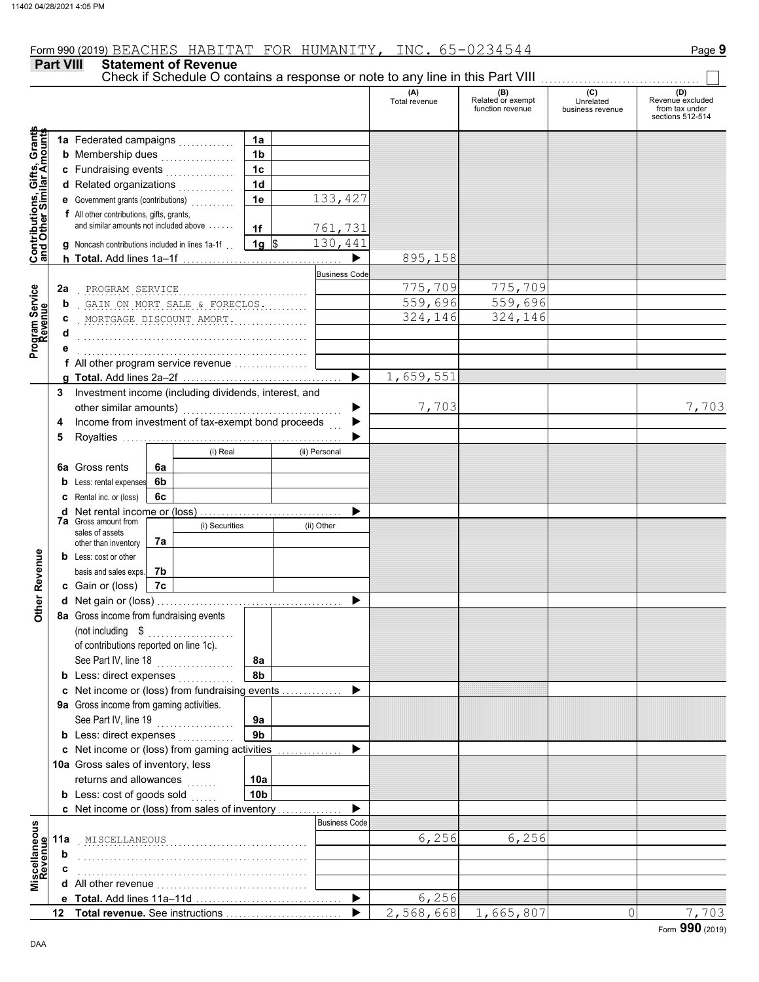**Part VIII Statement of Revenue**

Check if Schedule O contains a response or note to any line in this Part VIII

#### **(A) (B) (C) (D)** Total revenue Related or exempt Unrelated Revenue excluded Function revenue in the venue of the venue excluded<br>
function revenue business revenue from tax under sections 512-514 **Contributions, Gifts, Grants** Grant **1a 1a** Federated campaigns . . . . . . . . . . . **Gifts, Grand**<br>**Mark** Amot **1b b** Membership dues  $\ldots$  . . . . . . . . . . . . **1c c** Fundraising events . . . . . . . . . . . . . . . . **and Other Similar A 1d d** Related organizations <sub>.</sub> . . . . . . . . . . **Contributions,<br>and Other Simi 1e** 133,427 **e** Government grants (contributions) . . . . . . . . . . **f** All other contributions, gifts, grants, and similar amounts not included above  $\dots$ . **1f** 761,731 **1g**  $$ 130,441$ **g** Noncash contributions included in lines 1a-1f . .  $\blacktriangleright$ 895,158 **h Total.** Add lines 1a–1f . . . . . . . . . . . . . . . . . . . . . . . . . . . . . . . . . . . . . **Business Code** . . . . . . . . . . . . . . . . . . . . . . . . . . . . . . . . . . . . . . . . . . . . . . . . . . . . . PROGRAM SERVICE 775,709 775,709 **2a Program Service** . GAIN ON MORT SALE & FORECLOS. . . . . . . . . . . . . . . . . . 559,696 559,696 **b Revenue** . . . . . . . . . . . . . . . . . . . . . . . . . . . . . . . . . . . . . . . . . . . . . . . . . . . . . MORTGAGE DISCOUNT AMORT. 324,146 324,146 **c d** . . . . . . . . . . . . . . . . . . . . . . . . . . . . . . . . . . . . . . . . . . . . . . . . . . . . . **e** . . . . . . . . . . . . . . . . . . . . . . . . . . . . . . . . . . . . . . . . . . . . . . . . . . . . . **f** All other program service revenue . . . . . . . . . . . . . . . . . 659,551 **g Total.** Add lines 2a–2f . . . . . . . . . . . . . . . . . . . . . . . . . . . . . . . . . . . . . **3** Investment income (including dividends, interest, and 7,703 7,703 ь other similar amounts) . . . . . . . . . . . . . . . . . . . . . . . . . . . . . . . . . . . . . Income from investment of tax-exempt bond proceeds **4**  $\blacktriangleright$ **5** Royalties ..... ▶ (i) Real (ii) Personal **6a** Gross rents **6a 6b b** Less: rental expenses **6c c** Rental inc. or (loss) ь **d** Net rental income or (loss) . . . . . . . . . . . . . . . . . . . . . . . . . . . . . . . . . **7a** Gross amount from (i) Securities (ii) Other sales of assets **7a** other than inventory Other Revenue **Other Revenue b** Less: cost or other **7b** basis and sales exps. **c** Gain or (loss) **7c d** Net gain or (loss) . . . . . . . . . . . . . . . . . . . . . . . . . . . . . . . . . . . . . . . . . . . **8a** Gross income from fundraising events (not including  $\quad \mathsf{\$} \quad \ldots \quad \ldots \quad \ldots \quad \ldots \quad \ldots$ of contributions reported on line 1c). See Part IV, line 18 . . . . . . . . . . . . . . . . . . **8a 8b b** Less: direct expenses <sub>.</sub> . . . . . . . . . . **c** Net income or (loss) from fundraising events . . . . . . . . . . . . . . ▶ **9a** Gross income from gaming activities. See Part IV, line 19 . . . . . . . . . . . . . . . . . . **9a 9b b** Less: direct expenses  $\ldots$  $\blacktriangleright$ Net income or (loss) from gaming activities . . . . . . . . . . . . . . . **c** 10a Gross sales of inventory, less returns and allowances **10a 10b b** Less:  $\cosh$  of goods  $\sinh$  $\blacktriangleright$ Net income or (loss) from sales of inventory . . . . . . . . . . . . . . . **c** Business Code **Miscellaneous**<br>Revenue **Miscellaneous** . . . . . . . . . . . . . . . . . . . . . . . . . . . . . . . . . . . . . . . . . . . . . . . . . . . . . MISCELLANEOUS 6,256 6,256 **11a b** . . . . . . . . . . . . . . . . . . . . . . . . . . . . . . . . . . . . . . . . . . . . . . . . . . . . . **c** . . . . . . . . . . . . . . . . . . . . . . . . . . . . . . . . . . . . . . . . . . . . . . . . . . . . . **d** All other revenue . . . . . . . . . . . . . . . . . . . . . . . . . . . . . . . . . . . Total. Add lines 11a-11d ь 6,256 **e** 2,568,668 1,665,807 0 7,703 **Total revenue.** See instructions  $\blacktriangleright$ **12**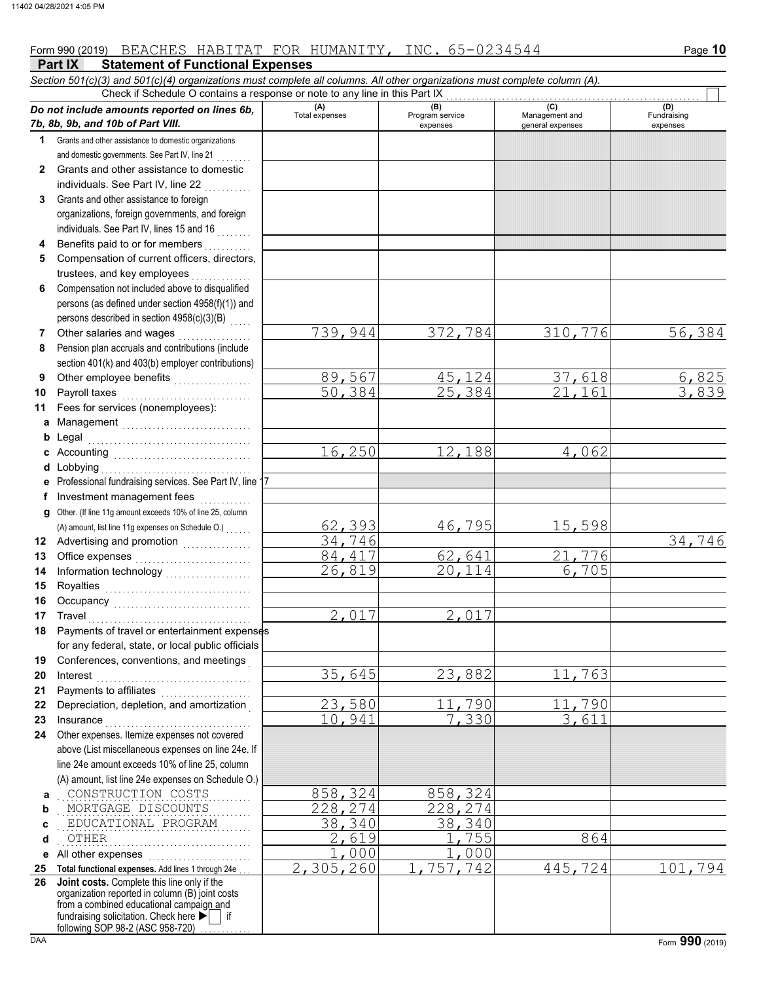# Form 990 (2019) Page **10** BEACHES HABITAT FOR HUMANITY, INC. 65-0234544

**Part IX Statement of Functional Expenses** *Section 501(c)(3) and 501(c)(4) organizations must complete all columns. All other organizations must complete column (A). Do not include amounts reported on lines 6b, 7b, 8b, 9b, and 10b of Part VIII.* **1 2 3 4 5 6 7 8 9 10 11 a** Management . . . . . . . . . . . . . . . . . . . . . . . . . . . . . . **b** Legal **c** Accounting . . . . . . . . . . . . . . . . . . . . . . . . . . . . . . . . **d** Lobbying . . . . . . . . . . . . . . . . . . . . . . . . . . . . . . . . . . . **e f g** Other. (If line 11g amount exceeds 10% of line 25, column **12** Advertising and promotion **. . . . . . . . . . . .** . . **13 14 15 16 17 18 19 20 21 22 23 24 a** . . . . . . . . . . . . . . . . . . . . . . . . . . . . . . . . . . . . . . . . . . . . . CONSTRUCTION COSTS 858,324 858,324 **b c d e** All other expenses . . . . . . . . . . . . . . . . . . . . . . . . **25 Total functional expenses.** Add lines 1 through 24e . . . **26** Grants and other assistance to domestic organizations and domestic governments. See Part IV, line 21 Grants and other assistance to domestic individuals. See Part IV, line 22 Grants and other assistance to foreign organizations, foreign governments, and foreign individuals. See Part IV, lines 15 and 16 Benefits paid to or for members . . . . . . . . . . Compensation of current officers, directors, trustees, and key employees . . . . . . . Compensation not included above to disqualified persons (as defined under section 4958(f)(1)) and persons described in section  $4958(c)(3)(B)$ Other salaries and wages .................. Pension plan accruals and contributions (include section 401(k) and 403(b) employer contributions) Other employee benefits ................... Payroll taxes . . . . . . . . . . . . . . . . . . . . . . . . . . . . . . Fees for services (nonemployees): . . . . . . . . . . . . . . . . . . . . . . . . . . . . . . . . . . . . . . Professional fundraising services. See Part IV, line 17 Investment management fees .............. Office expenses . . . . . . . . . . . . . . . . . . . . . . . . . . . Information technology . . . . . . . . . . . . . . . . . . . . Royalties . . . . . . . . . . . . . . . . . . . . . . . . . . . . . . . . . . Occupancy . . . . . . . . . . . . . . . . . . . . . . . . . . . . . . . . Travel . . . . . . . . . . . . . . . . . . . . . . . . . . . . . . . . . . . . . . Payments of travel or entertainment expenses for any federal, state, or local public officials Conferences, conventions, and meetings . Interest . . . . . . . . . . . . . . . . . . . . . . . . . . . . . . . . . . . . Payments to affiliates ...................... Depreciation, depletion, and amortization . Insurance . . . . . . . . . . . . . . . . . . . . . . . . . . . . . . . . . . Other expenses. Itemize expenses not covered above (List miscellaneous expenses on line 24e. If line 24e amount exceeds 10% of line 25, column (A) amount, list line 24e expenses on Schedule O.) fundraising solicitation. Check here  $\blacktriangleright$  | if organization reported in column (B) joint costs from a combined educational campaign and following SOP 98-2 (ASC 958-720) **(A) (B) (C) (D)** Total expenses<br>
expenses Program service<br>  $\begin{array}{ccc} \text{Mana} & \text{Perib} \\ \text{Mana} & \text{Perib} \\ \text{General expenses} \end{array}$ expenses general expenses (D)<br>Fundraising expenses MORTGAGE DISCOUNTS 228,274 228,274 EDUCATIONAL PROGRAM 28,340 . . . . . . . . . . . . . . . . . . . . . . . . . . . . . . . . . . . . . . . . . . . . . OTHER 2,619 1,755 864 Check if Schedule O contains a response or note to any line in this Part IX **Joint costs.** Complete this line only if the (A) amount, list line 11g expenses on Schedule O.) . . . . . . 739,944 372,784 310,776 56,384 and the state of the state of the state of the state of the state of the state of the state of the state of th<br>  $\frac{89,567}{50,384}$   $\frac{45,124}{21,161}$   $\frac{3,839}{3,839}$ 50,384 16,250 12,188 4,062 62,393 46,795 15,598<br>34.746 34,746 34,746 84,417 62,641 21,776<br>26,819 20,114 6,705 26,819 2,017 2,017 35,645 23,882 11,763 23,580 11,790 11,790<br>10.941 7.330 3.611 10,941  $\frac{1,000}{305,260}$   $\frac{1,000}{1,757,742}$ 2,305,260 1,757,742 445,724 101,794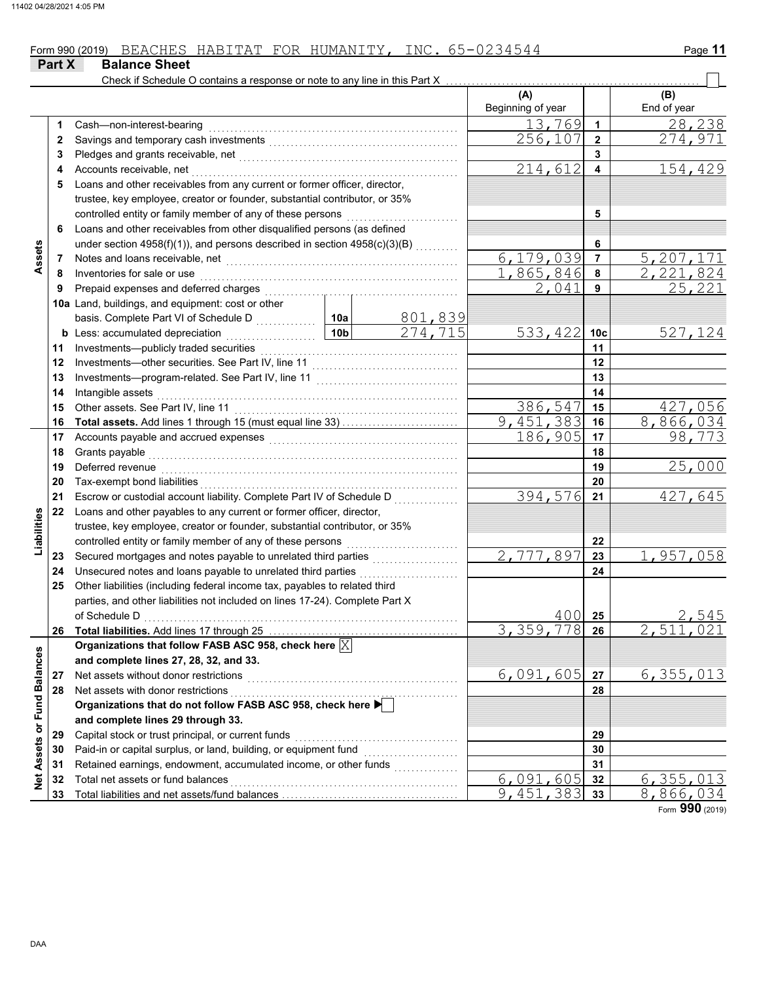|                             | Part X | <b>Balance Sheet</b>                                                                                                                                                                                                           |                 |         |                   |                 |             |
|-----------------------------|--------|--------------------------------------------------------------------------------------------------------------------------------------------------------------------------------------------------------------------------------|-----------------|---------|-------------------|-----------------|-------------|
|                             |        | Check if Schedule O contains a response or note to any line in this Part X                                                                                                                                                     |                 |         |                   |                 |             |
|                             |        |                                                                                                                                                                                                                                |                 |         | (A)               |                 | (B)         |
|                             |        |                                                                                                                                                                                                                                |                 |         | Beginning of year |                 | End of year |
|                             | 1.     | Cash-non-interest-bearing                                                                                                                                                                                                      |                 |         | 13,769            | $\mathbf{1}$    | 28,238      |
|                             | 2      |                                                                                                                                                                                                                                |                 |         | 256,107           | $\mathbf{2}$    | 274,971     |
|                             | 3      |                                                                                                                                                                                                                                |                 |         |                   | 3               |             |
|                             | 4      | Accounts receivable, net                                                                                                                                                                                                       |                 |         | 214,612           | 4               | 154, 429    |
|                             | 5      | Loans and other receivables from any current or former officer, director,                                                                                                                                                      |                 |         |                   |                 |             |
|                             |        | trustee, key employee, creator or founder, substantial contributor, or 35%                                                                                                                                                     |                 |         |                   |                 |             |
|                             |        | controlled entity or family member of any of these persons                                                                                                                                                                     |                 |         |                   | 5               |             |
|                             | 6      | Loans and other receivables from other disqualified persons (as defined                                                                                                                                                        |                 |         |                   |                 |             |
|                             |        | under section 4958(f)(1)), and persons described in section 4958(c)(3)(B)                                                                                                                                                      |                 |         |                   | 6               |             |
| Assets                      | 7      |                                                                                                                                                                                                                                |                 |         | 6,179,039         | $\overline{7}$  | 5,207,171   |
|                             | 8      | Inventories for sale or use                                                                                                                                                                                                    |                 |         | 1,865,846         | 8               | 2,221,824   |
|                             | 9      | Prepaid expenses and deferred charges                                                                                                                                                                                          |                 |         | 2,041             | 9               | 25,221      |
|                             |        | 10a Land, buildings, and equipment: cost or other                                                                                                                                                                              |                 |         |                   |                 |             |
|                             |        | basis. Complete Part VI of Schedule D                                                                                                                                                                                          | 10a             | 801,839 |                   |                 |             |
|                             |        | <b>b</b> Less: accumulated depreciation<br>.                                                                                                                                                                                   | 10 <sub>b</sub> | 274,715 | 533,422           | 10 <sub>c</sub> | 527, 124    |
|                             | 11     | Investments-publicly traded securities                                                                                                                                                                                         |                 |         |                   | 11              |             |
|                             | 12     |                                                                                                                                                                                                                                |                 |         |                   | 12              |             |
|                             | 13     |                                                                                                                                                                                                                                |                 |         |                   | 13              |             |
|                             | 14     | Intangible assets                                                                                                                                                                                                              |                 |         |                   | 14              |             |
|                             | 15     | Other assets. See Part IV, line 11                                                                                                                                                                                             |                 |         | 386,547           | 15              | 427,056     |
|                             | 16     |                                                                                                                                                                                                                                |                 |         | 9,451,383         | 16              | 8,866,034   |
|                             | 17     | Accounts payable and accrued expenses [[11] [11] Accounts payable and accrued expenses [[11] [11] Accounts are not accredit a contract a metal of the set of the set of the set of the set of the set of the set of the set of |                 |         | 186,905           | 17              | 98,773      |
|                             | 18     | Grants payable                                                                                                                                                                                                                 |                 |         |                   | 18              |             |
|                             | 19     | Deferred revenue                                                                                                                                                                                                               |                 |         |                   | 19              | 25,000      |
|                             | 20     | Tax-exempt bond liabilities                                                                                                                                                                                                    |                 |         |                   | 20              |             |
|                             | 21     | Escrow or custodial account liability. Complete Part IV of Schedule D                                                                                                                                                          |                 |         | 394,576           | 21              | 427,645     |
|                             | 22     | Loans and other payables to any current or former officer, director,                                                                                                                                                           |                 |         |                   |                 |             |
|                             |        | trustee, key employee, creator or founder, substantial contributor, or 35%                                                                                                                                                     |                 |         |                   |                 |             |
| Liabilities                 |        | controlled entity or family member of any of these persons                                                                                                                                                                     |                 |         |                   | 22              |             |
|                             | 23     | Secured mortgages and notes payable to unrelated third parties                                                                                                                                                                 |                 |         | 2,777,897         | 23              | 1,957,058   |
|                             | 24     | Unsecured notes and loans payable to unrelated third parties                                                                                                                                                                   |                 | .       |                   | 24              |             |
|                             | 25     | Other liabilities (including federal income tax, payables to related third                                                                                                                                                     |                 |         |                   |                 |             |
|                             |        | parties, and other liabilities not included on lines 17-24). Complete Part X                                                                                                                                                   |                 |         |                   |                 |             |
|                             |        | of Schedule D                                                                                                                                                                                                                  |                 |         | $400$ 25          |                 | 2,545       |
|                             | 26     | Total liabilities. Add lines 17 through 25 [11, 12] [12, 13] [12, 13] [12, 13] [12, 13] [12, 13] [12, 13] [12, 13] [12, 13] [12, 13] [12, 13] [12, 13] [12, 13] [12, 13] [12, 13] [12, 13] [12, 13] [12, 13] [12, 13] [12, 13] |                 |         | 3,359,778         | 26              | 2,511,021   |
|                             |        | Organizations that follow FASB ASC 958, check here $\boxed{\times}$                                                                                                                                                            |                 |         |                   |                 |             |
|                             |        | and complete lines 27, 28, 32, and 33.                                                                                                                                                                                         |                 |         |                   |                 |             |
|                             | 27     | Net assets without donor restrictions                                                                                                                                                                                          |                 |         | 6,091,605         | 27              | 6, 355, 013 |
|                             | 28     | Net assets with donor restrictions                                                                                                                                                                                             |                 |         |                   | 28              |             |
|                             |        | Organizations that do not follow FASB ASC 958, check here D                                                                                                                                                                    |                 |         |                   |                 |             |
|                             |        | and complete lines 29 through 33.                                                                                                                                                                                              |                 |         |                   |                 |             |
|                             | 29     | Capital stock or trust principal, or current funds                                                                                                                                                                             |                 |         |                   | 29              |             |
|                             | 30     | Paid-in or capital surplus, or land, building, or equipment fund                                                                                                                                                               |                 |         |                   | 30              |             |
| Net Assets or Fund Balances | 31     | Retained earnings, endowment, accumulated income, or other funds                                                                                                                                                               |                 |         |                   | 31              |             |
|                             | 32     | Total net assets or fund balances                                                                                                                                                                                              |                 |         | 6,091,605         | 32              | 6, 355, 013 |
|                             | 33     |                                                                                                                                                                                                                                |                 |         | 9,451,383         | 33              | 8,866,034   |

Form **990** (2019)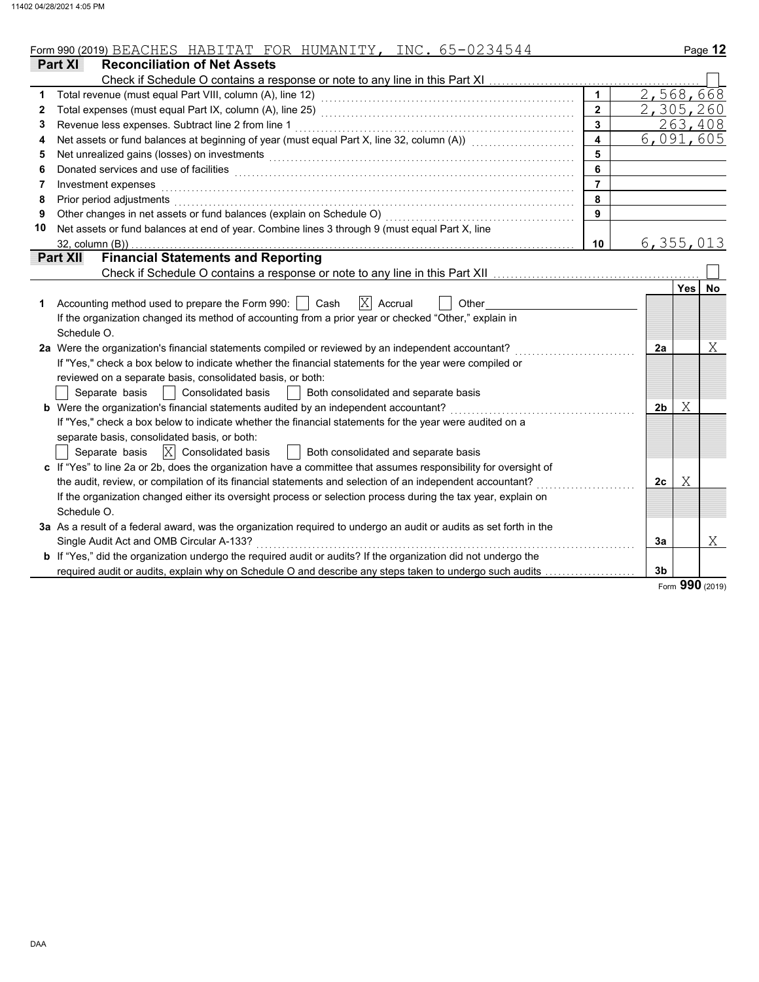|  | Form 990 (2019)<br>BEACHES | $.77 \rightarrow T$<br>HABITAT<br>71 H | 77 אירחידות ה<br>HUMANITY | <b>INC</b><br>$-$<br>$\overline{\phantom{0}}$ | Page |
|--|----------------------------|----------------------------------------|---------------------------|-----------------------------------------------|------|
|--|----------------------------|----------------------------------------|---------------------------|-----------------------------------------------|------|

|    | <b>Part XI</b><br><b>Reconciliation of Net Assets</b>                                                                                                                                                                          |                  |                |            |    |
|----|--------------------------------------------------------------------------------------------------------------------------------------------------------------------------------------------------------------------------------|------------------|----------------|------------|----|
|    | Check if Schedule O contains a response or note to any line in this Part XI                                                                                                                                                    |                  |                |            |    |
|    | Total revenue (must equal Part VIII, column (A), line 12)                                                                                                                                                                      | $\mathbf{1}$     | 2,568,668      |            |    |
| 2  |                                                                                                                                                                                                                                | $\overline{2}$   | 2,305,260      |            |    |
| 3  | Revenue less expenses. Subtract line 2 from line 1                                                                                                                                                                             | $\mathbf{3}$     |                | 263,408    |    |
| 4  | Net assets or fund balances at beginning of year (must equal Part X, line 32, column (A)) [[[[[[[[[[[[[[[[[[[                                                                                                                  | $\blacktriangle$ | 6,091,605      |            |    |
| 5  | Net unrealized gains (losses) on investments [11] with the content of the content of the content of the content of the content of the content of the content of the content of the content of the content of the content of th | 5                |                |            |    |
| 6  | Donated services and use of facilities <b>constructs</b> and all the construction of the service of the service of the                                                                                                         | 6                |                |            |    |
| 7  | Investment expenses                                                                                                                                                                                                            | $\overline{7}$   |                |            |    |
| 8  | Prior period adjustments                                                                                                                                                                                                       | 8                |                |            |    |
| 9  | Other changes in net assets or fund balances (explain on Schedule O)                                                                                                                                                           | 9                |                |            |    |
| 10 | Net assets or fund balances at end of year. Combine lines 3 through 9 (must equal Part X, line                                                                                                                                 |                  |                |            |    |
|    | 32, column (B))                                                                                                                                                                                                                | 10               | 6,355,013      |            |    |
|    | <b>Financial Statements and Reporting</b><br><b>Part XII</b>                                                                                                                                                                   |                  |                |            |    |
|    |                                                                                                                                                                                                                                |                  |                |            |    |
|    |                                                                                                                                                                                                                                |                  |                | <b>Yes</b> | No |
| 1  | $ X $ Accrual<br>Accounting method used to prepare the Form 990:     Cash<br>Other                                                                                                                                             |                  |                |            |    |
|    | If the organization changed its method of accounting from a prior year or checked "Other," explain in                                                                                                                          |                  |                |            |    |
|    | Schedule O.                                                                                                                                                                                                                    |                  |                |            |    |
|    | 2a Were the organization's financial statements compiled or reviewed by an independent accountant?                                                                                                                             |                  | 2a             |            | Χ  |
|    | If "Yes," check a box below to indicate whether the financial statements for the year were compiled or                                                                                                                         |                  |                |            |    |
|    | reviewed on a separate basis, consolidated basis, or both:                                                                                                                                                                     |                  |                |            |    |
|    | Separate basis<br><b>Consolidated basis</b><br>Both consolidated and separate basis                                                                                                                                            |                  |                |            |    |
|    | <b>b</b> Were the organization's financial statements audited by an independent accountant?<br><u> 1999 - Johann Stoff, amerikansk fotografisk fotografisk fotografisk fotografisk fotografisk fotografisk fotogr</u>          |                  | 2 <sub>b</sub> | Χ          |    |
|    | If "Yes," check a box below to indicate whether the financial statements for the year were audited on a                                                                                                                        |                  |                |            |    |
|    | separate basis, consolidated basis, or both:                                                                                                                                                                                   |                  |                |            |    |
|    | $ X $ Consolidated basis<br>Both consolidated and separate basis<br>Separate basis                                                                                                                                             |                  |                |            |    |
|    | c If "Yes" to line 2a or 2b, does the organization have a committee that assumes responsibility for oversight of                                                                                                               |                  |                |            |    |
|    | the audit, review, or compilation of its financial statements and selection of an independent accountant?                                                                                                                      |                  | 2 <sub>c</sub> | Χ          |    |
|    | If the organization changed either its oversight process or selection process during the tax year, explain on                                                                                                                  |                  |                |            |    |
|    | Schedule O.                                                                                                                                                                                                                    |                  |                |            |    |
|    | 3a As a result of a federal award, was the organization required to undergo an audit or audits as set forth in the                                                                                                             |                  |                |            |    |
|    | Single Audit Act and OMB Circular A-133?                                                                                                                                                                                       |                  | 3a             |            | Χ  |
|    | <b>b</b> If "Yes," did the organization undergo the required audit or audits? If the organization did not undergo the                                                                                                          |                  |                |            |    |
|    | required audit or audits, explain why on Schedule O and describe any steps taken to undergo such audits                                                                                                                        |                  | 3 <sub>b</sub> |            |    |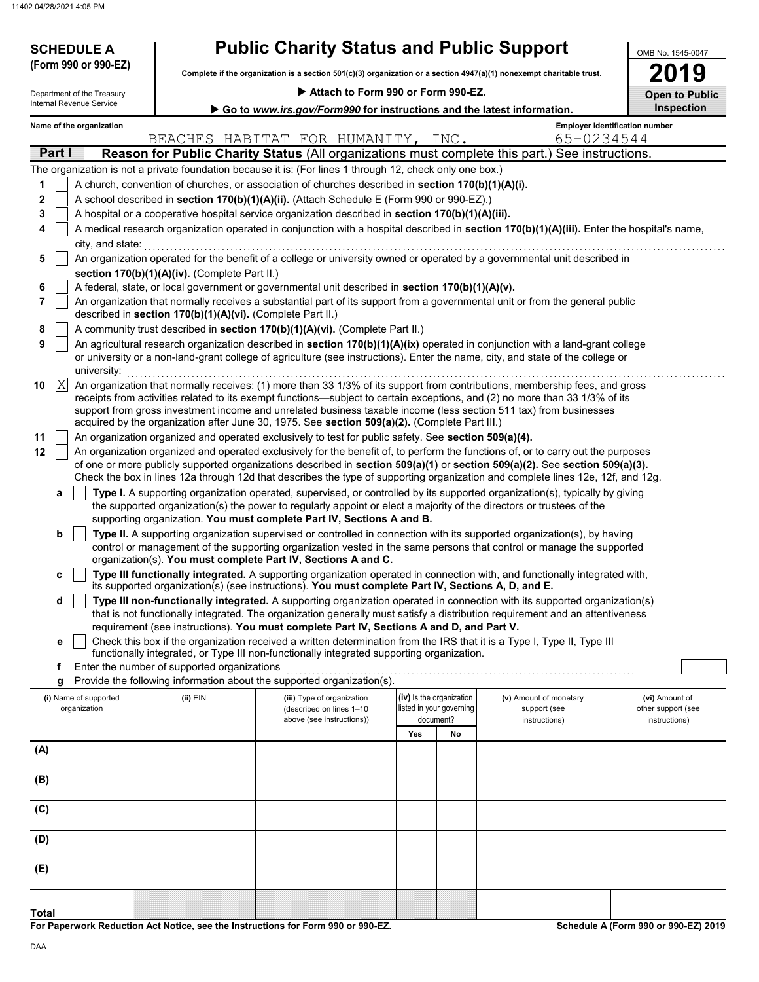**(Form 990 or 990-EZ)**

**SCHEDULE A** 

| <b>Public Charity Status and Public Support</b> |  |
|-------------------------------------------------|--|
|-------------------------------------------------|--|

**Complete if the organization is a section 501(c)(3) organization or a section 4947(a)(1) nonexempt charitable trust.**

| 2019                  |  |
|-----------------------|--|
| <b>Open to Public</b> |  |

OMB No. 1545-0047

| Go to www.irs.gov/Form990 for instructions and the latest information.<br><b>Employer identification number</b><br>Name of the organization<br>65-0234544<br>BEACHES HABITAT FOR HUMANITY, INC.<br>Reason for Public Charity Status (All organizations must complete this part.) See instructions.<br>Part I<br>The organization is not a private foundation because it is: (For lines 1 through 12, check only one box.)<br>A church, convention of churches, or association of churches described in section 170(b)(1)(A)(i).<br>1<br>2<br>A school described in section 170(b)(1)(A)(ii). (Attach Schedule E (Form 990 or 990-EZ).)<br>3<br>A hospital or a cooperative hospital service organization described in section 170(b)(1)(A)(iii).<br>A medical research organization operated in conjunction with a hospital described in section 170(b)(1)(A)(iii). Enter the hospital's name,<br>4<br>city, and state:<br>An organization operated for the benefit of a college or university owned or operated by a governmental unit described in<br>5<br>section 170(b)(1)(A)(iv). (Complete Part II.)<br>A federal, state, or local government or governmental unit described in section 170(b)(1)(A)(v).<br>6<br>7<br>An organization that normally receives a substantial part of its support from a governmental unit or from the general public<br>described in section 170(b)(1)(A)(vi). (Complete Part II.)<br>A community trust described in section 170(b)(1)(A)(vi). (Complete Part II.)<br>8<br>9<br>An agricultural research organization described in section 170(b)(1)(A)(ix) operated in conjunction with a land-grant college<br>or university or a non-land-grant college of agriculture (see instructions). Enter the name, city, and state of the college or<br>university:<br>X<br>An organization that normally receives: (1) more than 33 1/3% of its support from contributions, membership fees, and gross<br>10<br>receipts from activities related to its exempt functions—subject to certain exceptions, and (2) no more than 33 1/3% of its<br>support from gross investment income and unrelated business taxable income (less section 511 tax) from businesses<br>acquired by the organization after June 30, 1975. See section 509(a)(2). (Complete Part III.) | Internal Revenue Service | Department of the Treasury                                                                           |  |  | Attach to Form 990 or Form 990-EZ. |  |  |  |            |  |  |  |
|---------------------------------------------------------------------------------------------------------------------------------------------------------------------------------------------------------------------------------------------------------------------------------------------------------------------------------------------------------------------------------------------------------------------------------------------------------------------------------------------------------------------------------------------------------------------------------------------------------------------------------------------------------------------------------------------------------------------------------------------------------------------------------------------------------------------------------------------------------------------------------------------------------------------------------------------------------------------------------------------------------------------------------------------------------------------------------------------------------------------------------------------------------------------------------------------------------------------------------------------------------------------------------------------------------------------------------------------------------------------------------------------------------------------------------------------------------------------------------------------------------------------------------------------------------------------------------------------------------------------------------------------------------------------------------------------------------------------------------------------------------------------------------------------------------------------------------------------------------------------------------------------------------------------------------------------------------------------------------------------------------------------------------------------------------------------------------------------------------------------------------------------------------------------------------------------------------------------------------------------------------------------------------------------------|--------------------------|------------------------------------------------------------------------------------------------------|--|--|------------------------------------|--|--|--|------------|--|--|--|
|                                                                                                                                                                                                                                                                                                                                                                                                                                                                                                                                                                                                                                                                                                                                                                                                                                                                                                                                                                                                                                                                                                                                                                                                                                                                                                                                                                                                                                                                                                                                                                                                                                                                                                                                                                                                                                                                                                                                                                                                                                                                                                                                                                                                                                                                                                   |                          |                                                                                                      |  |  |                                    |  |  |  | Inspection |  |  |  |
|                                                                                                                                                                                                                                                                                                                                                                                                                                                                                                                                                                                                                                                                                                                                                                                                                                                                                                                                                                                                                                                                                                                                                                                                                                                                                                                                                                                                                                                                                                                                                                                                                                                                                                                                                                                                                                                                                                                                                                                                                                                                                                                                                                                                                                                                                                   |                          |                                                                                                      |  |  |                                    |  |  |  |            |  |  |  |
|                                                                                                                                                                                                                                                                                                                                                                                                                                                                                                                                                                                                                                                                                                                                                                                                                                                                                                                                                                                                                                                                                                                                                                                                                                                                                                                                                                                                                                                                                                                                                                                                                                                                                                                                                                                                                                                                                                                                                                                                                                                                                                                                                                                                                                                                                                   |                          |                                                                                                      |  |  |                                    |  |  |  |            |  |  |  |
|                                                                                                                                                                                                                                                                                                                                                                                                                                                                                                                                                                                                                                                                                                                                                                                                                                                                                                                                                                                                                                                                                                                                                                                                                                                                                                                                                                                                                                                                                                                                                                                                                                                                                                                                                                                                                                                                                                                                                                                                                                                                                                                                                                                                                                                                                                   |                          |                                                                                                      |  |  |                                    |  |  |  |            |  |  |  |
|                                                                                                                                                                                                                                                                                                                                                                                                                                                                                                                                                                                                                                                                                                                                                                                                                                                                                                                                                                                                                                                                                                                                                                                                                                                                                                                                                                                                                                                                                                                                                                                                                                                                                                                                                                                                                                                                                                                                                                                                                                                                                                                                                                                                                                                                                                   |                          |                                                                                                      |  |  |                                    |  |  |  |            |  |  |  |
|                                                                                                                                                                                                                                                                                                                                                                                                                                                                                                                                                                                                                                                                                                                                                                                                                                                                                                                                                                                                                                                                                                                                                                                                                                                                                                                                                                                                                                                                                                                                                                                                                                                                                                                                                                                                                                                                                                                                                                                                                                                                                                                                                                                                                                                                                                   |                          |                                                                                                      |  |  |                                    |  |  |  |            |  |  |  |
|                                                                                                                                                                                                                                                                                                                                                                                                                                                                                                                                                                                                                                                                                                                                                                                                                                                                                                                                                                                                                                                                                                                                                                                                                                                                                                                                                                                                                                                                                                                                                                                                                                                                                                                                                                                                                                                                                                                                                                                                                                                                                                                                                                                                                                                                                                   |                          |                                                                                                      |  |  |                                    |  |  |  |            |  |  |  |
|                                                                                                                                                                                                                                                                                                                                                                                                                                                                                                                                                                                                                                                                                                                                                                                                                                                                                                                                                                                                                                                                                                                                                                                                                                                                                                                                                                                                                                                                                                                                                                                                                                                                                                                                                                                                                                                                                                                                                                                                                                                                                                                                                                                                                                                                                                   |                          |                                                                                                      |  |  |                                    |  |  |  |            |  |  |  |
|                                                                                                                                                                                                                                                                                                                                                                                                                                                                                                                                                                                                                                                                                                                                                                                                                                                                                                                                                                                                                                                                                                                                                                                                                                                                                                                                                                                                                                                                                                                                                                                                                                                                                                                                                                                                                                                                                                                                                                                                                                                                                                                                                                                                                                                                                                   |                          |                                                                                                      |  |  |                                    |  |  |  |            |  |  |  |
|                                                                                                                                                                                                                                                                                                                                                                                                                                                                                                                                                                                                                                                                                                                                                                                                                                                                                                                                                                                                                                                                                                                                                                                                                                                                                                                                                                                                                                                                                                                                                                                                                                                                                                                                                                                                                                                                                                                                                                                                                                                                                                                                                                                                                                                                                                   |                          |                                                                                                      |  |  |                                    |  |  |  |            |  |  |  |
|                                                                                                                                                                                                                                                                                                                                                                                                                                                                                                                                                                                                                                                                                                                                                                                                                                                                                                                                                                                                                                                                                                                                                                                                                                                                                                                                                                                                                                                                                                                                                                                                                                                                                                                                                                                                                                                                                                                                                                                                                                                                                                                                                                                                                                                                                                   |                          |                                                                                                      |  |  |                                    |  |  |  |            |  |  |  |
|                                                                                                                                                                                                                                                                                                                                                                                                                                                                                                                                                                                                                                                                                                                                                                                                                                                                                                                                                                                                                                                                                                                                                                                                                                                                                                                                                                                                                                                                                                                                                                                                                                                                                                                                                                                                                                                                                                                                                                                                                                                                                                                                                                                                                                                                                                   |                          |                                                                                                      |  |  |                                    |  |  |  |            |  |  |  |
|                                                                                                                                                                                                                                                                                                                                                                                                                                                                                                                                                                                                                                                                                                                                                                                                                                                                                                                                                                                                                                                                                                                                                                                                                                                                                                                                                                                                                                                                                                                                                                                                                                                                                                                                                                                                                                                                                                                                                                                                                                                                                                                                                                                                                                                                                                   |                          |                                                                                                      |  |  |                                    |  |  |  |            |  |  |  |
|                                                                                                                                                                                                                                                                                                                                                                                                                                                                                                                                                                                                                                                                                                                                                                                                                                                                                                                                                                                                                                                                                                                                                                                                                                                                                                                                                                                                                                                                                                                                                                                                                                                                                                                                                                                                                                                                                                                                                                                                                                                                                                                                                                                                                                                                                                   |                          |                                                                                                      |  |  |                                    |  |  |  |            |  |  |  |
|                                                                                                                                                                                                                                                                                                                                                                                                                                                                                                                                                                                                                                                                                                                                                                                                                                                                                                                                                                                                                                                                                                                                                                                                                                                                                                                                                                                                                                                                                                                                                                                                                                                                                                                                                                                                                                                                                                                                                                                                                                                                                                                                                                                                                                                                                                   |                          |                                                                                                      |  |  |                                    |  |  |  |            |  |  |  |
|                                                                                                                                                                                                                                                                                                                                                                                                                                                                                                                                                                                                                                                                                                                                                                                                                                                                                                                                                                                                                                                                                                                                                                                                                                                                                                                                                                                                                                                                                                                                                                                                                                                                                                                                                                                                                                                                                                                                                                                                                                                                                                                                                                                                                                                                                                   |                          |                                                                                                      |  |  |                                    |  |  |  |            |  |  |  |
|                                                                                                                                                                                                                                                                                                                                                                                                                                                                                                                                                                                                                                                                                                                                                                                                                                                                                                                                                                                                                                                                                                                                                                                                                                                                                                                                                                                                                                                                                                                                                                                                                                                                                                                                                                                                                                                                                                                                                                                                                                                                                                                                                                                                                                                                                                   | 11                       | An organization organized and operated exclusively to test for public safety. See section 509(a)(4). |  |  |                                    |  |  |  |            |  |  |  |
| 12<br>An organization organized and operated exclusively for the benefit of, to perform the functions of, or to carry out the purposes                                                                                                                                                                                                                                                                                                                                                                                                                                                                                                                                                                                                                                                                                                                                                                                                                                                                                                                                                                                                                                                                                                                                                                                                                                                                                                                                                                                                                                                                                                                                                                                                                                                                                                                                                                                                                                                                                                                                                                                                                                                                                                                                                            |                          |                                                                                                      |  |  |                                    |  |  |  |            |  |  |  |
| of one or more publicly supported organizations described in section 509(a)(1) or section 509(a)(2). See section 509(a)(3).                                                                                                                                                                                                                                                                                                                                                                                                                                                                                                                                                                                                                                                                                                                                                                                                                                                                                                                                                                                                                                                                                                                                                                                                                                                                                                                                                                                                                                                                                                                                                                                                                                                                                                                                                                                                                                                                                                                                                                                                                                                                                                                                                                       |                          |                                                                                                      |  |  |                                    |  |  |  |            |  |  |  |
| Check the box in lines 12a through 12d that describes the type of supporting organization and complete lines 12e, 12f, and 12g.                                                                                                                                                                                                                                                                                                                                                                                                                                                                                                                                                                                                                                                                                                                                                                                                                                                                                                                                                                                                                                                                                                                                                                                                                                                                                                                                                                                                                                                                                                                                                                                                                                                                                                                                                                                                                                                                                                                                                                                                                                                                                                                                                                   |                          |                                                                                                      |  |  |                                    |  |  |  |            |  |  |  |
| Type I. A supporting organization operated, supervised, or controlled by its supported organization(s), typically by giving<br>а<br>the supported organization(s) the power to regularly appoint or elect a majority of the directors or trustees of the                                                                                                                                                                                                                                                                                                                                                                                                                                                                                                                                                                                                                                                                                                                                                                                                                                                                                                                                                                                                                                                                                                                                                                                                                                                                                                                                                                                                                                                                                                                                                                                                                                                                                                                                                                                                                                                                                                                                                                                                                                          |                          |                                                                                                      |  |  |                                    |  |  |  |            |  |  |  |
| supporting organization. You must complete Part IV, Sections A and B.                                                                                                                                                                                                                                                                                                                                                                                                                                                                                                                                                                                                                                                                                                                                                                                                                                                                                                                                                                                                                                                                                                                                                                                                                                                                                                                                                                                                                                                                                                                                                                                                                                                                                                                                                                                                                                                                                                                                                                                                                                                                                                                                                                                                                             |                          |                                                                                                      |  |  |                                    |  |  |  |            |  |  |  |
| b<br>Type II. A supporting organization supervised or controlled in connection with its supported organization(s), by having                                                                                                                                                                                                                                                                                                                                                                                                                                                                                                                                                                                                                                                                                                                                                                                                                                                                                                                                                                                                                                                                                                                                                                                                                                                                                                                                                                                                                                                                                                                                                                                                                                                                                                                                                                                                                                                                                                                                                                                                                                                                                                                                                                      |                          |                                                                                                      |  |  |                                    |  |  |  |            |  |  |  |
| control or management of the supporting organization vested in the same persons that control or manage the supported                                                                                                                                                                                                                                                                                                                                                                                                                                                                                                                                                                                                                                                                                                                                                                                                                                                                                                                                                                                                                                                                                                                                                                                                                                                                                                                                                                                                                                                                                                                                                                                                                                                                                                                                                                                                                                                                                                                                                                                                                                                                                                                                                                              |                          |                                                                                                      |  |  |                                    |  |  |  |            |  |  |  |
| organization(s). You must complete Part IV, Sections A and C.                                                                                                                                                                                                                                                                                                                                                                                                                                                                                                                                                                                                                                                                                                                                                                                                                                                                                                                                                                                                                                                                                                                                                                                                                                                                                                                                                                                                                                                                                                                                                                                                                                                                                                                                                                                                                                                                                                                                                                                                                                                                                                                                                                                                                                     |                          |                                                                                                      |  |  |                                    |  |  |  |            |  |  |  |
| Type III functionally integrated. A supporting organization operated in connection with, and functionally integrated with,<br>c<br>its supported organization(s) (see instructions). You must complete Part IV, Sections A, D, and E.                                                                                                                                                                                                                                                                                                                                                                                                                                                                                                                                                                                                                                                                                                                                                                                                                                                                                                                                                                                                                                                                                                                                                                                                                                                                                                                                                                                                                                                                                                                                                                                                                                                                                                                                                                                                                                                                                                                                                                                                                                                             |                          |                                                                                                      |  |  |                                    |  |  |  |            |  |  |  |
| Type III non-functionally integrated. A supporting organization operated in connection with its supported organization(s)<br>d                                                                                                                                                                                                                                                                                                                                                                                                                                                                                                                                                                                                                                                                                                                                                                                                                                                                                                                                                                                                                                                                                                                                                                                                                                                                                                                                                                                                                                                                                                                                                                                                                                                                                                                                                                                                                                                                                                                                                                                                                                                                                                                                                                    |                          |                                                                                                      |  |  |                                    |  |  |  |            |  |  |  |
| that is not functionally integrated. The organization generally must satisfy a distribution requirement and an attentiveness                                                                                                                                                                                                                                                                                                                                                                                                                                                                                                                                                                                                                                                                                                                                                                                                                                                                                                                                                                                                                                                                                                                                                                                                                                                                                                                                                                                                                                                                                                                                                                                                                                                                                                                                                                                                                                                                                                                                                                                                                                                                                                                                                                      |                          |                                                                                                      |  |  |                                    |  |  |  |            |  |  |  |
| requirement (see instructions). You must complete Part IV, Sections A and D, and Part V.                                                                                                                                                                                                                                                                                                                                                                                                                                                                                                                                                                                                                                                                                                                                                                                                                                                                                                                                                                                                                                                                                                                                                                                                                                                                                                                                                                                                                                                                                                                                                                                                                                                                                                                                                                                                                                                                                                                                                                                                                                                                                                                                                                                                          |                          |                                                                                                      |  |  |                                    |  |  |  |            |  |  |  |
| Check this box if the organization received a written determination from the IRS that it is a Type I, Type II, Type III<br>е<br>functionally integrated, or Type III non-functionally integrated supporting organization.                                                                                                                                                                                                                                                                                                                                                                                                                                                                                                                                                                                                                                                                                                                                                                                                                                                                                                                                                                                                                                                                                                                                                                                                                                                                                                                                                                                                                                                                                                                                                                                                                                                                                                                                                                                                                                                                                                                                                                                                                                                                         |                          |                                                                                                      |  |  |                                    |  |  |  |            |  |  |  |
| Enter the number of supported organizations<br>f                                                                                                                                                                                                                                                                                                                                                                                                                                                                                                                                                                                                                                                                                                                                                                                                                                                                                                                                                                                                                                                                                                                                                                                                                                                                                                                                                                                                                                                                                                                                                                                                                                                                                                                                                                                                                                                                                                                                                                                                                                                                                                                                                                                                                                                  |                          |                                                                                                      |  |  |                                    |  |  |  |            |  |  |  |
| Provide the following information about the supported organization(s).<br>g                                                                                                                                                                                                                                                                                                                                                                                                                                                                                                                                                                                                                                                                                                                                                                                                                                                                                                                                                                                                                                                                                                                                                                                                                                                                                                                                                                                                                                                                                                                                                                                                                                                                                                                                                                                                                                                                                                                                                                                                                                                                                                                                                                                                                       |                          |                                                                                                      |  |  |                                    |  |  |  |            |  |  |  |
| (iv) Is the organization<br>(ii) EIN<br>(i) Name of supported<br>(iii) Type of organization<br>(v) Amount of monetary<br>(vi) Amount of                                                                                                                                                                                                                                                                                                                                                                                                                                                                                                                                                                                                                                                                                                                                                                                                                                                                                                                                                                                                                                                                                                                                                                                                                                                                                                                                                                                                                                                                                                                                                                                                                                                                                                                                                                                                                                                                                                                                                                                                                                                                                                                                                           |                          |                                                                                                      |  |  |                                    |  |  |  |            |  |  |  |
| organization<br>listed in your governing<br>(described on lines 1-10<br>support (see<br>other support (see<br>document?<br>above (see instructions))<br>instructions)<br>instructions)                                                                                                                                                                                                                                                                                                                                                                                                                                                                                                                                                                                                                                                                                                                                                                                                                                                                                                                                                                                                                                                                                                                                                                                                                                                                                                                                                                                                                                                                                                                                                                                                                                                                                                                                                                                                                                                                                                                                                                                                                                                                                                            |                          |                                                                                                      |  |  |                                    |  |  |  |            |  |  |  |
| Yes<br>No                                                                                                                                                                                                                                                                                                                                                                                                                                                                                                                                                                                                                                                                                                                                                                                                                                                                                                                                                                                                                                                                                                                                                                                                                                                                                                                                                                                                                                                                                                                                                                                                                                                                                                                                                                                                                                                                                                                                                                                                                                                                                                                                                                                                                                                                                         |                          |                                                                                                      |  |  |                                    |  |  |  |            |  |  |  |
| (A)                                                                                                                                                                                                                                                                                                                                                                                                                                                                                                                                                                                                                                                                                                                                                                                                                                                                                                                                                                                                                                                                                                                                                                                                                                                                                                                                                                                                                                                                                                                                                                                                                                                                                                                                                                                                                                                                                                                                                                                                                                                                                                                                                                                                                                                                                               |                          |                                                                                                      |  |  |                                    |  |  |  |            |  |  |  |
| (B)                                                                                                                                                                                                                                                                                                                                                                                                                                                                                                                                                                                                                                                                                                                                                                                                                                                                                                                                                                                                                                                                                                                                                                                                                                                                                                                                                                                                                                                                                                                                                                                                                                                                                                                                                                                                                                                                                                                                                                                                                                                                                                                                                                                                                                                                                               |                          |                                                                                                      |  |  |                                    |  |  |  |            |  |  |  |
|                                                                                                                                                                                                                                                                                                                                                                                                                                                                                                                                                                                                                                                                                                                                                                                                                                                                                                                                                                                                                                                                                                                                                                                                                                                                                                                                                                                                                                                                                                                                                                                                                                                                                                                                                                                                                                                                                                                                                                                                                                                                                                                                                                                                                                                                                                   |                          |                                                                                                      |  |  |                                    |  |  |  |            |  |  |  |
| (C)                                                                                                                                                                                                                                                                                                                                                                                                                                                                                                                                                                                                                                                                                                                                                                                                                                                                                                                                                                                                                                                                                                                                                                                                                                                                                                                                                                                                                                                                                                                                                                                                                                                                                                                                                                                                                                                                                                                                                                                                                                                                                                                                                                                                                                                                                               |                          |                                                                                                      |  |  |                                    |  |  |  |            |  |  |  |
| (D)                                                                                                                                                                                                                                                                                                                                                                                                                                                                                                                                                                                                                                                                                                                                                                                                                                                                                                                                                                                                                                                                                                                                                                                                                                                                                                                                                                                                                                                                                                                                                                                                                                                                                                                                                                                                                                                                                                                                                                                                                                                                                                                                                                                                                                                                                               |                          |                                                                                                      |  |  |                                    |  |  |  |            |  |  |  |
| (E)                                                                                                                                                                                                                                                                                                                                                                                                                                                                                                                                                                                                                                                                                                                                                                                                                                                                                                                                                                                                                                                                                                                                                                                                                                                                                                                                                                                                                                                                                                                                                                                                                                                                                                                                                                                                                                                                                                                                                                                                                                                                                                                                                                                                                                                                                               |                          |                                                                                                      |  |  |                                    |  |  |  |            |  |  |  |
| <b>Total</b>                                                                                                                                                                                                                                                                                                                                                                                                                                                                                                                                                                                                                                                                                                                                                                                                                                                                                                                                                                                                                                                                                                                                                                                                                                                                                                                                                                                                                                                                                                                                                                                                                                                                                                                                                                                                                                                                                                                                                                                                                                                                                                                                                                                                                                                                                      |                          |                                                                                                      |  |  |                                    |  |  |  |            |  |  |  |

**For Paperwork Reduction Act Notice, see the Instructions for Form 990 or 990-EZ.**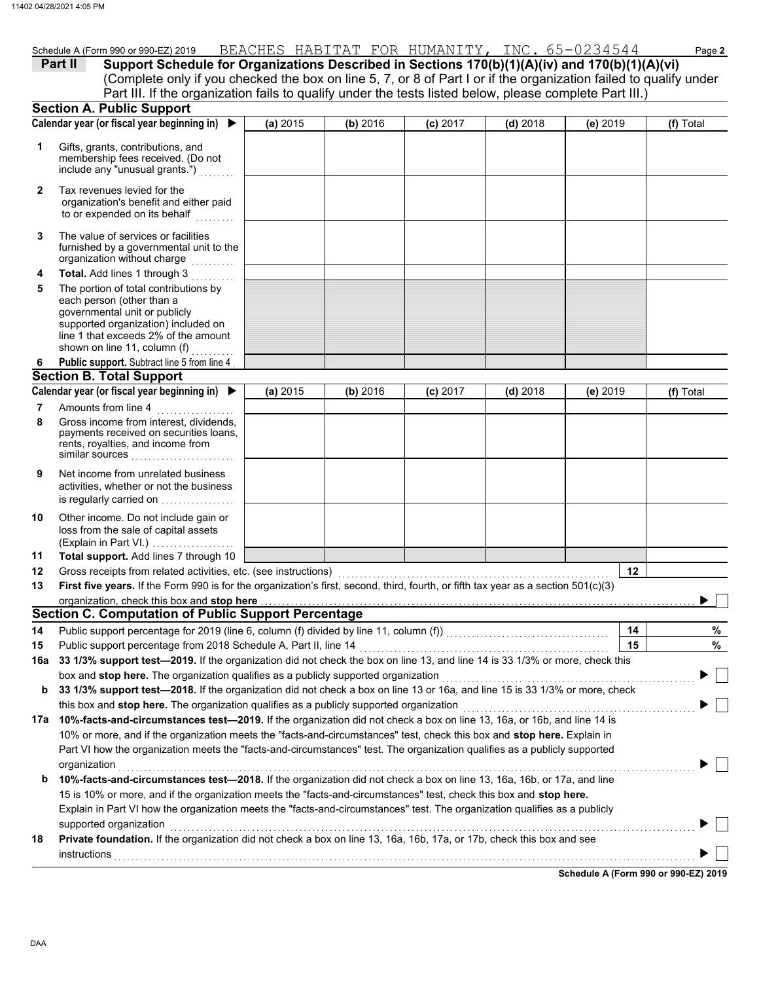|         | Schedule A (Form 990 or 990-EZ) 2019                                                                    |  |  | BEACHES HABITAT FOR HUMANITY, INC. 65-0234544                                                                     | Page 2 |
|---------|---------------------------------------------------------------------------------------------------------|--|--|-------------------------------------------------------------------------------------------------------------------|--------|
| Part II |                                                                                                         |  |  | Support Schedule for Organizations Described in Sections 170(b)(1)(A)(iv) and 170(b)(1)(A)(vi)                    |        |
|         |                                                                                                         |  |  | (Complete only if you checked the box on line 5, 7, or 8 of Part I or if the organization failed to qualify under |        |
|         | Part III. If the organization fails to qualify under the tests listed below, please complete Part III.) |  |  |                                                                                                                   |        |

|        | <b>Section A. Public Support</b>                                                                                                                                                                                                                     |          |          |            |            |          |            |  |
|--------|------------------------------------------------------------------------------------------------------------------------------------------------------------------------------------------------------------------------------------------------------|----------|----------|------------|------------|----------|------------|--|
|        | Calendar year (or fiscal year beginning in) $\blacktriangleright$                                                                                                                                                                                    | (a) 2015 | (b) 2016 | $(c)$ 2017 | $(d)$ 2018 | (e) 2019 | (f) Total  |  |
| 1      | Gifts, grants, contributions, and<br>membership fees received. (Do not<br>include any "unusual grants.")                                                                                                                                             |          |          |            |            |          |            |  |
| 2      | Tax revenues levied for the<br>organization's benefit and either paid<br>to or expended on its behalf<br>.                                                                                                                                           |          |          |            |            |          |            |  |
| 3      | The value of services or facilities<br>furnished by a governmental unit to the<br>organization without charge<br>.                                                                                                                                   |          |          |            |            |          |            |  |
| 4<br>5 | Total. Add lines 1 through 3<br>The portion of total contributions by<br>each person (other than a<br>governmental unit or publicly<br>supported organization) included on<br>line 1 that exceeds 2% of the amount<br>shown on line 11, column $(f)$ |          |          |            |            |          |            |  |
| 6      | Public support. Subtract line 5 from line 4                                                                                                                                                                                                          |          |          |            |            |          |            |  |
|        | <b>Section B. Total Support</b>                                                                                                                                                                                                                      |          |          |            |            |          |            |  |
|        | Calendar year (or fiscal year beginning in) $\blacktriangleright$                                                                                                                                                                                    | (a) 2015 | (b) 2016 | $(c)$ 2017 | $(d)$ 2018 | (e) 2019 | (f) Total  |  |
| 7      | Amounts from line 4                                                                                                                                                                                                                                  |          |          |            |            |          |            |  |
| 8      | Gross income from interest, dividends,<br>payments received on securities loans,<br>rents, royalties, and income from<br>similar sources                                                                                                             |          |          |            |            |          |            |  |
| 9      | Net income from unrelated business<br>activities, whether or not the business<br>is regularly carried on                                                                                                                                             |          |          |            |            |          |            |  |
| 10     | Other income. Do not include gain or<br>loss from the sale of capital assets<br>(Explain in Part VI.)                                                                                                                                                |          |          |            |            |          |            |  |
| 11     | Total support. Add lines 7 through 10                                                                                                                                                                                                                |          |          |            |            |          |            |  |
| 12     |                                                                                                                                                                                                                                                      |          |          |            |            |          | 12         |  |
| 13     | First five years. If the Form 990 is for the organization's first, second, third, fourth, or fifth tax year as a section 501(c)(3)                                                                                                                   |          |          |            |            |          |            |  |
|        | organization, check this box and stop here                                                                                                                                                                                                           |          |          |            |            |          |            |  |
|        | <b>Section C. Computation of Public Support Percentage</b>                                                                                                                                                                                           |          |          |            |            |          |            |  |
| 14     |                                                                                                                                                                                                                                                      |          |          |            |            |          | 14<br>%    |  |
| 15     | Public support percentage from 2018 Schedule A, Part II, line 14                                                                                                                                                                                     |          |          |            |            |          | $\%$<br>15 |  |
|        | 16a 33 1/3% support test—2019. If the organization did not check the box on line 13, and line 14 is 33 1/3% or more, check this                                                                                                                      |          |          |            |            |          |            |  |
|        | box and stop here. The organization qualifies as a publicly supported organization                                                                                                                                                                   |          |          |            |            |          |            |  |
| b      | 33 1/3% support test-2018. If the organization did not check a box on line 13 or 16a, and line 15 is 33 1/3% or more, check                                                                                                                          |          |          |            |            |          |            |  |
|        | this box and stop here. The organization qualifies as a publicly supported organization<br>10%-facts-and-circumstances test-2019. If the organization did not check a box on line 13, 16a, or 16b, and line 14 is                                    |          |          |            |            |          |            |  |
| 17a    | 10% or more, and if the organization meets the "facts-and-circumstances" test, check this box and stop here. Explain in                                                                                                                              |          |          |            |            |          |            |  |
|        | Part VI how the organization meets the "facts-and-circumstances" test. The organization qualifies as a publicly supported                                                                                                                            |          |          |            |            |          |            |  |
|        |                                                                                                                                                                                                                                                      |          |          |            |            |          |            |  |
| b      | organization<br>10%-facts-and-circumstances test-2018. If the organization did not check a box on line 13, 16a, 16b, or 17a, and line                                                                                                                |          |          |            |            |          |            |  |
|        | 15 is 10% or more, and if the organization meets the "facts-and-circumstances" test, check this box and stop here.                                                                                                                                   |          |          |            |            |          |            |  |
|        | Explain in Part VI how the organization meets the "facts-and-circumstances" test. The organization qualifies as a publicly                                                                                                                           |          |          |            |            |          |            |  |
|        | supported organization                                                                                                                                                                                                                               |          |          |            |            |          |            |  |
| 18     | Private foundation. If the organization did not check a box on line 13, 16a, 16b, 17a, or 17b, check this box and see                                                                                                                                |          |          |            |            |          |            |  |
|        |                                                                                                                                                                                                                                                      |          |          |            |            |          |            |  |
|        |                                                                                                                                                                                                                                                      |          |          |            |            |          |            |  |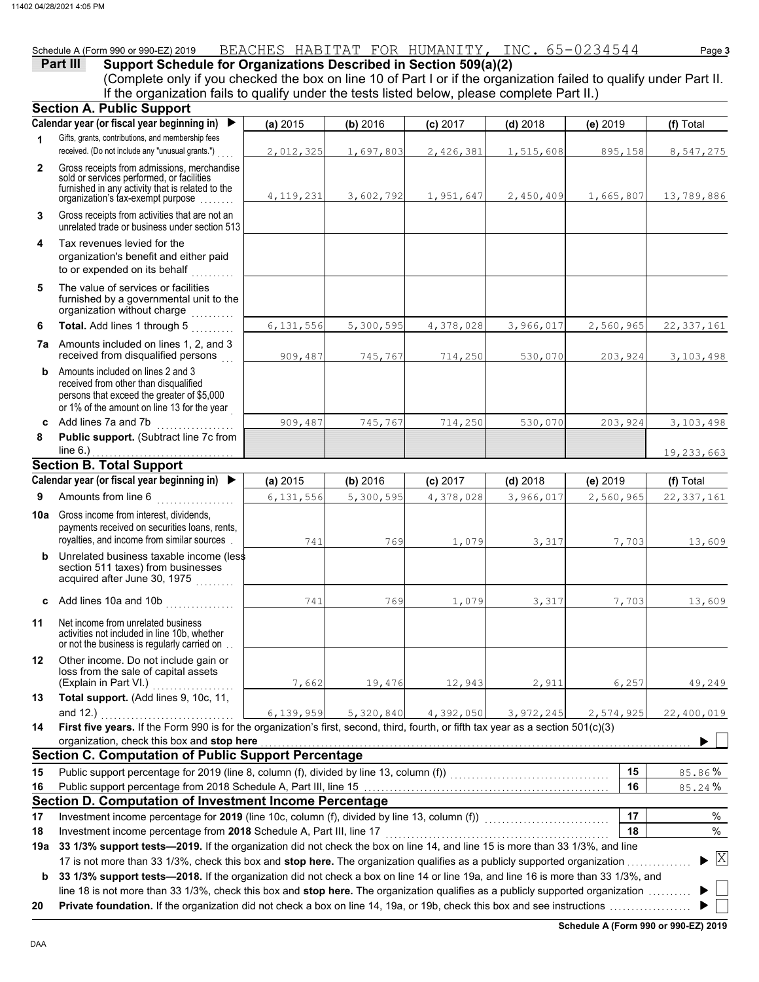# Schedule A (Form 990 or 990-EZ) 2019 BEACHES HABITAT FOR HUMANITY**,** INC. 65-0234544 Page **3**

# **Part III Support Schedule for Organizations Described in Section 509(a)(2)**

(Complete only if you checked the box on line 10 of Part I or if the organization failed to qualify under Part II. If the organization fails to qualify under the tests listed below, please complete Part II.)

|                | if the enganization rand to quality and or the tools helped bolon, produce complete rant in<br><b>Section A. Public Support</b>                                                                                                                                                                                                                  |             |           |           |            |           |              |
|----------------|--------------------------------------------------------------------------------------------------------------------------------------------------------------------------------------------------------------------------------------------------------------------------------------------------------------------------------------------------|-------------|-----------|-----------|------------|-----------|--------------|
|                | Calendar year (or fiscal year beginning in)<br>$\blacktriangleright$                                                                                                                                                                                                                                                                             | (a) 2015    | (b) 2016  | (c) 2017  | $(d)$ 2018 | (e) 2019  | (f) Total    |
| 1              | Gifts, grants, contributions, and membership fees                                                                                                                                                                                                                                                                                                |             |           |           |            |           |              |
|                | received. (Do not include any "unusual grants.")                                                                                                                                                                                                                                                                                                 | 2,012,325   | 1,697,803 | 2,426,381 | 1,515,608  | 895,158   | 8,547,275    |
| $\overline{2}$ | Gross receipts from admissions, merchandise<br>sold or services performed, or facilities<br>furnished in any activity that is related to the<br>organization's tax-exempt purpose                                                                                                                                                                | 4, 119, 231 | 3,602,792 | 1,951,647 | 2,450,409  | 1,665,807 | 13,789,886   |
| 3              | Gross receipts from activities that are not an<br>unrelated trade or business under section 513                                                                                                                                                                                                                                                  |             |           |           |            |           |              |
| 4              | Tax revenues levied for the<br>organization's benefit and either paid<br>to or expended on its behalf                                                                                                                                                                                                                                            |             |           |           |            |           |              |
| 5              | The value of services or facilities<br>furnished by a governmental unit to the<br>organization without charge<br>a serial de la construcción de la construcción de la construcción de la construcción de la construcción de la<br>Construcción de la construcción de la construcción de la construcción de la construcción de la construcción de |             |           |           |            |           |              |
| 6              | Total. Add lines 1 through 5<br>in de la partir                                                                                                                                                                                                                                                                                                  | 6, 131, 556 | 5,300,595 | 4,378,028 | 3,966,017  | 2,560,965 | 22, 337, 161 |
|                | <b>7a</b> Amounts included on lines 1, 2, and 3<br>received from disqualified persons                                                                                                                                                                                                                                                            | 909,487     | 745,767   | 714,250   | 530,070    | 203,924   | 3, 103, 498  |
| b              | Amounts included on lines 2 and 3<br>received from other than disqualified<br>persons that exceed the greater of \$5,000<br>or 1% of the amount on line 13 for the year                                                                                                                                                                          |             |           |           |            |           |              |
| C              | Add lines 7a and 7b<br>.                                                                                                                                                                                                                                                                                                                         | 909,487     | 745,767   | 714,250   | 530,070    | 203,924   | 3,103,498    |
| 8              | Public support. (Subtract line 7c from<br>line $6.$ )                                                                                                                                                                                                                                                                                            |             |           |           |            |           | 19,233,663   |
|                | <b>Section B. Total Support</b>                                                                                                                                                                                                                                                                                                                  |             |           |           |            |           |              |
|                | Calendar year (or fiscal year beginning in) ▶                                                                                                                                                                                                                                                                                                    | (a) 2015    | (b) 2016  | (c) 2017  | $(d)$ 2018 | (e) 2019  | (f) Total    |
| 9              | Amounts from line 6<br><u> 1990 - James Barnett, politik e</u>                                                                                                                                                                                                                                                                                   | 6, 131, 556 | 5,300,595 | 4,378,028 | 3,966,017  | 2,560,965 | 22, 337, 161 |
|                | <b>10a</b> Gross income from interest, dividends,<br>payments received on securities loans, rents,<br>royalties, and income from similar sources.                                                                                                                                                                                                | 741         | 769       | 1,079     | 3,317      | 7,703     | 13,609       |
| b              | Unrelated business taxable income (less<br>section 511 taxes) from businesses<br>acquired after June 30, 1975                                                                                                                                                                                                                                    |             |           |           |            |           |              |
| c              | Add lines 10a and 10b                                                                                                                                                                                                                                                                                                                            | 741         | 769       | 1,079     | 3,317      | 7,703     | 13,609       |
| 11             | Net income from unrelated business<br>activities not included in line 10b, whether<br>or not the business is regularly carried on                                                                                                                                                                                                                |             |           |           |            |           |              |
| 12             | Other income. Do not include gain or<br>loss from the sale of capital assets<br>(Explain in Part VI.)                                                                                                                                                                                                                                            | 7,662       | 19,476    | 12,943    | 2,911      | 6,257     | 49,249       |
| 13             | Total support. (Add lines 9, 10c, 11,<br>and $12.$ )                                                                                                                                                                                                                                                                                             |             |           |           |            |           |              |
| 14             | First five years. If the Form 990 is for the organization's first, second, third, fourth, or fifth tax year as a section $501(c)(3)$                                                                                                                                                                                                             | 6,139,959   | 5,320,840 | 4,392,050 | 3,972,245  | 2,574,925 | 22,400,019   |
|                | organization, check this box and stop here                                                                                                                                                                                                                                                                                                       |             |           |           |            |           |              |
|                | <b>Section C. Computation of Public Support Percentage</b>                                                                                                                                                                                                                                                                                       |             |           |           |            |           |              |
| 15             | Public support percentage for 2019 (line 8, column (f), divided by line 13, column (f)) [[[[[[[[[[[[[[[[[[[[[                                                                                                                                                                                                                                    |             |           |           |            | 15        | 85.86%       |
| 16             |                                                                                                                                                                                                                                                                                                                                                  |             |           |           |            | 16        | 85.24%       |
|                | Section D. Computation of Investment Income Percentage                                                                                                                                                                                                                                                                                           |             |           |           |            |           |              |
| 17             | Investment income percentage for 2019 (line 10c, column (f), divided by line 13, column (f)) [[[[[[[[[[[[[[[[[                                                                                                                                                                                                                                   |             |           |           |            | 17        | %            |
| 18             | Investment income percentage from 2018 Schedule A, Part III, line 17                                                                                                                                                                                                                                                                             |             |           |           |            | 18        | %            |
| 19а            | 33 1/3% support tests-2019. If the organization did not check the box on line 14, and line 15 is more than 33 1/3%, and line                                                                                                                                                                                                                     |             |           |           |            |           |              |
|                | 17 is not more than 33 1/3%, check this box and stop here. The organization qualifies as a publicly supported organization                                                                                                                                                                                                                       |             |           |           |            |           | $\mathbf{X}$ |
| b              | 33 1/3% support tests-2018. If the organization did not check a box on line 14 or line 19a, and line 16 is more than 33 1/3%, and                                                                                                                                                                                                                |             |           |           |            |           |              |
|                | line 18 is not more than 33 1/3%, check this box and stop here. The organization qualifies as a publicly supported organization                                                                                                                                                                                                                  |             |           |           |            |           |              |
| 20             |                                                                                                                                                                                                                                                                                                                                                  |             |           |           |            |           |              |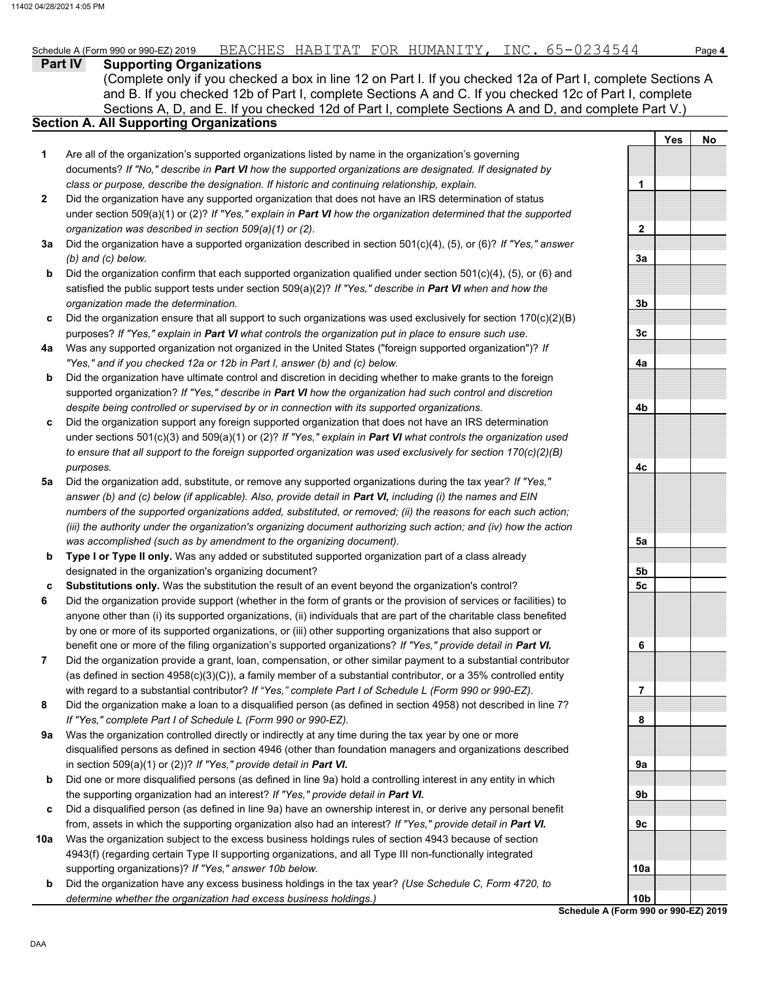#### **Part IV Supporting Organizations** Sections A, D, and E. If you checked 12d of Part I, complete Sections A and D, and complete Part V.) **Section A. All Supporting Organizations** (Complete only if you checked a box in line 12 on Part I. If you checked 12a of Part I, complete Sections A and B. If you checked 12b of Part I, complete Sections A and C. If you checked 12c of Part I, complete Are all of the organization's supported organizations listed by name in the organization's governing documents? *If "No," describe in Part VI how the supported organizations are designated. If designated by class or purpose, describe the designation. If historic and continuing relationship, explain.* Did the organization have any supported organization that does not have an IRS determination of status under section 509(a)(1) or (2)? *If "Yes," explain in Part VI how the organization determined that the supported organization was described in section 509(a)(1) or (2).* **1 2 3a** Did the organization have a supported organization described in section 501(c)(4), (5), or (6)? *If "Yes," answer* **b c** Did the organization ensure that all support to such organizations was used exclusively for section 170(c)(2)(B) **4a** Was any supported organization not organized in the United States ("foreign supported organization")? *If* **b c** Did the organization support any foreign supported organization that does not have an IRS determination **5a** Did the organization add, substitute, or remove any supported organizations during the tax year? *If "Yes,"* **b c 6 7 8 9a b c 10a b** *(b) and (c) below.* Did the organization confirm that each supported organization qualified under section 501(c)(4), (5), or (6) and satisfied the public support tests under section 509(a)(2)? *If "Yes," describe in Part VI when and how the organization made the determination.* purposes? *If "Yes," explain in Part VI what controls the organization put in place to ensure such use. "Yes," and if you checked 12a or 12b in Part I, answer (b) and (c) below.* Did the organization have ultimate control and discretion in deciding whether to make grants to the foreign supported organization? *If "Yes," describe in Part VI how the organization had such control and discretion despite being controlled or supervised by or in connection with its supported organizations.* under sections 501(c)(3) and 509(a)(1) or (2)? *If "Yes," explain in Part VI what controls the organization used to ensure that all support to the foreign supported organization was used exclusively for section 170(c)(2)(B) purposes. answer (b) and (c) below (if applicable). Also, provide detail in Part VI, including (i) the names and EIN numbers of the supported organizations added, substituted, or removed; (ii) the reasons for each such action; (iii) the authority under the organization's organizing document authorizing such action; and (iv) how the action was accomplished (such as by amendment to the organizing document).* **Type I or Type II only.** Was any added or substituted supported organization part of a class already designated in the organization's organizing document? **Substitutions only.** Was the substitution the result of an event beyond the organization's control? Did the organization provide support (whether in the form of grants or the provision of services or facilities) to anyone other than (i) its supported organizations, (ii) individuals that are part of the charitable class benefited by one or more of its supported organizations, or (iii) other supporting organizations that also support or benefit one or more of the filing organization's supported organizations? *If "Yes," provide detail in Part VI.* Did the organization provide a grant, loan, compensation, or other similar payment to a substantial contributor (as defined in section 4958(c)(3)(C)), a family member of a substantial contributor, or a 35% controlled entity with regard to a substantial contributor? *If "Yes," complete Part I of Schedule L (Form 990 or 990-EZ).* Did the organization make a loan to a disqualified person (as defined in section 4958) not described in line 7? *If "Yes," complete Part I of Schedule L (Form 990 or 990-EZ).* Was the organization controlled directly or indirectly at any time during the tax year by one or more disqualified persons as defined in section 4946 (other than foundation managers and organizations described in section 509(a)(1) or (2))? *If "Yes," provide detail in Part VI.* Did one or more disqualified persons (as defined in line 9a) hold a controlling interest in any entity in which the supporting organization had an interest? *If "Yes," provide detail in Part VI.* Did a disqualified person (as defined in line 9a) have an ownership interest in, or derive any personal benefit from, assets in which the supporting organization also had an interest? *If "Yes," provide detail in Part VI.* Was the organization subject to the excess business holdings rules of section 4943 because of section 4943(f) (regarding certain Type II supporting organizations, and all Type III non-functionally integrated supporting organizations)? *If "Yes," answer 10b below.* Did the organization have any excess business holdings in the tax year? *(Use Schedule C, Form 4720, to determine whether the organization had excess business holdings.)* **Yes No 1 2 3a 3b 3c 4a 4b 4c 5a 5b 5c 6 7 8 9a 9b 9c 10a 10b**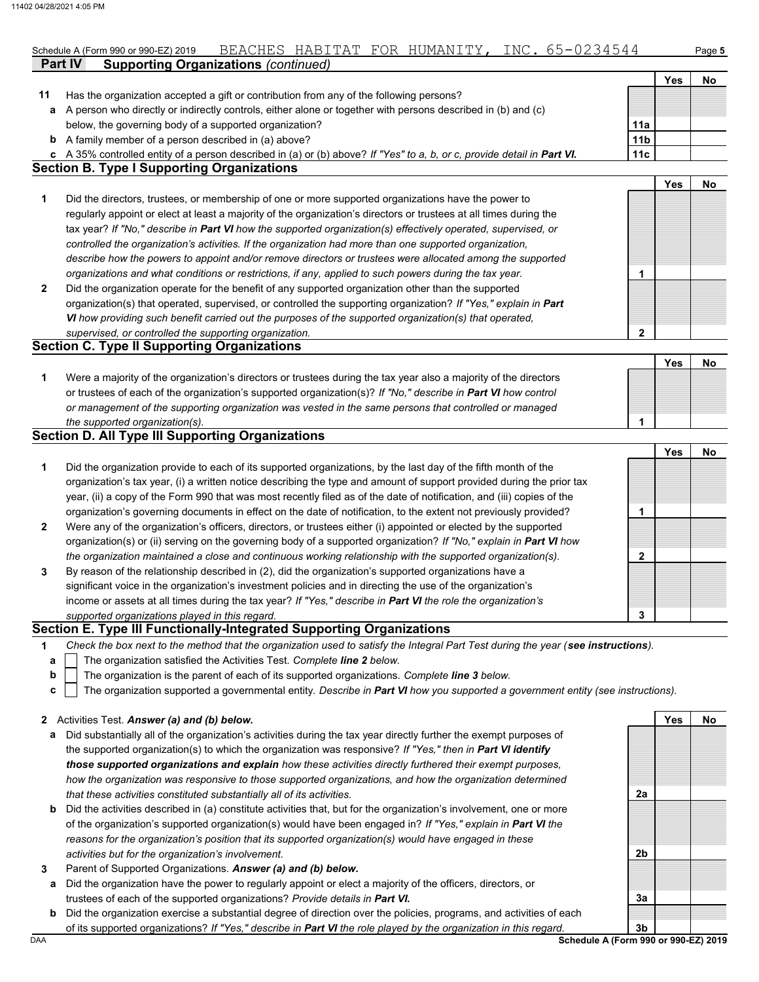|    | <b>Supporting Organizations (continued)</b><br><b>Part IV</b>                                                          |                 |            |    |
|----|------------------------------------------------------------------------------------------------------------------------|-----------------|------------|----|
|    |                                                                                                                        |                 | Yes        | No |
| 11 | Has the organization accepted a gift or contribution from any of the following persons?                                |                 |            |    |
| а  | A person who directly or indirectly controls, either alone or together with persons described in (b) and (c)           |                 |            |    |
|    | below, the governing body of a supported organization?                                                                 | 11a             |            |    |
| b  | A family member of a person described in (a) above?                                                                    | 11 <sub>b</sub> |            |    |
| c  | A 35% controlled entity of a person described in (a) or (b) above? If "Yes" to a, b, or c, provide detail in Part VI.  | 11c             |            |    |
|    | <b>Section B. Type I Supporting Organizations</b>                                                                      |                 |            |    |
|    |                                                                                                                        |                 | <b>Yes</b> | No |
| 1  | Did the directors, trustees, or membership of one or more supported organizations have the power to                    |                 |            |    |
|    | regularly appoint or elect at least a majority of the organization's directors or trustees at all times during the     |                 |            |    |
|    | tax year? If "No," describe in Part VI how the supported organization(s) effectively operated, supervised, or          |                 |            |    |
|    | controlled the organization's activities. If the organization had more than one supported organization,                |                 |            |    |
|    | describe how the powers to appoint and/or remove directors or trustees were allocated among the supported              |                 |            |    |
|    | organizations and what conditions or restrictions, if any, applied to such powers during the tax year.                 | 1               |            |    |
| 2  | Did the organization operate for the benefit of any supported organization other than the supported                    |                 |            |    |
|    | organization(s) that operated, supervised, or controlled the supporting organization? If "Yes," explain in Part        |                 |            |    |
|    | VI how providing such benefit carried out the purposes of the supported organization(s) that operated,                 |                 |            |    |
|    | supervised, or controlled the supporting organization.                                                                 | $\mathbf 2$     |            |    |
|    | <b>Section C. Type II Supporting Organizations</b>                                                                     |                 |            |    |
|    |                                                                                                                        |                 | <b>Yes</b> | No |
| 1  | Were a majority of the organization's directors or trustees during the tax year also a majority of the directors       |                 |            |    |
|    | or trustees of each of the organization's supported organization(s)? If "No," describe in Part VI how control          |                 |            |    |
|    | or management of the supporting organization was vested in the same persons that controlled or managed                 |                 |            |    |
|    | the supported organization(s).                                                                                         | 1               |            |    |
|    | <b>Section D. All Type III Supporting Organizations</b>                                                                |                 |            |    |
|    |                                                                                                                        |                 | Yes        | No |
| 1  | Did the organization provide to each of its supported organizations, by the last day of the fifth month of the         |                 |            |    |
|    | organization's tax year, (i) a written notice describing the type and amount of support provided during the prior tax  |                 |            |    |
|    | year, (ii) a copy of the Form 990 that was most recently filed as of the date of notification, and (iii) copies of the |                 |            |    |
|    | organization's governing documents in effect on the date of notification, to the extent not previously provided?       | 1               |            |    |
| 2  | Were any of the organization's officers, directors, or trustees either (i) appointed or elected by the supported       |                 |            |    |
|    | organization(s) or (ii) serving on the governing body of a supported organization? If "No," explain in Part VI how     |                 |            |    |
|    | the organization maintained a close and continuous working relationship with the supported organization(s).            | 2               |            |    |
| 3  | By reason of the relationship described in (2), did the organization's supported organizations have a                  |                 |            |    |
|    | significant voice in the organization's investment policies and in directing the use of the organization's             |                 |            |    |

*supported organizations played in this regard.* income or assets at all times during the tax year? *If "Yes," describe in Part VI the role the organization's* **3**

## **Section E. Type III Functionally-Integrated Supporting Organizations**

**1** *Check the box next to the method that the organization used to satisfy the Integral Part Test during the year (see instructions).*

- The organization satisfied the Activities Test. *Complete line 2 below.* **a**
- The organization is the parent of each of its supported organizations. *Complete line 3 below.* **b**
- The organization supported a governmental entity. *Describe in Part VI how you supported a government entity (see instructions).* **c**

|  | 2 Activities Test. Answer (a) and (b) below. |  |  |  |  |  |  |
|--|----------------------------------------------|--|--|--|--|--|--|
|--|----------------------------------------------|--|--|--|--|--|--|

- **a** Did substantially all of the organization's activities during the tax year directly further the exempt purposes of the supported organization(s) to which the organization was responsive? *If "Yes," then in Part VI identify those supported organizations and explain how these activities directly furthered their exempt purposes, how the organization was responsive to those supported organizations, and how the organization determined that these activities constituted substantially all of its activities.*
- **b** Did the activities described in (a) constitute activities that, but for the organization's involvement, one or more of the organization's supported organization(s) would have been engaged in? *If "Yes," explain in Part VI the reasons for the organization's position that its supported organization(s) would have engaged in these activities but for the organization's involvement.*
- **3** Parent of Supported Organizations. *Answer (a) and (b) below.*
- **a** Did the organization have the power to regularly appoint or elect a majority of the officers, directors, or trustees of each of the supported organizations? *Provide details in Part VI.*
- **b** Did the organization exercise a substantial degree of direction over the policies, programs, and activities of each of its supported organizations? *If "Yes," describe in Part VI the role played by the organization in this regard.*

**Yes No**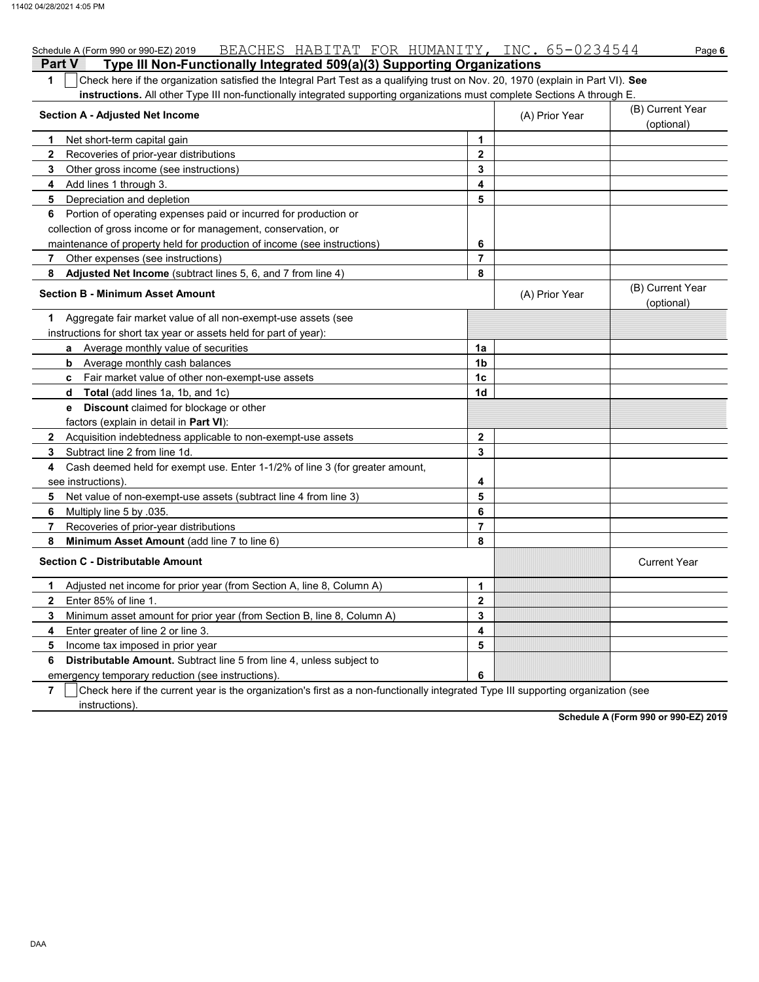|                | BEACHES HABITAT FOR HUMANITY, INC. 65-0234544<br>Schedule A (Form 990 or 990-EZ) 2019                                            |                |                | Page 6                         |
|----------------|----------------------------------------------------------------------------------------------------------------------------------|----------------|----------------|--------------------------------|
| <b>Part V</b>  | Type III Non-Functionally Integrated 509(a)(3) Supporting Organizations                                                          |                |                |                                |
| 1              | Check here if the organization satisfied the Integral Part Test as a qualifying trust on Nov. 20, 1970 (explain in Part VI). See |                |                |                                |
|                | instructions. All other Type III non-functionally integrated supporting organizations must complete Sections A through E.        |                |                |                                |
|                | <b>Section A - Adjusted Net Income</b>                                                                                           |                | (A) Prior Year | (B) Current Year<br>(optional) |
| 1              | Net short-term capital gain                                                                                                      | 1              |                |                                |
| $\mathbf{2}$   | Recoveries of prior-year distributions                                                                                           | $\overline{2}$ |                |                                |
| 3              | Other gross income (see instructions)                                                                                            | 3              |                |                                |
| 4              | Add lines 1 through 3.                                                                                                           | 4              |                |                                |
| 5              | Depreciation and depletion                                                                                                       | 5              |                |                                |
| 6              | Portion of operating expenses paid or incurred for production or                                                                 |                |                |                                |
|                | collection of gross income or for management, conservation, or                                                                   |                |                |                                |
|                | maintenance of property held for production of income (see instructions)                                                         | 6              |                |                                |
| $\overline{7}$ | Other expenses (see instructions)                                                                                                | $\overline{7}$ |                |                                |
| 8              | Adjusted Net Income (subtract lines 5, 6, and 7 from line 4)                                                                     | 8              |                |                                |
|                | <b>Section B - Minimum Asset Amount</b>                                                                                          |                | (A) Prior Year | (B) Current Year<br>(optional) |
| 1              | Aggregate fair market value of all non-exempt-use assets (see                                                                    |                |                |                                |
|                | instructions for short tax year or assets held for part of year):                                                                |                |                |                                |
|                | <b>a</b> Average monthly value of securities                                                                                     | 1a             |                |                                |
|                | <b>b</b> Average monthly cash balances                                                                                           | 1 <sub>b</sub> |                |                                |
|                | <b>c</b> Fair market value of other non-exempt-use assets                                                                        | 1c             |                |                                |
|                | <b>d Total</b> (add lines 1a, 1b, and 1c)                                                                                        | 1d             |                |                                |
|                | <b>e</b> Discount claimed for blockage or other                                                                                  |                |                |                                |
|                | factors (explain in detail in Part VI):                                                                                          |                |                |                                |
| $\mathbf{2}$   | Acquisition indebtedness applicable to non-exempt-use assets                                                                     | $\mathbf{2}$   |                |                                |
| 3              | Subtract line 2 from line 1d.                                                                                                    | 3              |                |                                |
| 4              | Cash deemed held for exempt use. Enter 1-1/2% of line 3 (for greater amount,                                                     |                |                |                                |
|                | see instructions).                                                                                                               | 4              |                |                                |
| 5              | Net value of non-exempt-use assets (subtract line 4 from line 3)                                                                 | 5              |                |                                |
| 6              | Multiply line 5 by .035.                                                                                                         | 6              |                |                                |
| 7              | Recoveries of prior-year distributions                                                                                           | $\overline{7}$ |                |                                |
| 8              | Minimum Asset Amount (add line 7 to line 6)                                                                                      | 8              |                |                                |
|                | <b>Section C - Distributable Amount</b>                                                                                          |                |                | <b>Current Year</b>            |
| 1              | Adjusted net income for prior year (from Section A, line 8, Column A)                                                            | 1              |                |                                |
| $\mathbf{2}$   | Enter 85% of line 1.                                                                                                             | $\mathbf 2$    |                |                                |
| 3              | Minimum asset amount for prior year (from Section B, line 8, Column A)                                                           | 3              |                |                                |
| 4              | Enter greater of line 2 or line 3.                                                                                               | 4              |                |                                |
| 5              | Income tax imposed in prior year                                                                                                 | 5              |                |                                |
| 6              | <b>Distributable Amount.</b> Subtract line 5 from line 4, unless subject to                                                      |                |                |                                |
|                | emergency temporary reduction (see instructions).                                                                                | 6              |                |                                |

**7** instructions). Check here if the current year is the organization's first as a non-functionally integrated Type III supporting organization (see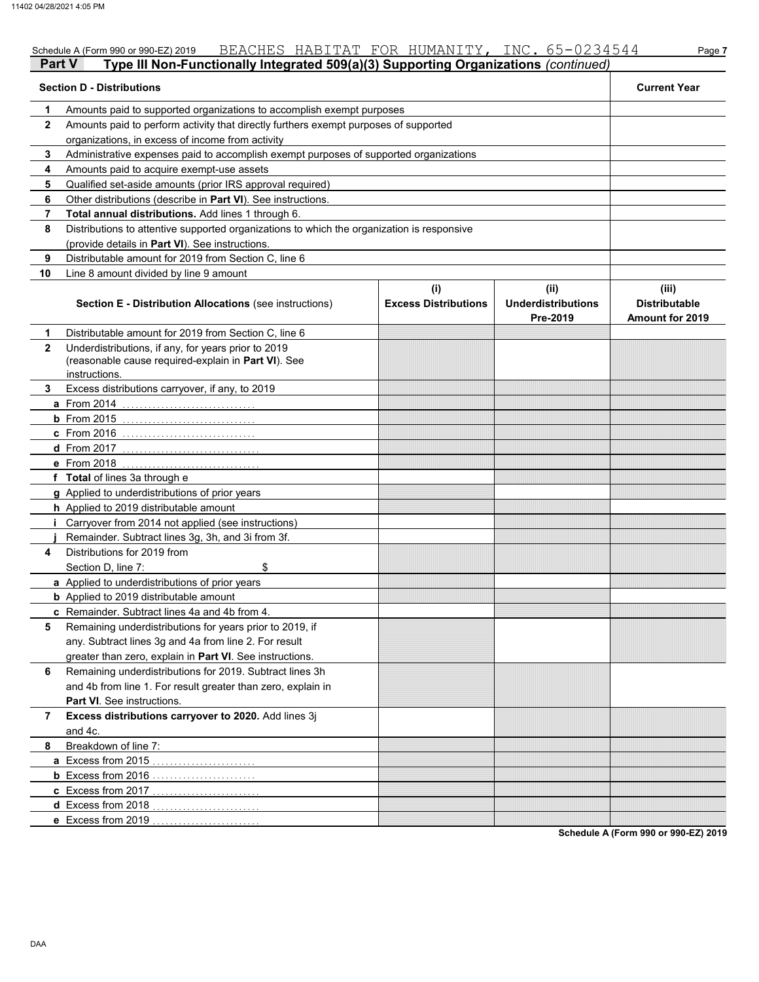| Part V<br>Type III Non-Functionally Integrated 509(a)(3) Supporting Organizations (continued) |                                                                                            |                                    |                                               |                                                         |  |  |
|-----------------------------------------------------------------------------------------------|--------------------------------------------------------------------------------------------|------------------------------------|-----------------------------------------------|---------------------------------------------------------|--|--|
| <b>Section D - Distributions</b>                                                              | <b>Current Year</b>                                                                        |                                    |                                               |                                                         |  |  |
| 1                                                                                             | Amounts paid to supported organizations to accomplish exempt purposes                      |                                    |                                               |                                                         |  |  |
| $\mathbf{2}$                                                                                  | Amounts paid to perform activity that directly furthers exempt purposes of supported       |                                    |                                               |                                                         |  |  |
|                                                                                               | organizations, in excess of income from activity                                           |                                    |                                               |                                                         |  |  |
| 3                                                                                             | Administrative expenses paid to accomplish exempt purposes of supported organizations      |                                    |                                               |                                                         |  |  |
| 4                                                                                             | Amounts paid to acquire exempt-use assets                                                  |                                    |                                               |                                                         |  |  |
| 5                                                                                             | Qualified set-aside amounts (prior IRS approval required)                                  |                                    |                                               |                                                         |  |  |
| 6                                                                                             | Other distributions (describe in Part VI). See instructions.                               |                                    |                                               |                                                         |  |  |
| 7                                                                                             | Total annual distributions. Add lines 1 through 6.                                         |                                    |                                               |                                                         |  |  |
| 8                                                                                             | Distributions to attentive supported organizations to which the organization is responsive |                                    |                                               |                                                         |  |  |
|                                                                                               | (provide details in Part VI). See instructions.                                            |                                    |                                               |                                                         |  |  |
| 9                                                                                             | Distributable amount for 2019 from Section C, line 6                                       |                                    |                                               |                                                         |  |  |
| 10                                                                                            | Line 8 amount divided by line 9 amount                                                     |                                    |                                               |                                                         |  |  |
|                                                                                               | <b>Section E - Distribution Allocations (see instructions)</b>                             | (i)<br><b>Excess Distributions</b> | (ii)<br><b>Underdistributions</b><br>Pre-2019 | (iii)<br><b>Distributable</b><br><b>Amount for 2019</b> |  |  |
| 1                                                                                             | Distributable amount for 2019 from Section C, line 6                                       |                                    |                                               |                                                         |  |  |
| $\mathbf{2}$                                                                                  | Underdistributions, if any, for years prior to 2019                                        |                                    |                                               |                                                         |  |  |
|                                                                                               | (reasonable cause required-explain in Part VI). See                                        |                                    |                                               |                                                         |  |  |
|                                                                                               | instructions.                                                                              |                                    |                                               |                                                         |  |  |
| 3.                                                                                            | Excess distributions carryover, if any, to 2019                                            |                                    |                                               |                                                         |  |  |
|                                                                                               | <b>a</b> From 2014                                                                         |                                    |                                               |                                                         |  |  |
|                                                                                               | $b$ From 2015                                                                              |                                    |                                               |                                                         |  |  |
|                                                                                               | <b>c</b> From 2016<br><b>d</b> From 2017                                                   |                                    |                                               |                                                         |  |  |
|                                                                                               | e From 2018                                                                                |                                    |                                               |                                                         |  |  |
|                                                                                               | f Total of lines 3a through e                                                              |                                    |                                               |                                                         |  |  |
|                                                                                               | g Applied to underdistributions of prior years                                             |                                    |                                               |                                                         |  |  |
|                                                                                               | h Applied to 2019 distributable amount                                                     |                                    |                                               |                                                         |  |  |
| Ť                                                                                             | Carryover from 2014 not applied (see instructions)                                         |                                    |                                               |                                                         |  |  |
|                                                                                               | Remainder. Subtract lines 3g, 3h, and 3i from 3f.                                          |                                    |                                               |                                                         |  |  |
| 4                                                                                             | Distributions for 2019 from                                                                |                                    |                                               |                                                         |  |  |
|                                                                                               | Section D, line 7:<br>\$                                                                   |                                    |                                               |                                                         |  |  |
|                                                                                               | a Applied to underdistributions of prior years                                             |                                    |                                               |                                                         |  |  |
|                                                                                               | <b>b</b> Applied to 2019 distributable amount                                              |                                    |                                               |                                                         |  |  |
|                                                                                               | c Remainder. Subtract lines 4a and 4b from 4.                                              |                                    |                                               |                                                         |  |  |
| 5                                                                                             | Remaining underdistributions for years prior to 2019, if                                   |                                    |                                               |                                                         |  |  |
|                                                                                               | any. Subtract lines 3g and 4a from line 2. For result                                      |                                    |                                               |                                                         |  |  |
|                                                                                               | greater than zero, explain in Part VI. See instructions.                                   |                                    |                                               |                                                         |  |  |
| 6                                                                                             | Remaining underdistributions for 2019. Subtract lines 3h                                   |                                    |                                               |                                                         |  |  |
|                                                                                               | and 4b from line 1. For result greater than zero, explain in                               |                                    |                                               |                                                         |  |  |
|                                                                                               | Part VI. See instructions.                                                                 |                                    |                                               |                                                         |  |  |
| 7                                                                                             | Excess distributions carryover to 2020. Add lines 3j                                       |                                    |                                               |                                                         |  |  |
|                                                                                               | and 4c.                                                                                    |                                    |                                               |                                                         |  |  |
| 8                                                                                             | Breakdown of line 7:                                                                       |                                    |                                               |                                                         |  |  |
|                                                                                               | a Excess from 2015                                                                         |                                    |                                               |                                                         |  |  |
|                                                                                               |                                                                                            |                                    |                                               |                                                         |  |  |
|                                                                                               | c Excess from 2017                                                                         |                                    |                                               |                                                         |  |  |
|                                                                                               | d Excess from 2018                                                                         |                                    |                                               |                                                         |  |  |
|                                                                                               | e Excess from 2019                                                                         |                                    |                                               |                                                         |  |  |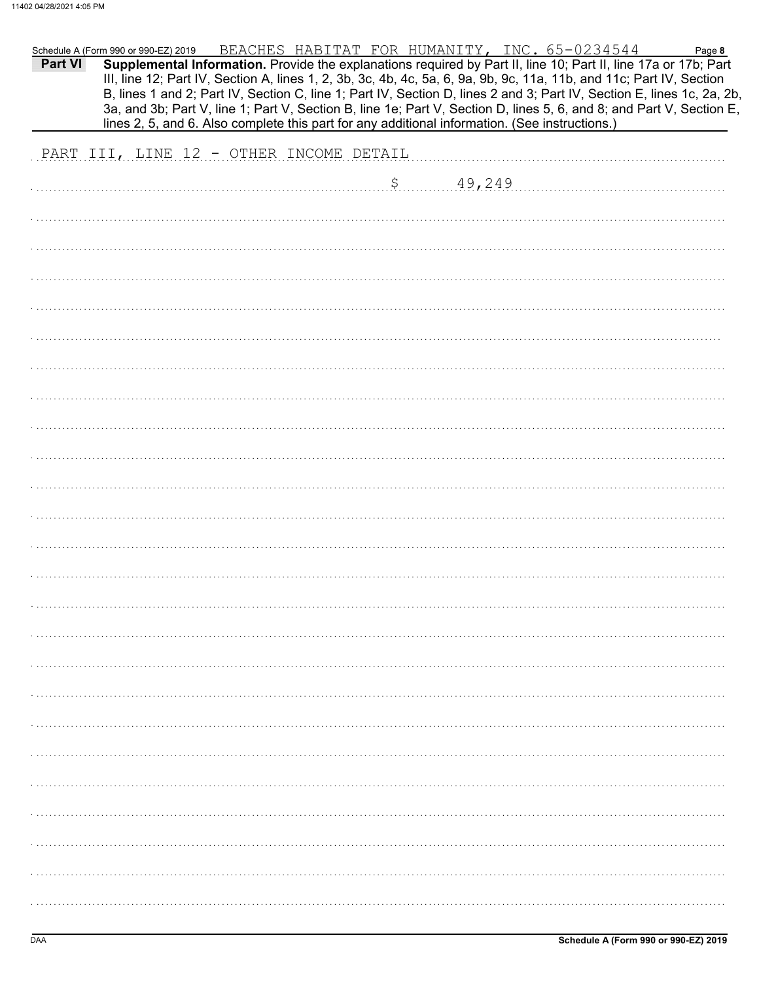| <b>Part VI</b> | Schedule A (Form 990 or 990-EZ) 2019    | lines 2, 5, and 6. Also complete this part for any additional information. (See instructions.) |  |           | <u>BEACHES HABITAT FOR HUMANITY, INC. 65-0234544</u><br>III, line 12; Part IV, Section A, lines 1, 2, 3b, 3c, 4b, 4c, 5a, 6, 9a, 9b, 9c, 11a, 11b, and 11c; Part IV, Section | Page 8<br>Supplemental Information. Provide the explanations required by Part II, line 10; Part II, line 17a or 17b; Part<br>B, lines 1 and 2; Part IV, Section C, line 1; Part IV, Section D, lines 2 and 3; Part IV, Section E, lines 1c, 2a, 2b,<br>3a, and 3b; Part V, line 1; Part V, Section B, line 1e; Part V, Section D, lines 5, 6, and 8; and Part V, Section E, |
|----------------|-----------------------------------------|------------------------------------------------------------------------------------------------|--|-----------|------------------------------------------------------------------------------------------------------------------------------------------------------------------------------|-----------------------------------------------------------------------------------------------------------------------------------------------------------------------------------------------------------------------------------------------------------------------------------------------------------------------------------------------------------------------------|
|                | PART III, LINE 12 - OTHER INCOME DETAIL |                                                                                                |  |           |                                                                                                                                                                              |                                                                                                                                                                                                                                                                                                                                                                             |
|                |                                         |                                                                                                |  | 5.49,249. |                                                                                                                                                                              |                                                                                                                                                                                                                                                                                                                                                                             |
|                |                                         |                                                                                                |  |           |                                                                                                                                                                              |                                                                                                                                                                                                                                                                                                                                                                             |
|                |                                         |                                                                                                |  |           |                                                                                                                                                                              |                                                                                                                                                                                                                                                                                                                                                                             |
|                |                                         |                                                                                                |  |           |                                                                                                                                                                              |                                                                                                                                                                                                                                                                                                                                                                             |
|                |                                         |                                                                                                |  |           |                                                                                                                                                                              |                                                                                                                                                                                                                                                                                                                                                                             |
|                |                                         |                                                                                                |  |           |                                                                                                                                                                              |                                                                                                                                                                                                                                                                                                                                                                             |
|                |                                         |                                                                                                |  |           |                                                                                                                                                                              |                                                                                                                                                                                                                                                                                                                                                                             |
|                |                                         |                                                                                                |  |           |                                                                                                                                                                              |                                                                                                                                                                                                                                                                                                                                                                             |
|                |                                         |                                                                                                |  |           |                                                                                                                                                                              |                                                                                                                                                                                                                                                                                                                                                                             |
|                |                                         |                                                                                                |  |           |                                                                                                                                                                              |                                                                                                                                                                                                                                                                                                                                                                             |
|                |                                         |                                                                                                |  |           |                                                                                                                                                                              |                                                                                                                                                                                                                                                                                                                                                                             |
|                |                                         |                                                                                                |  |           |                                                                                                                                                                              |                                                                                                                                                                                                                                                                                                                                                                             |
|                |                                         |                                                                                                |  |           |                                                                                                                                                                              |                                                                                                                                                                                                                                                                                                                                                                             |
|                |                                         |                                                                                                |  |           |                                                                                                                                                                              |                                                                                                                                                                                                                                                                                                                                                                             |
|                |                                         |                                                                                                |  |           |                                                                                                                                                                              |                                                                                                                                                                                                                                                                                                                                                                             |
|                |                                         |                                                                                                |  |           |                                                                                                                                                                              |                                                                                                                                                                                                                                                                                                                                                                             |
|                |                                         |                                                                                                |  |           |                                                                                                                                                                              |                                                                                                                                                                                                                                                                                                                                                                             |
|                |                                         |                                                                                                |  |           |                                                                                                                                                                              |                                                                                                                                                                                                                                                                                                                                                                             |
|                |                                         |                                                                                                |  |           |                                                                                                                                                                              |                                                                                                                                                                                                                                                                                                                                                                             |
|                |                                         |                                                                                                |  |           |                                                                                                                                                                              |                                                                                                                                                                                                                                                                                                                                                                             |
|                |                                         |                                                                                                |  |           |                                                                                                                                                                              |                                                                                                                                                                                                                                                                                                                                                                             |
|                |                                         |                                                                                                |  |           |                                                                                                                                                                              |                                                                                                                                                                                                                                                                                                                                                                             |
|                |                                         |                                                                                                |  |           |                                                                                                                                                                              |                                                                                                                                                                                                                                                                                                                                                                             |
|                |                                         |                                                                                                |  |           |                                                                                                                                                                              |                                                                                                                                                                                                                                                                                                                                                                             |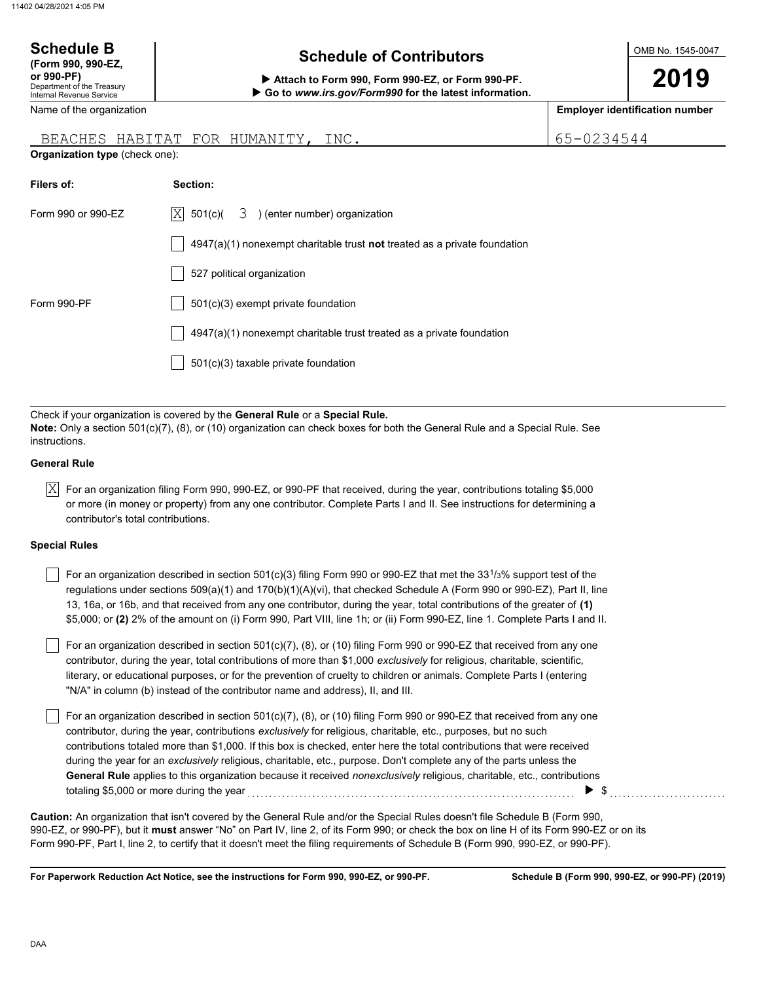| <b>Schedule B</b><br>(Form 990, 990-EZ,<br>or 990-PF)<br>Department of the Treasury<br><b>Internal Revenue Service</b> | <b>Schedule of Contributors</b><br>Attach to Form 990, Form 990-EZ, or Form 990-PF.<br>Go to www.irs.gov/Form990 for the latest information.                                                                                                  |            | OMB No. 1545-0047<br>2019             |
|------------------------------------------------------------------------------------------------------------------------|-----------------------------------------------------------------------------------------------------------------------------------------------------------------------------------------------------------------------------------------------|------------|---------------------------------------|
| Name of the organization                                                                                               |                                                                                                                                                                                                                                               |            | <b>Employer identification number</b> |
|                                                                                                                        | BEACHES HABITAT FOR HUMANITY, INC.                                                                                                                                                                                                            | 65-0234544 |                                       |
| Organization type (check one):                                                                                         |                                                                                                                                                                                                                                               |            |                                       |
| Filers of:                                                                                                             | Section:                                                                                                                                                                                                                                      |            |                                       |
| Form 990 or 990-EZ                                                                                                     | 3 ) (enter number) organization<br>$ X $ 501(c)(                                                                                                                                                                                              |            |                                       |
|                                                                                                                        | $4947(a)(1)$ nonexempt charitable trust not treated as a private foundation                                                                                                                                                                   |            |                                       |
|                                                                                                                        | 527 political organization                                                                                                                                                                                                                    |            |                                       |
| Form 990-PF                                                                                                            | 501(c)(3) exempt private foundation                                                                                                                                                                                                           |            |                                       |
|                                                                                                                        | 4947(a)(1) nonexempt charitable trust treated as a private foundation                                                                                                                                                                         |            |                                       |
|                                                                                                                        | 501(c)(3) taxable private foundation                                                                                                                                                                                                          |            |                                       |
|                                                                                                                        |                                                                                                                                                                                                                                               |            |                                       |
| instructions.                                                                                                          | Check if your organization is covered by the General Rule or a Special Rule.<br>Note: Only a section 501(c)(7), (8), or (10) organization can check boxes for both the General Rule and a Special Rule. See                                   |            |                                       |
| <b>General Rule</b>                                                                                                    |                                                                                                                                                                                                                                               |            |                                       |
| X <br>contributor's total contributions.                                                                               | For an organization filing Form 990, 990-EZ, or 990-PF that received, during the year, contributions totaling \$5,000<br>or more (in money or property) from any one contributor. Complete Parts I and II. See instructions for determining a |            |                                       |

### **Special Rules**

| For an organization described in section 501(c)(3) filing Form 990 or 990-EZ that met the 33 <sup>1</sup> /3% support test of the |
|-----------------------------------------------------------------------------------------------------------------------------------|
| regulations under sections 509(a)(1) and 170(b)(1)(A)(vi), that checked Schedule A (Form 990 or 990-EZ), Part II, line            |
| 13, 16a, or 16b, and that received from any one contributor, during the year, total contributions of the greater of (1)           |
| \$5,000; or (2) 2% of the amount on (i) Form 990, Part VIII, line 1h; or (ii) Form 990-EZ, line 1. Complete Parts I and II.       |

literary, or educational purposes, or for the prevention of cruelty to children or animals. Complete Parts I (entering For an organization described in section 501(c)(7), (8), or (10) filing Form 990 or 990-EZ that received from any one contributor, during the year, total contributions of more than \$1,000 *exclusively* for religious, charitable, scientific, "N/A" in column (b) instead of the contributor name and address), II, and III.

For an organization described in section 501(c)(7), (8), or (10) filing Form 990 or 990-EZ that received from any one contributor, during the year, contributions *exclusively* for religious, charitable, etc., purposes, but no such contributions totaled more than \$1,000. If this box is checked, enter here the total contributions that were received during the year for an *exclusively* religious, charitable, etc., purpose. Don't complete any of the parts unless the **General Rule** applies to this organization because it received *nonexclusively* religious, charitable, etc., contributions totaling \$5,000 or more during the year . . . . . . . . . . . . . . . . . . . . . . . . . . . . . . . . . . . . . . . . . . . . . . . . . . . . . . . . . . . . . . . . . . . . . . . . . . . . \$ . . . . . . . . . . . . . . . . . . . . . . . . . . .

990-EZ, or 990-PF), but it **must** answer "No" on Part IV, line 2, of its Form 990; or check the box on line H of its Form 990-EZ or on its Form 990-PF, Part I, line 2, to certify that it doesn't meet the filing requirements of Schedule B (Form 990, 990-EZ, or 990-PF). **Caution:** An organization that isn't covered by the General Rule and/or the Special Rules doesn't file Schedule B (Form 990,

**For Paperwork Reduction Act Notice, see the instructions for Form 990, 990-EZ, or 990-PF.**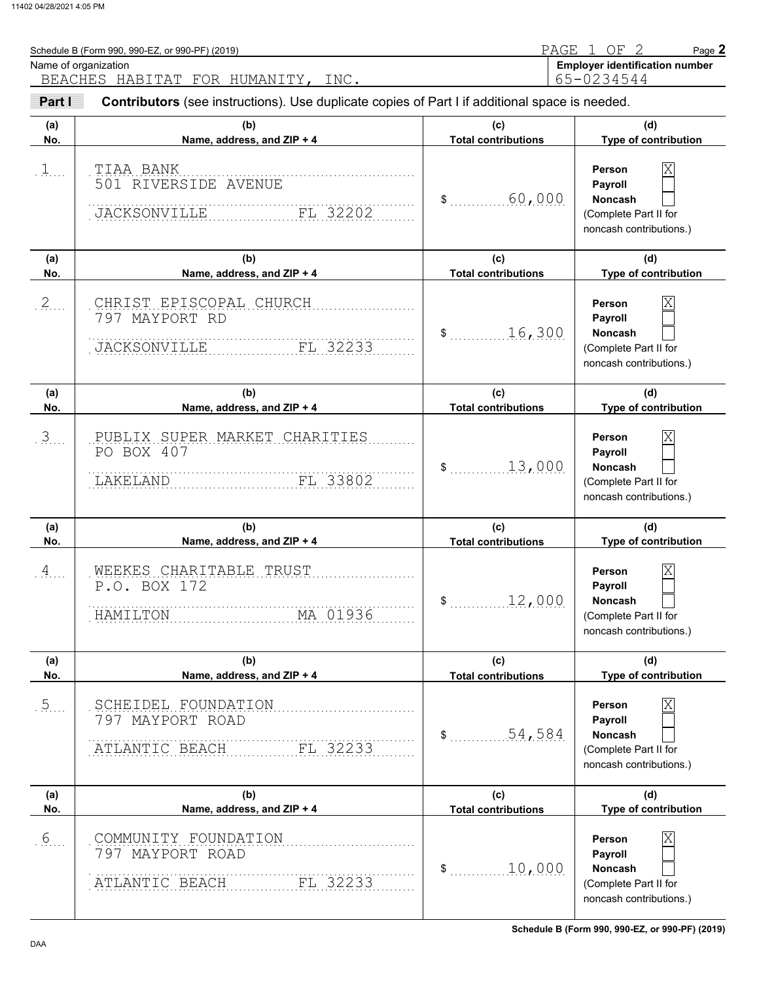| Name of organization | Schedule B (Form 990, 990-EZ, or 990-PF) (2019)                                                                                      |                                   | PAGE 1 OF 2<br>Page 2<br><b>Employer identification number</b><br>65-0234544                                     |
|----------------------|--------------------------------------------------------------------------------------------------------------------------------------|-----------------------------------|------------------------------------------------------------------------------------------------------------------|
| Part I               | BEACHES HABITAT FOR HUMANITY, INC.<br>Contributors (see instructions). Use duplicate copies of Part I if additional space is needed. |                                   |                                                                                                                  |
| (a)<br>No.           | (b)<br>Name, address, and ZIP + 4                                                                                                    | (c)<br><b>Total contributions</b> | (d)<br>Type of contribution                                                                                      |
| 1                    | TIAA BANK<br>501 RIVERSIDE AVENUE<br>FL 32202<br>JACKSONVILLE                                                                        | 60,000<br>$\$\ldots$              | $\overline{\text{X}}$<br>Person<br>Payroll<br>Noncash<br>(Complete Part II for<br>noncash contributions.)        |
| (a)<br>No.           | (b)<br>Name, address, and ZIP + 4                                                                                                    | (c)<br><b>Total contributions</b> | (d)<br>Type of contribution                                                                                      |
| $2$ .                | CHRIST EPISCOPAL CHURCH<br>797 MAYPORT RD<br>FL 32233<br><b>JACKSONVILLE</b>                                                         | 16,300<br>$\mathsf{\$}$           | $\overline{\text{X}}$<br>Person<br>Payroll<br>Noncash<br>(Complete Part II for<br>noncash contributions.)        |
| (a)<br>No.           | (b)<br>Name, address, and ZIP + 4                                                                                                    | (c)<br><b>Total contributions</b> | (d)<br>Type of contribution                                                                                      |
| 3                    | PUBLIX SUPER MARKET CHARITIES<br>PO BOX 407<br>LAKELAND<br>FL 33802                                                                  | 13,000<br>$\mathsf{\$}$           | $\overline{\text{X}}$<br>Person<br>Payroll<br>Noncash<br>(Complete Part II for<br>noncash contributions.)        |
| (a)<br>No.           | (b)<br>Name, address, and ZIP + 4                                                                                                    | (c)<br><b>Total contributions</b> | (d)<br>Type of contribution                                                                                      |
| 4                    | WEEKES CHARITABLE TRUST<br>P.O. BOX 172<br>MA 01936<br>HAMILTON                                                                      | 12,000<br>\$                      | $\overline{\text{X}}$<br>Person<br><b>Payroll</b><br>Noncash<br>(Complete Part II for<br>noncash contributions.) |
| (a)<br>No.           | (b)<br>Name, address, and ZIP + 4                                                                                                    | (c)<br><b>Total contributions</b> | (d)<br>Type of contribution                                                                                      |
| $\frac{5}{2}$        | SCHEIDEL FOUNDATION<br>797 MAYPORT ROAD<br>FL 32233<br>ATLANTIC BEACH                                                                | 54,584<br>\$                      | Person<br>Payroll<br>Noncash<br>(Complete Part II for<br>noncash contributions.)                                 |
| (a)<br>No.           | (b)<br>Name, address, and ZIP + 4                                                                                                    | (c)<br><b>Total contributions</b> | (d)<br>Type of contribution                                                                                      |
| .6                   | COMMUNITY FOUNDATION<br>797 MAYPORT ROAD                                                                                             | 10,000<br>\$                      | Χ<br>Person<br>Payroll<br>Noncash                                                                                |

. . . . . . . . . . . . . . . . . . . . . . . . . . . . . . . . . . . . . . . . . . . . . . . . . . . . . . . . . . . . . . . . . . . . . . . . . . . **ATLANTIC BEACH FL 32233** 

(Complete Part II for noncash contributions.)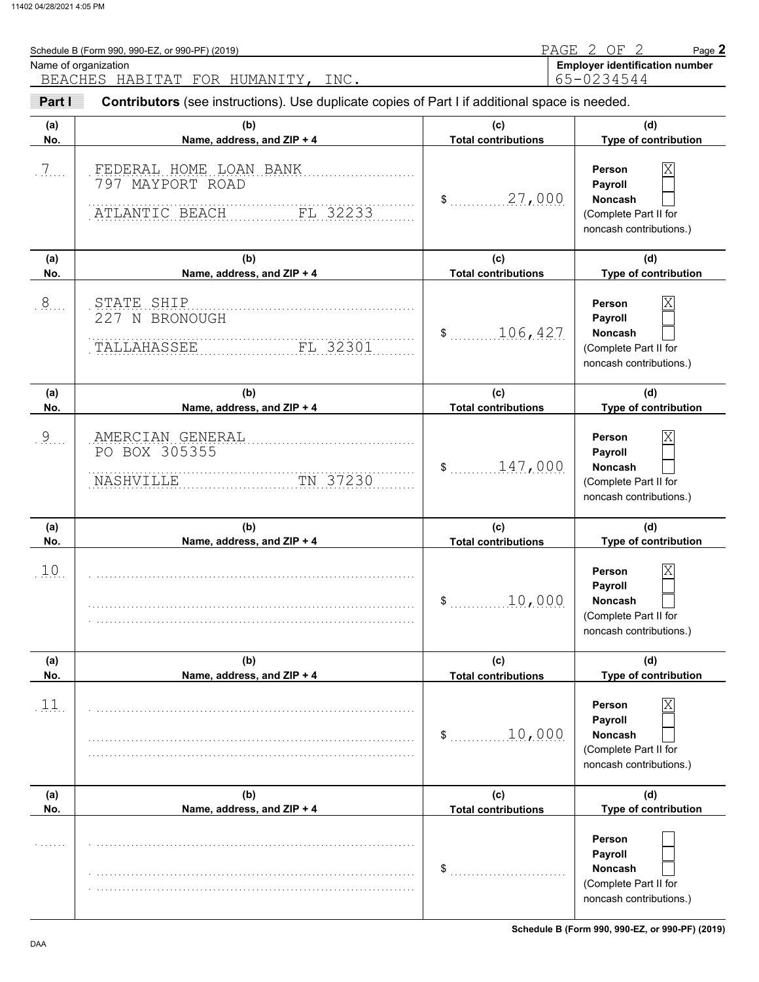| Part I<br>(a)<br>No.<br>.7.<br>(a)<br>No.<br>.8<br>(a)<br>No.<br>.9 | Contributors (see instructions). Use duplicate copies of Part I if additional space is needed.<br>(b)<br>Name, address, and ZIP + 4<br>FEDERAL HOME LOAN BANK<br>797 MAYPORT ROAD<br>ATLANTIC BEACH<br>FL 32233<br>(b)<br>Name, address, and ZIP + 4<br>STATE SHIP | (c)<br><b>Total contributions</b><br>\$ 27,000<br>(c)<br><b>Total contributions</b> | (d)<br>Type of contribution<br>$\overline{\text{X}}$<br>Person<br>Payroll<br>Noncash<br>(Complete Part II for<br>noncash contributions.)<br>(d)<br>Type of contribution<br>$\overline{\text{X}}$<br>Person<br>Payroll |
|---------------------------------------------------------------------|--------------------------------------------------------------------------------------------------------------------------------------------------------------------------------------------------------------------------------------------------------------------|-------------------------------------------------------------------------------------|-----------------------------------------------------------------------------------------------------------------------------------------------------------------------------------------------------------------------|
|                                                                     |                                                                                                                                                                                                                                                                    |                                                                                     |                                                                                                                                                                                                                       |
|                                                                     |                                                                                                                                                                                                                                                                    |                                                                                     |                                                                                                                                                                                                                       |
|                                                                     |                                                                                                                                                                                                                                                                    |                                                                                     |                                                                                                                                                                                                                       |
|                                                                     |                                                                                                                                                                                                                                                                    |                                                                                     |                                                                                                                                                                                                                       |
|                                                                     | 227 N BRONOUGH<br>TALLAHASSEE<br>FL 32301                                                                                                                                                                                                                          | 106,427<br>$\mathsf{\$}$                                                            | Noncash<br>(Complete Part II for<br>noncash contributions.)                                                                                                                                                           |
|                                                                     | (b)<br>Name, address, and ZIP + 4                                                                                                                                                                                                                                  | (c)<br><b>Total contributions</b>                                                   | (d)<br>Type of contribution                                                                                                                                                                                           |
|                                                                     | AMERCIAN GENERAL<br>PO BOX 305355<br>TN 37230<br>NASHVILLE                                                                                                                                                                                                         | 147,000<br>$\mathsf{\$}$                                                            | $\overline{\text{X}}$<br>Person<br>Payroll<br>Noncash<br>(Complete Part II for<br>noncash contributions.)                                                                                                             |
| (a)<br>No.                                                          | (b)<br>Name, address, and ZIP + 4                                                                                                                                                                                                                                  | (c)<br><b>Total contributions</b>                                                   | (d)<br>Type of contribution                                                                                                                                                                                           |
| .10.                                                                |                                                                                                                                                                                                                                                                    | 10,000<br>\$                                                                        | $\mathbf{X}$<br>Person<br>Payroll<br>Noncash<br>(Complete Part II for<br>noncash contributions.)                                                                                                                      |
| (a)<br>No.                                                          | (b)<br>Name, address, and ZIP + 4                                                                                                                                                                                                                                  | (c)<br><b>Total contributions</b>                                                   | (d)<br>Type of contribution                                                                                                                                                                                           |

**Payroll Noncash (a) (b) (c) (d)** No. No. Name, address, and ZIP + 4 **Total contributions** Type of contribution **Person Payroll Noncash**  $\frac{10,000}{10}$ (Complete Part II for noncash contributions.) \$ . . . . . . . . . . . . . . . . . . . . . . . . . . . (Complete Part II for noncash contributions.)  $.11.$ . . . . . . . . . . . . . . . . . . . . . . . . . . . . . . . . . . . . . . . . . . . . . . . . . . . . . . . . . . . . . . . . . . . . . . . . . . . . . . . . . . . . . . . . . . . . . . . . . . . . . . . . . . . . . . . . . . . . . . . . . . . . . . . . . . . . . . . . . . . . . . . . . . . . . . . . . . . . . . . . . . . . . . . . . . . . . . . . . . . . . . . . . . . . . . . . . . . . . . . . . . . . . . . . . . . . . . . . . . . . . . . . . . . . . . . . . . . . . . . . . . . . . . . . . . . . . . . . . . . . . . . . . . . . . . . . . . . . . . . . . . . . . . . . . . . . . . . . . . . . . . . . . . . . . . . . . . . . . . . . . . . . . . . . . . . . . . . . . . . . . . . . . . . . . . . . . . . . . . . . . . . . . . . . . . . . . . . . . . . . . . . . . . . . . . . . . . . . . . . . . . . . . . . . . . . . . . . . . . . . . . . . . . . . . . . . . . . . . . . . . . . . . . . . . . . . . . . . . . . **Total contributions**

**Schedule B (Form 990, 990-EZ, or 990-PF) (2019)**

**Person**

X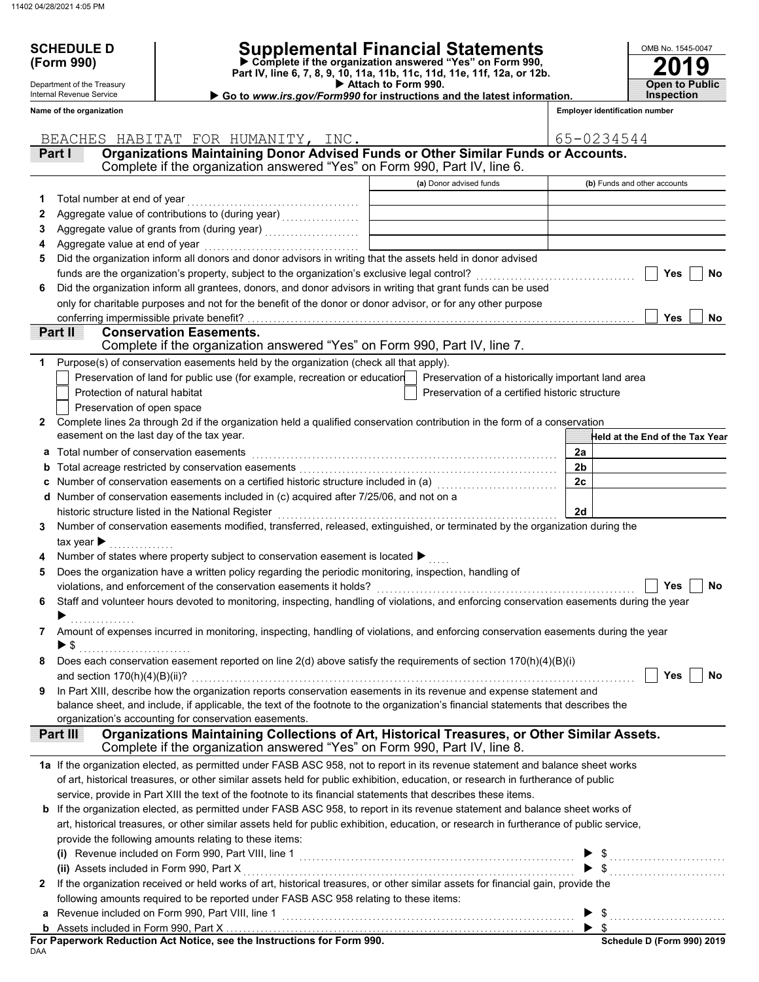**(Form 990)**

Department of the Treasury Internal Revenue Service

# **SCHEDULE D Supplemental Financial Statements**

 **Attach to Form 990. Part IV, line 6, 7, 8, 9, 10, 11a, 11b, 11c, 11d, 11e, 11f, 12a, or 12b. Complete if the organization answered "Yes" on Form 990,**

 **Go to** *www.irs.gov/Form990* **for instructions and the latest information.**

**2019** OMB No. 1545-0047 **Open to Public Inspection**

|  | <b>Employer identification number</b> |  |
|--|---------------------------------------|--|

|   | Name of the organization                                                                                                                                                                                                                                 |                                                | <b>Employer identification number</b>  |
|---|----------------------------------------------------------------------------------------------------------------------------------------------------------------------------------------------------------------------------------------------------------|------------------------------------------------|----------------------------------------|
|   |                                                                                                                                                                                                                                                          |                                                |                                        |
|   | BEACHES HABITAT FOR HUMANITY, INC.<br>Organizations Maintaining Donor Advised Funds or Other Similar Funds or Accounts.<br>Part I                                                                                                                        |                                                | 65-0234544                             |
|   | Complete if the organization answered "Yes" on Form 990, Part IV, line 6.                                                                                                                                                                                |                                                |                                        |
|   |                                                                                                                                                                                                                                                          | (a) Donor advised funds                        | (b) Funds and other accounts           |
| 1 | Total number at end of year                                                                                                                                                                                                                              |                                                |                                        |
| 2 | Aggregate value of contributions to (during year) [11] Aggregate value of contributions of the state of the state of the state of the state of the state of the state of the state of the state of the state of the state of t                           |                                                |                                        |
| З |                                                                                                                                                                                                                                                          |                                                |                                        |
| 4 | Aggregate value at end of year                                                                                                                                                                                                                           |                                                |                                        |
| 5 | Did the organization inform all donors and donor advisors in writing that the assets held in donor advised                                                                                                                                               |                                                |                                        |
|   | funds are the organization's property, subject to the organization's exclusive legal control? [[[[[[[[[[[[[[[                                                                                                                                            |                                                | No<br>Yes                              |
| 6 | Did the organization inform all grantees, donors, and donor advisors in writing that grant funds can be used                                                                                                                                             |                                                |                                        |
|   | only for charitable purposes and not for the benefit of the donor or donor advisor, or for any other purpose                                                                                                                                             |                                                |                                        |
|   |                                                                                                                                                                                                                                                          |                                                | Yes<br>No                              |
|   | Part II<br><b>Conservation Easements.</b>                                                                                                                                                                                                                |                                                |                                        |
|   | Complete if the organization answered "Yes" on Form 990, Part IV, line 7.                                                                                                                                                                                |                                                |                                        |
| 1 | Purpose(s) of conservation easements held by the organization (check all that apply).                                                                                                                                                                    |                                                |                                        |
|   | Preservation of land for public use (for example, recreation or education   Preservation of a historically important land area                                                                                                                           |                                                |                                        |
|   | Protection of natural habitat<br>Preservation of open space                                                                                                                                                                                              | Preservation of a certified historic structure |                                        |
| 2 | Complete lines 2a through 2d if the organization held a qualified conservation contribution in the form of a conservation                                                                                                                                |                                                |                                        |
|   | easement on the last day of the tax year.                                                                                                                                                                                                                |                                                | <b>Held at the End of the Tax Year</b> |
| a | Total number of conservation easements                                                                                                                                                                                                                   |                                                | 2a                                     |
| b |                                                                                                                                                                                                                                                          |                                                | 2 <sub>b</sub>                         |
| c | Number of conservation easements on a certified historic structure included in (a) [11] Number of conservation                                                                                                                                           |                                                | 2 <sub>c</sub>                         |
| d | Number of conservation easements included in (c) acquired after 7/25/06, and not on a                                                                                                                                                                    |                                                |                                        |
|   | historic structure listed in the National Register                                                                                                                                                                                                       |                                                | 2d                                     |
| 3 | Number of conservation easements modified, transferred, released, extinguished, or terminated by the organization during the                                                                                                                             |                                                |                                        |
|   | tax year $\blacktriangleright$                                                                                                                                                                                                                           |                                                |                                        |
|   | Number of states where property subject to conservation easement is located ▶                                                                                                                                                                            |                                                |                                        |
| 5 | Does the organization have a written policy regarding the periodic monitoring, inspection, handling of                                                                                                                                                   |                                                |                                        |
|   | violations, and enforcement of the conservation easements it holds?                                                                                                                                                                                      |                                                | Yes<br>No                              |
| 6 | Staff and volunteer hours devoted to monitoring, inspecting, handling of violations, and enforcing conservation easements during the year                                                                                                                |                                                |                                        |
|   |                                                                                                                                                                                                                                                          |                                                |                                        |
| 7 | Amount of expenses incurred in monitoring, inspecting, handling of violations, and enforcing conservation easements during the year                                                                                                                      |                                                |                                        |
|   | $\blacktriangleright$ \$                                                                                                                                                                                                                                 |                                                |                                        |
|   | Does each conservation easement reported on line 2(d) above satisfy the requirements of section 170(h)(4)(B)(i)                                                                                                                                          |                                                |                                        |
|   | and section $170(h)(4)(B)(ii)$ ?                                                                                                                                                                                                                         |                                                | Yes<br>No                              |
| 9 | In Part XIII, describe how the organization reports conservation easements in its revenue and expense statement and<br>balance sheet, and include, if applicable, the text of the footnote to the organization's financial statements that describes the |                                                |                                        |
|   | organization's accounting for conservation easements.                                                                                                                                                                                                    |                                                |                                        |
|   | Organizations Maintaining Collections of Art, Historical Treasures, or Other Similar Assets.<br><b>Part III</b>                                                                                                                                          |                                                |                                        |
|   | Complete if the organization answered "Yes" on Form 990, Part IV, line 8.                                                                                                                                                                                |                                                |                                        |
|   | 1a If the organization elected, as permitted under FASB ASC 958, not to report in its revenue statement and balance sheet works                                                                                                                          |                                                |                                        |
|   | of art, historical treasures, or other similar assets held for public exhibition, education, or research in furtherance of public                                                                                                                        |                                                |                                        |
|   | service, provide in Part XIII the text of the footnote to its financial statements that describes these items.                                                                                                                                           |                                                |                                        |
|   | b If the organization elected, as permitted under FASB ASC 958, to report in its revenue statement and balance sheet works of                                                                                                                            |                                                |                                        |
|   | art, historical treasures, or other similar assets held for public exhibition, education, or research in furtherance of public service,                                                                                                                  |                                                |                                        |
|   | provide the following amounts relating to these items:                                                                                                                                                                                                   |                                                |                                        |
|   |                                                                                                                                                                                                                                                          |                                                |                                        |
|   | (ii) Assets included in Form 990, Part X                                                                                                                                                                                                                 |                                                |                                        |
| 2 | If the organization received or held works of art, historical treasures, or other similar assets for financial gain, provide the                                                                                                                         |                                                |                                        |
|   | following amounts required to be reported under FASB ASC 958 relating to these items:                                                                                                                                                                    |                                                |                                        |
| a | Revenue included on Form 990, Part VIII, line 1                                                                                                                                                                                                          |                                                |                                        |
| b |                                                                                                                                                                                                                                                          |                                                | $\blacktriangleright$ s                |

| For Paperwork Reduction Act Notice, see the Instructions for Form 990. |  |
|------------------------------------------------------------------------|--|
| DAA                                                                    |  |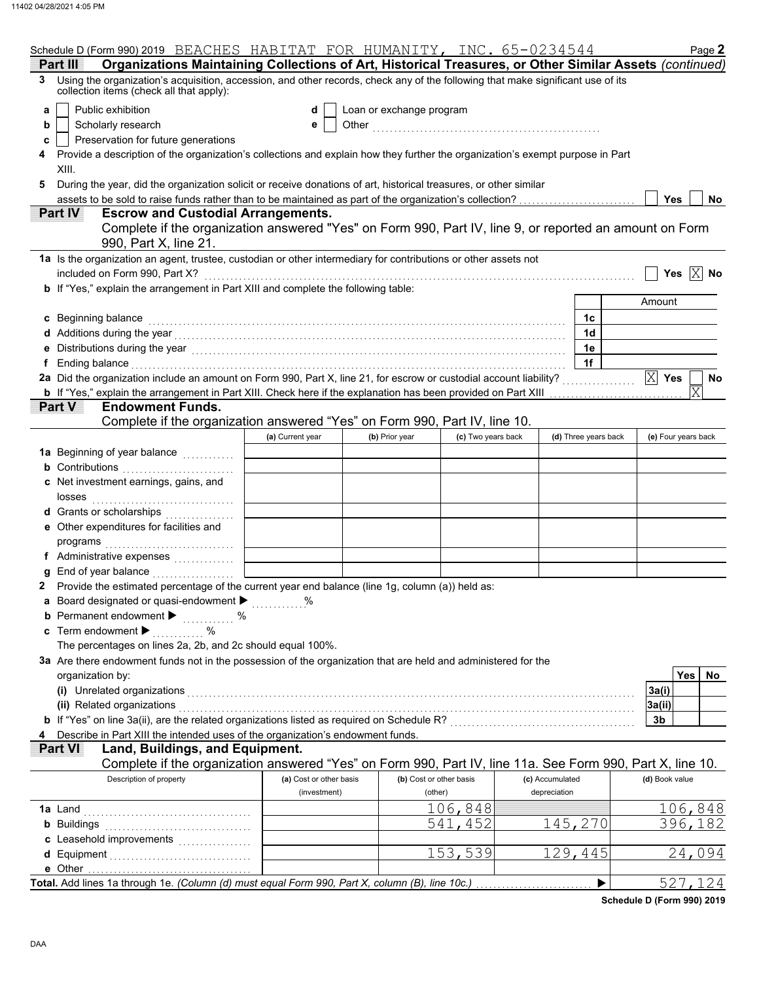|    | Schedule D (Form 990) 2019 BEACHES HABITAT FOR HUMANITY, INC. 65-0234544                                                                                                                                                             |                         |                          |                         |                 |                      | Page 2                |
|----|--------------------------------------------------------------------------------------------------------------------------------------------------------------------------------------------------------------------------------------|-------------------------|--------------------------|-------------------------|-----------------|----------------------|-----------------------|
|    | Organizations Maintaining Collections of Art, Historical Treasures, or Other Similar Assets (continued)<br>Part III                                                                                                                  |                         |                          |                         |                 |                      |                       |
| 3. | Using the organization's acquisition, accession, and other records, check any of the following that make significant use of its<br>collection items (check all that apply):                                                          |                         |                          |                         |                 |                      |                       |
| a  | Public exhibition                                                                                                                                                                                                                    | d                       | Loan or exchange program |                         |                 |                      |                       |
| b  | Scholarly research                                                                                                                                                                                                                   | е                       |                          |                         |                 |                      |                       |
| c  | Preservation for future generations                                                                                                                                                                                                  |                         |                          |                         |                 |                      |                       |
|    | Provide a description of the organization's collections and explain how they further the organization's exempt purpose in Part                                                                                                       |                         |                          |                         |                 |                      |                       |
|    | XIII.                                                                                                                                                                                                                                |                         |                          |                         |                 |                      |                       |
|    | During the year, did the organization solicit or receive donations of art, historical treasures, or other similar                                                                                                                    |                         |                          |                         |                 |                      |                       |
|    | assets to be sold to raise funds rather than to be maintained as part of the organization's collection?                                                                                                                              |                         |                          |                         |                 |                      | Yes<br>No             |
|    | Part IV<br><b>Escrow and Custodial Arrangements.</b>                                                                                                                                                                                 |                         |                          |                         |                 |                      |                       |
|    | Complete if the organization answered "Yes" on Form 990, Part IV, line 9, or reported an amount on Form<br>990, Part X, line 21.                                                                                                     |                         |                          |                         |                 |                      |                       |
|    | 1a Is the organization an agent, trustee, custodian or other intermediary for contributions or other assets not                                                                                                                      |                         |                          |                         |                 |                      |                       |
|    |                                                                                                                                                                                                                                      |                         |                          |                         |                 |                      | Yes $X$ No            |
|    | included on Form 990, Part X?                                                                                                                                                                                                        |                         |                          |                         |                 |                      |                       |
|    | b If "Yes," explain the arrangement in Part XIII and complete the following table:                                                                                                                                                   |                         |                          |                         |                 |                      |                       |
|    |                                                                                                                                                                                                                                      |                         |                          |                         |                 |                      | Amount                |
|    | c Beginning balance                                                                                                                                                                                                                  |                         |                          |                         |                 | 1c                   |                       |
|    |                                                                                                                                                                                                                                      |                         |                          |                         |                 | 1d                   |                       |
|    | e Distributions during the year [1, 1, 2010] with the control of the set of the set of the set of the set of the set of the set of the set of the set of the set of the set of the set of the set of the set of the set of the       |                         |                          |                         |                 | 1е                   |                       |
| f  | Ending balance with a construction of the construction of the construction of the construction of the construction of the construction of the construction of the construction of the construction of the construction of the        |                         |                          |                         |                 | 1f                   |                       |
|    | 2a Did the organization include an amount on Form 990, Part X, line 21, for escrow or custodial account liability?                                                                                                                   |                         |                          |                         |                 |                      | $X$ Yes<br>No         |
|    | b If "Yes," explain the arrangement in Part XIII. Check here if the explanation has been provided on Part XIII                                                                                                                       |                         |                          |                         |                 |                      | $\overline{\text{X}}$ |
|    | <b>Part V</b><br><b>Endowment Funds.</b>                                                                                                                                                                                             |                         |                          |                         |                 |                      |                       |
|    | Complete if the organization answered "Yes" on Form 990, Part IV, line 10.                                                                                                                                                           |                         |                          |                         |                 |                      |                       |
|    |                                                                                                                                                                                                                                      | (a) Current year        | (b) Prior year           | (c) Two years back      |                 | (d) Three years back | (e) Four years back   |
|    | 1a Beginning of year balance                                                                                                                                                                                                         |                         |                          |                         |                 |                      |                       |
|    | <b>b</b> Contributions                                                                                                                                                                                                               |                         |                          |                         |                 |                      |                       |
|    | c Net investment earnings, gains, and                                                                                                                                                                                                |                         |                          |                         |                 |                      |                       |
|    | losses                                                                                                                                                                                                                               |                         |                          |                         |                 |                      |                       |
|    | d Grants or scholarships<br>. <b>.</b> .                                                                                                                                                                                             |                         |                          |                         |                 |                      |                       |
|    | e Other expenditures for facilities and                                                                                                                                                                                              |                         |                          |                         |                 |                      |                       |
|    | programs                                                                                                                                                                                                                             |                         |                          |                         |                 |                      |                       |
|    | f Administrative expenses                                                                                                                                                                                                            |                         |                          |                         |                 |                      |                       |
|    | g End of year balance <i></i>                                                                                                                                                                                                        |                         |                          |                         |                 |                      |                       |
|    | Provide the estimated percentage of the current year end balance (line 1g, column (a)) held as:                                                                                                                                      |                         |                          |                         |                 |                      |                       |
|    | Board designated or quasi-endowment > %                                                                                                                                                                                              |                         |                          |                         |                 |                      |                       |
|    | <b>b</b> Permanent endowment $\blacktriangleright$<br>$\%$<br><u>.</u>                                                                                                                                                               |                         |                          |                         |                 |                      |                       |
|    | <b>c</b> Term endowment $\blacktriangleright$<br>%                                                                                                                                                                                   |                         |                          |                         |                 |                      |                       |
|    | The percentages on lines 2a, 2b, and 2c should equal 100%.                                                                                                                                                                           |                         |                          |                         |                 |                      |                       |
|    | 3a Are there endowment funds not in the possession of the organization that are held and administered for the                                                                                                                        |                         |                          |                         |                 |                      |                       |
|    | organization by:                                                                                                                                                                                                                     |                         |                          |                         |                 |                      | <b>Yes</b><br>No.     |
|    | (i) Unrelated organizations <b>contract to the contract of the contract of the contract of the contract of the contract of the contract of the contract of the contract of the contract of the contract of the contract of the c</b> |                         |                          |                         |                 |                      | 3a(i)                 |
|    | (ii) Related organizations                                                                                                                                                                                                           |                         |                          |                         |                 |                      | 3a(ii)                |
|    | b If "Yes" on line 3a(ii), are the related organizations listed as required on Schedule R? [[[[[[[[[[[[[[[[[[[                                                                                                                       |                         |                          |                         |                 |                      | 3b                    |
|    | Describe in Part XIII the intended uses of the organization's endowment funds.                                                                                                                                                       |                         |                          |                         |                 |                      |                       |
|    | Land, Buildings, and Equipment.<br>Part VI                                                                                                                                                                                           |                         |                          |                         |                 |                      |                       |
|    | Complete if the organization answered "Yes" on Form 990, Part IV, line 11a. See Form 990, Part X, line 10.                                                                                                                           |                         |                          |                         |                 |                      |                       |
|    | Description of property                                                                                                                                                                                                              | (a) Cost or other basis |                          | (b) Cost or other basis | (c) Accumulated |                      | (d) Book value        |
|    |                                                                                                                                                                                                                                      | (investment)            |                          | (other)                 | depreciation    |                      |                       |
|    |                                                                                                                                                                                                                                      |                         |                          | 106,848                 |                 |                      |                       |
|    | <b>1a</b> Land                                                                                                                                                                                                                       |                         |                          |                         |                 |                      | 106,848               |
|    | <b>b</b> Buildings                                                                                                                                                                                                                   |                         |                          | 541,<br>452             |                 | 145,270              | 396,182               |
|    |                                                                                                                                                                                                                                      |                         |                          |                         |                 |                      |                       |
|    |                                                                                                                                                                                                                                      |                         |                          | 153,539                 |                 | 129,445              | 24,094                |
|    |                                                                                                                                                                                                                                      |                         |                          |                         |                 |                      |                       |
|    | Total. Add lines 1a through 1e. (Column (d) must equal Form 990, Part X, column (B), line 10c.)                                                                                                                                      |                         |                          |                         |                 |                      | 527,124               |

**Schedule D (Form 990) 2019**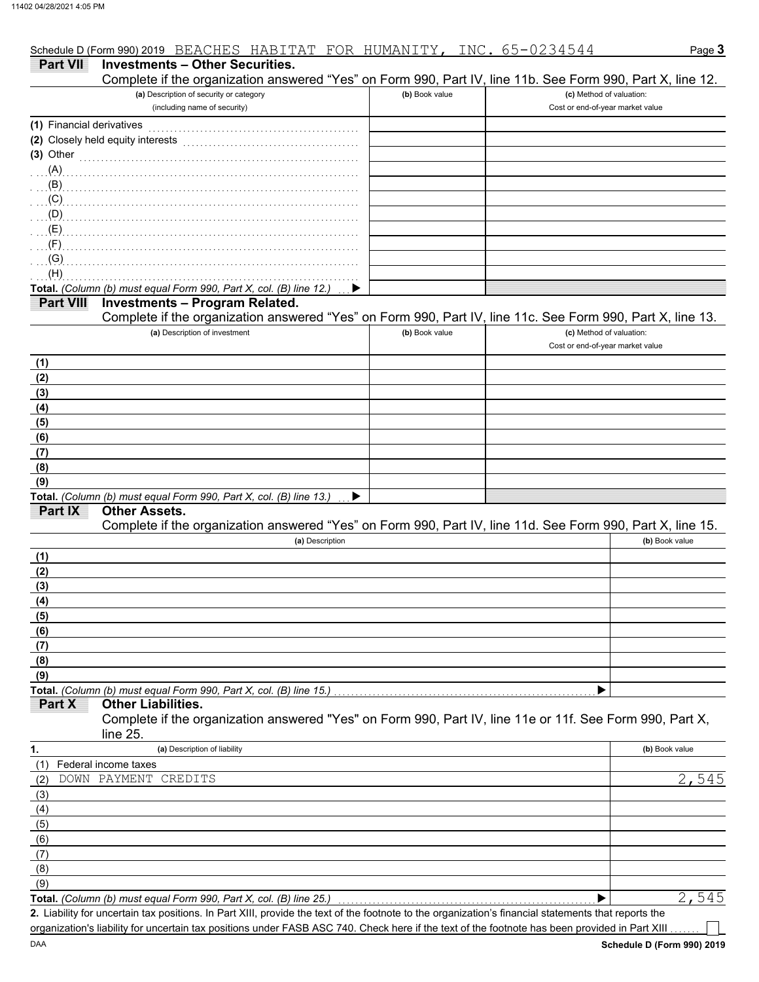|                           | Schedule D (Form 990) 2019 BEACHES HABITAT FOR HUMANITY,                                                   |                | <u>INC. 65-0234544</u>                                       | Page 3         |
|---------------------------|------------------------------------------------------------------------------------------------------------|----------------|--------------------------------------------------------------|----------------|
| <b>Part VII</b>           | <b>Investments - Other Securities.</b>                                                                     |                |                                                              |                |
|                           | Complete if the organization answered "Yes" on Form 990, Part IV, line 11b. See Form 990, Part X, line 12. |                |                                                              |                |
|                           | (a) Description of security or category                                                                    | (b) Book value | (c) Method of valuation:                                     |                |
|                           | (including name of security)                                                                               |                | Cost or end-of-year market value                             |                |
| (1) Financial derivatives |                                                                                                            |                |                                                              |                |
|                           | (2) Closely held equity interests                                                                          |                |                                                              |                |
| $(3)$ Other               |                                                                                                            |                |                                                              |                |
| (A)                       |                                                                                                            |                |                                                              |                |
| (B)                       |                                                                                                            |                |                                                              |                |
| (C)                       |                                                                                                            |                |                                                              |                |
| (D)                       |                                                                                                            |                |                                                              |                |
| (E)                       |                                                                                                            |                |                                                              |                |
| (F)                       |                                                                                                            |                |                                                              |                |
| (G)                       |                                                                                                            |                |                                                              |                |
| (H)                       |                                                                                                            |                |                                                              |                |
|                           | Total. (Column (b) must equal Form 990, Part X, col. (B) line 12.)                                         |                |                                                              |                |
| <b>Part VIII</b>          | <b>Investments - Program Related.</b>                                                                      |                |                                                              |                |
|                           | Complete if the organization answered "Yes" on Form 990, Part IV, line 11c. See Form 990, Part X, line 13. |                |                                                              |                |
|                           | (a) Description of investment                                                                              | (b) Book value | (c) Method of valuation:<br>Cost or end-of-year market value |                |
| (1)                       |                                                                                                            |                |                                                              |                |
| (2)                       |                                                                                                            |                |                                                              |                |
| (3)                       |                                                                                                            |                |                                                              |                |
| (4)                       |                                                                                                            |                |                                                              |                |
| (5)                       |                                                                                                            |                |                                                              |                |
| (6)                       |                                                                                                            |                |                                                              |                |
| (7)                       |                                                                                                            |                |                                                              |                |
| (8)                       |                                                                                                            |                |                                                              |                |
| (9)                       |                                                                                                            |                |                                                              |                |
|                           | Total. (Column (b) must equal Form 990, Part X, col. (B) line 13.)<br><b>Other Assets.</b>                 |                |                                                              |                |
| <b>Part IX</b>            | Complete if the organization answered "Yes" on Form 990, Part IV, line 11d. See Form 990, Part X, line 15. |                |                                                              |                |
|                           | (a) Description                                                                                            |                |                                                              | (b) Book value |
| (1)                       |                                                                                                            |                |                                                              |                |
| (2)                       |                                                                                                            |                |                                                              |                |
| (3)                       |                                                                                                            |                |                                                              |                |
| (4)                       |                                                                                                            |                |                                                              |                |
| (5)                       |                                                                                                            |                |                                                              |                |
| (6)                       |                                                                                                            |                |                                                              |                |
| (7)                       |                                                                                                            |                |                                                              |                |
| (8)                       |                                                                                                            |                |                                                              |                |
| (9)                       |                                                                                                            |                |                                                              |                |
|                           | Total. (Column (b) must equal Form 990, Part X, col. (B) line 15.)                                         |                |                                                              |                |
| Part X                    | <b>Other Liabilities.</b>                                                                                  |                |                                                              |                |
|                           | Complete if the organization answered "Yes" on Form 990, Part IV, line 11e or 11f. See Form 990, Part X,   |                |                                                              |                |
|                           | line 25.                                                                                                   |                |                                                              |                |
| 1.                        | (a) Description of liability                                                                               |                |                                                              | (b) Book value |
| (1)                       | Federal income taxes                                                                                       |                |                                                              |                |
| (2)                       | DOWN PAYMENT CREDITS                                                                                       |                |                                                              | 2,545          |
| (3)                       |                                                                                                            |                |                                                              |                |
| (4)                       |                                                                                                            |                |                                                              |                |
| (5)                       |                                                                                                            |                |                                                              |                |
| (6)                       |                                                                                                            |                |                                                              |                |
| (7)                       |                                                                                                            |                |                                                              |                |

Total. *(Column (b) must equal Form 990, Part X, col. (B) line 25.)* (9)

Liability for uncertain tax positions. In Part XIII, provide the text of the footnote to the organization's financial statements that reports the **2.** organization's liability for uncertain tax positions under FASB ASC 740. Check here if the text of the footnote has been provided in Part XIII  $\blacktriangleright$ 2,545

(8)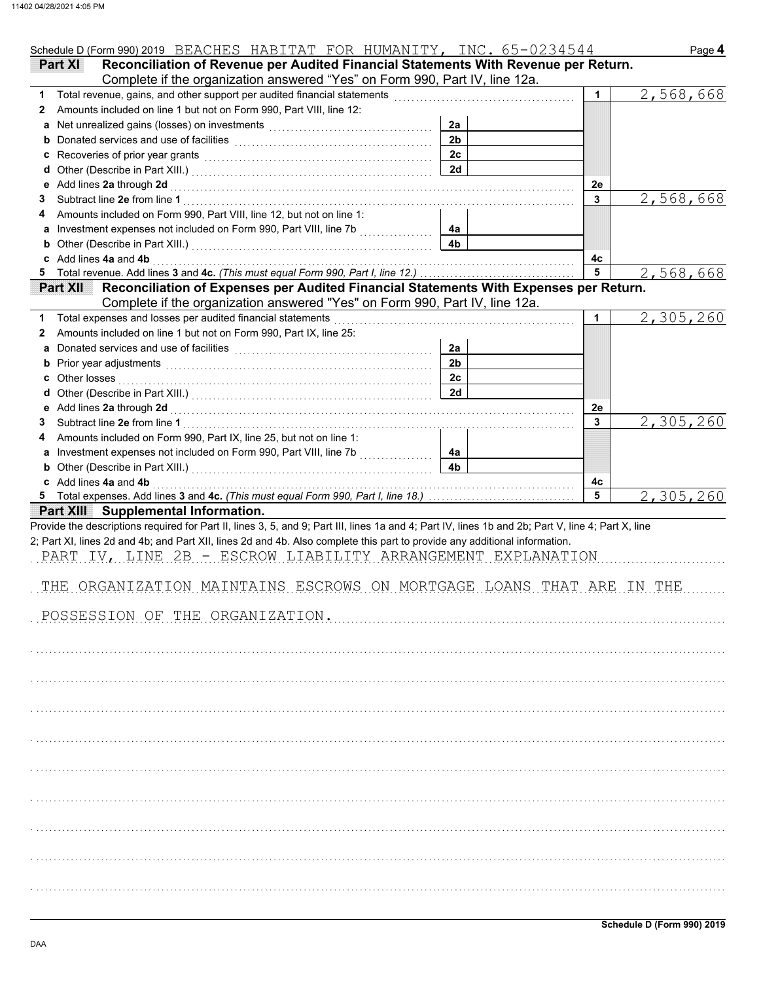| Schedule D (Form 990) 2019 BEACHES HABITAT FOR HUMANITY, INC. 65-0234544                                                                                                                                                           |                      |         | Page 4    |
|------------------------------------------------------------------------------------------------------------------------------------------------------------------------------------------------------------------------------------|----------------------|---------|-----------|
| Reconciliation of Revenue per Audited Financial Statements With Revenue per Return.<br><b>Part XI</b>                                                                                                                              |                      |         |           |
| Complete if the organization answered "Yes" on Form 990, Part IV, line 12a.                                                                                                                                                        |                      |         |           |
| Total revenue, gains, and other support per audited financial statements<br>1.                                                                                                                                                     |                      | 1       | 2,568,668 |
| Amounts included on line 1 but not on Form 990, Part VIII, line 12:<br>2                                                                                                                                                           |                      |         |           |
| a                                                                                                                                                                                                                                  | 2a                   |         |           |
| b                                                                                                                                                                                                                                  | 2 <sub>b</sub>       |         |           |
|                                                                                                                                                                                                                                    | 2c                   |         |           |
| d                                                                                                                                                                                                                                  | 2d                   |         |           |
| Add lines 2a through 2d<br>е                                                                                                                                                                                                       |                      | 2e      |           |
| З                                                                                                                                                                                                                                  |                      | 3       | 2,568,668 |
| Amounts included on Form 990, Part VIII, line 12, but not on line 1:                                                                                                                                                               |                      |         |           |
| a Investment expenses not included on Form 990, Part VIII, line 7b                                                                                                                                                                 | 4a                   |         |           |
|                                                                                                                                                                                                                                    | 4 <sub>b</sub>       |         |           |
| c Add lines 4a and 4b<br>Total revenue. Add lines 3 and 4c. (This must equal Form 990, Part I, line 12.)                                                                                                                           |                      | 4c<br>5 |           |
| 5.<br>Reconciliation of Expenses per Audited Financial Statements With Expenses per Return.<br><b>Part XII</b>                                                                                                                     |                      |         | 2,568,668 |
| Complete if the organization answered "Yes" on Form 990, Part IV, line 12a.                                                                                                                                                        |                      |         |           |
| Total expenses and losses per audited financial statements                                                                                                                                                                         |                      | 1       | 2,305,260 |
| 1<br>Amounts included on line 1 but not on Form 990, Part IX, line 25:                                                                                                                                                             |                      |         |           |
| 2                                                                                                                                                                                                                                  | 2a                   |         |           |
|                                                                                                                                                                                                                                    | 2 <sub>b</sub>       |         |           |
| b Prior year adjustments <b>contained</b> and the contained and the contained and contained and prior of prior of Prior Section 2014 and 2015 of Prior Section 2016 and 2016 and 2016 and 2016 and 2016 and 2016 and 2016 and 2016 | 2c                   |         |           |
| Other losses                                                                                                                                                                                                                       | 2d                   |         |           |
| d                                                                                                                                                                                                                                  |                      |         |           |
| e Add lines 2a through 2d                                                                                                                                                                                                          |                      | 2e      |           |
| З                                                                                                                                                                                                                                  |                      | 3       | 2,305,260 |
| Amounts included on Form 990, Part IX, line 25, but not on line 1:                                                                                                                                                                 |                      |         |           |
| a Investment expenses not included on Form 990, Part VIII, line 7b [[[[[[[[[[[[[[[[[[[[[[[[[[[[[[[[[                                                                                                                               | 4a<br>4 <sub>b</sub> |         |           |
|                                                                                                                                                                                                                                    |                      |         |           |
| c Add lines 4a and 4b                                                                                                                                                                                                              |                      | 4с<br>5 |           |
|                                                                                                                                                                                                                                    |                      |         | 2,305,260 |
| Part XIII Supplemental Information.                                                                                                                                                                                                |                      |         |           |
| Provide the descriptions required for Part II, lines 3, 5, and 9; Part III, lines 1a and 4; Part IV, lines 1b and 2b; Part V, line 4; Part X, line                                                                                 |                      |         |           |
| 2; Part XI, lines 2d and 4b; and Part XII, lines 2d and 4b. Also complete this part to provide any additional information.                                                                                                         |                      |         |           |
| PART IV, LINE 2B - ESCROW LIABILITY ARRANGEMENT EXPLANATION                                                                                                                                                                        |                      |         |           |
|                                                                                                                                                                                                                                    |                      |         |           |
| THE ORGANIZATION MAINTAINS ESCROWS ON MORTGAGE LOANS THAT ARE IN THE                                                                                                                                                               |                      |         |           |
|                                                                                                                                                                                                                                    |                      |         |           |
| POSSESSION OF THE ORGANIZATION.                                                                                                                                                                                                    |                      |         |           |
|                                                                                                                                                                                                                                    |                      |         |           |
|                                                                                                                                                                                                                                    |                      |         |           |
|                                                                                                                                                                                                                                    |                      |         |           |
|                                                                                                                                                                                                                                    |                      |         |           |
|                                                                                                                                                                                                                                    |                      |         |           |
|                                                                                                                                                                                                                                    |                      |         |           |
|                                                                                                                                                                                                                                    |                      |         |           |
|                                                                                                                                                                                                                                    |                      |         |           |
|                                                                                                                                                                                                                                    |                      |         |           |
|                                                                                                                                                                                                                                    |                      |         |           |
|                                                                                                                                                                                                                                    |                      |         |           |
|                                                                                                                                                                                                                                    |                      |         |           |
|                                                                                                                                                                                                                                    |                      |         |           |
|                                                                                                                                                                                                                                    |                      |         |           |
|                                                                                                                                                                                                                                    |                      |         |           |
|                                                                                                                                                                                                                                    |                      |         |           |
|                                                                                                                                                                                                                                    |                      |         |           |
|                                                                                                                                                                                                                                    |                      |         |           |
|                                                                                                                                                                                                                                    |                      |         |           |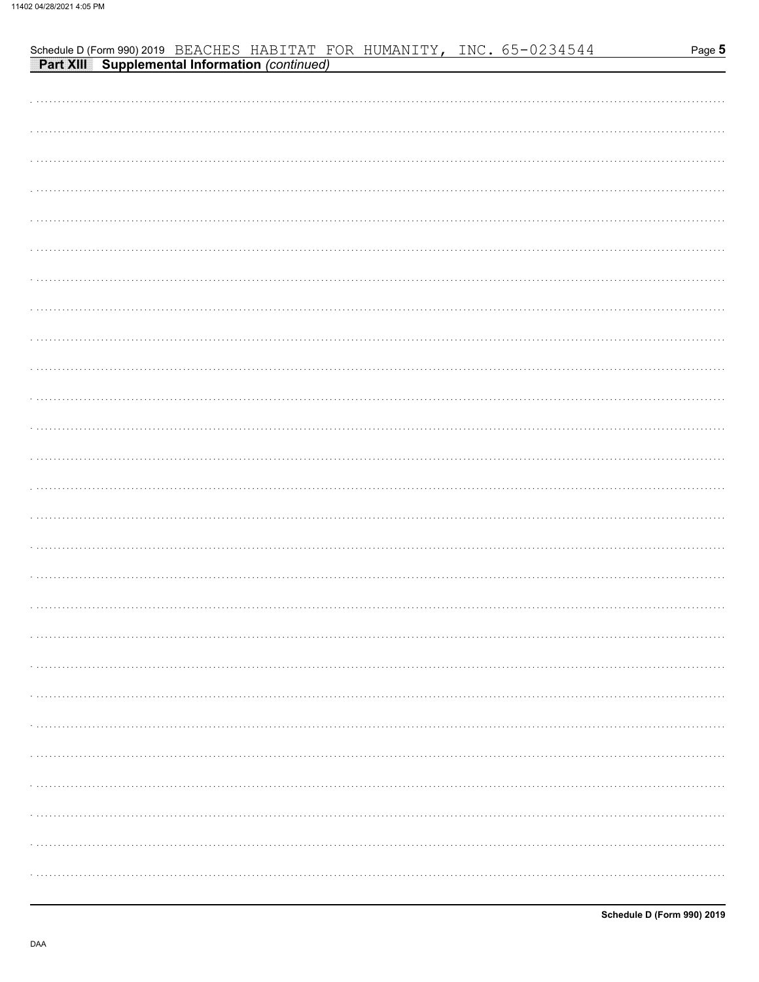|  |  |  | Schedule D (Form 990) 2019 BEACHES HABITAT FOR HUMANITY, INC. 65-0234544<br><b>Part XIII Supplemental Information</b> (continued) | Page 5 |
|--|--|--|-----------------------------------------------------------------------------------------------------------------------------------|--------|
|  |  |  |                                                                                                                                   |        |
|  |  |  |                                                                                                                                   |        |
|  |  |  |                                                                                                                                   |        |
|  |  |  |                                                                                                                                   |        |
|  |  |  |                                                                                                                                   |        |
|  |  |  |                                                                                                                                   |        |
|  |  |  |                                                                                                                                   |        |
|  |  |  |                                                                                                                                   |        |
|  |  |  |                                                                                                                                   |        |
|  |  |  |                                                                                                                                   |        |
|  |  |  |                                                                                                                                   |        |
|  |  |  |                                                                                                                                   |        |
|  |  |  |                                                                                                                                   |        |
|  |  |  |                                                                                                                                   |        |
|  |  |  |                                                                                                                                   |        |
|  |  |  |                                                                                                                                   |        |
|  |  |  |                                                                                                                                   |        |
|  |  |  |                                                                                                                                   |        |
|  |  |  |                                                                                                                                   |        |
|  |  |  |                                                                                                                                   |        |
|  |  |  |                                                                                                                                   |        |
|  |  |  |                                                                                                                                   |        |
|  |  |  |                                                                                                                                   |        |
|  |  |  |                                                                                                                                   |        |
|  |  |  |                                                                                                                                   |        |
|  |  |  |                                                                                                                                   |        |
|  |  |  |                                                                                                                                   |        |
|  |  |  |                                                                                                                                   |        |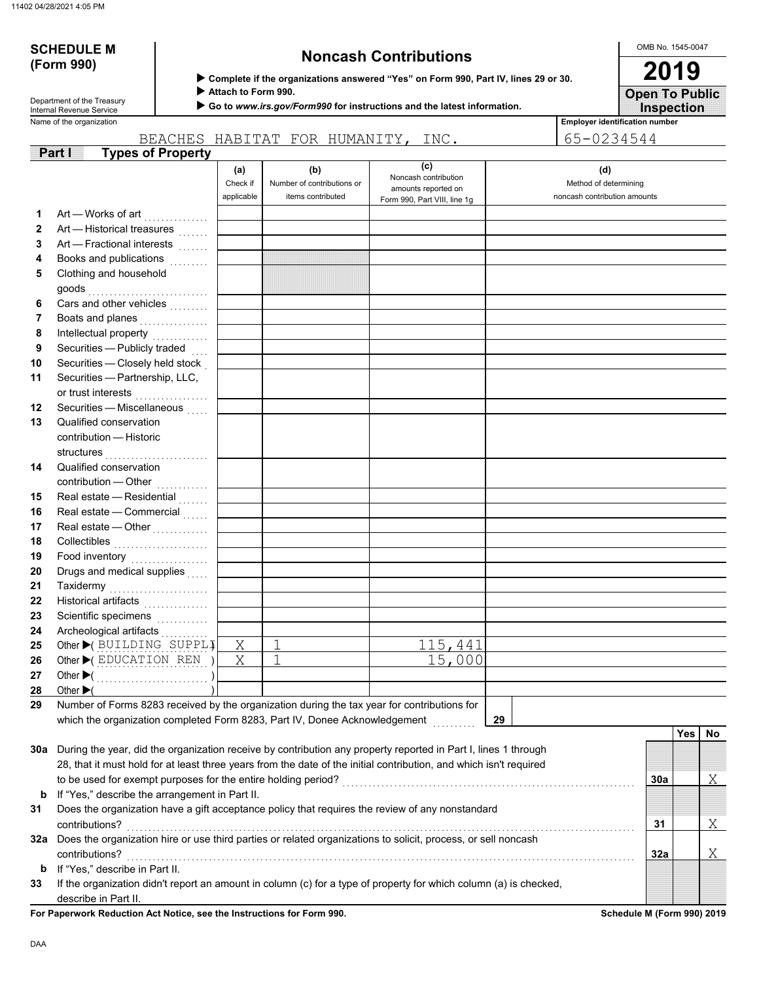# **(Form 990)**

# **SCHEDULE M Noncash Contributions**

OMB No. 1545-0047 **2019**

**Inspection Open To Public**

 **Attach to Form 990.**

 **Go to** *www.irs.gov/Form990* **for instructions and the latest information.**

Name of the organization **Employer identification number Employer identification number** Department of the Treasury<br>Internal Revenue Service

|    |                                                                                                                                                     |                               | BEACHES HABITAT FOR HUMANITY, INC.                     |                                                                                    | 65-0234544                                                   |     |     |     |
|----|-----------------------------------------------------------------------------------------------------------------------------------------------------|-------------------------------|--------------------------------------------------------|------------------------------------------------------------------------------------|--------------------------------------------------------------|-----|-----|-----|
|    | <b>Types of Property</b><br><b>Part I</b>                                                                                                           |                               |                                                        |                                                                                    |                                                              |     |     |     |
|    |                                                                                                                                                     | (a)<br>Check if<br>applicable | (b)<br>Number of contributions or<br>items contributed | (c)<br>Noncash contribution<br>amounts reported on<br>Form 990, Part VIII, line 1g | (d)<br>Method of determining<br>noncash contribution amounts |     |     |     |
| 1  | Art — Works of art <b>Markon</b>                                                                                                                    |                               |                                                        |                                                                                    |                                                              |     |     |     |
| 2  | Art - Historical treasures                                                                                                                          |                               |                                                        |                                                                                    |                                                              |     |     |     |
| 3  | Art - Fractional interests                                                                                                                          |                               |                                                        |                                                                                    |                                                              |     |     |     |
| 4  | Books and publications                                                                                                                              |                               |                                                        |                                                                                    |                                                              |     |     |     |
| 5  | Clothing and household                                                                                                                              |                               |                                                        |                                                                                    |                                                              |     |     |     |
| 6  | Cars and other vehicles                                                                                                                             |                               |                                                        |                                                                                    |                                                              |     |     |     |
| 7  | Boats and planes<br>                                                                                                                                |                               |                                                        |                                                                                    |                                                              |     |     |     |
| 8  | Intellectual property                                                                                                                               |                               |                                                        |                                                                                    |                                                              |     |     |     |
| 9  | Securities - Publicly traded                                                                                                                        |                               |                                                        |                                                                                    |                                                              |     |     |     |
| 10 | Securities - Closely held stock                                                                                                                     |                               |                                                        |                                                                                    |                                                              |     |     |     |
| 11 | Securities - Partnership, LLC,<br>or trust interests                                                                                                |                               |                                                        |                                                                                    |                                                              |     |     |     |
| 12 | Securities - Miscellaneous                                                                                                                          |                               |                                                        |                                                                                    |                                                              |     |     |     |
| 13 | Qualified conservation                                                                                                                              |                               |                                                        |                                                                                    |                                                              |     |     |     |
|    | contribution - Historic                                                                                                                             |                               |                                                        |                                                                                    |                                                              |     |     |     |
| 14 | Qualified conservation                                                                                                                              |                               |                                                        |                                                                                    |                                                              |     |     |     |
|    | contribution - Other                                                                                                                                |                               |                                                        |                                                                                    |                                                              |     |     |     |
| 15 | Real estate - Residential                                                                                                                           |                               |                                                        |                                                                                    |                                                              |     |     |     |
| 16 | Real estate - Commercial                                                                                                                            |                               |                                                        |                                                                                    |                                                              |     |     |     |
| 17 | Real estate - Other                                                                                                                                 |                               |                                                        |                                                                                    |                                                              |     |     |     |
| 18 | Collectibles                                                                                                                                        |                               |                                                        |                                                                                    |                                                              |     |     |     |
| 19 | Food inventory                                                                                                                                      |                               |                                                        |                                                                                    |                                                              |     |     |     |
| 20 | Drugs and medical supplies                                                                                                                          |                               |                                                        |                                                                                    |                                                              |     |     |     |
| 21 | Taxidermy                                                                                                                                           |                               |                                                        |                                                                                    |                                                              |     |     |     |
| 22 | Historical artifacts                                                                                                                                |                               |                                                        |                                                                                    |                                                              |     |     |     |
| 23 | Scientific specimens                                                                                                                                |                               |                                                        |                                                                                    |                                                              |     |     |     |
| 24 | Archeological artifacts                                                                                                                             |                               |                                                        |                                                                                    |                                                              |     |     |     |
| 25 | Other C BUILDING SUPPLI                                                                                                                             | Χ                             | 1                                                      | 115,441                                                                            |                                                              |     |     |     |
| 26 | Other CEDUCATION REN )                                                                                                                              | Χ                             | 1                                                      | $\overline{15}$ ,000                                                               |                                                              |     |     |     |
| 27 |                                                                                                                                                     |                               |                                                        |                                                                                    |                                                              |     |     |     |
| 28 | Other $\blacktriangleright$                                                                                                                         |                               |                                                        |                                                                                    |                                                              |     |     |     |
| 29 | Number of Forms 8283 received by the organization during the tax year for contributions for                                                         |                               |                                                        |                                                                                    |                                                              |     |     |     |
|    | which the organization completed Form 8283, Part IV, Donee Acknowledgement                                                                          |                               |                                                        |                                                                                    | 29                                                           |     |     |     |
|    |                                                                                                                                                     |                               |                                                        |                                                                                    |                                                              |     | Yes | No. |
|    | 30a During the year, did the organization receive by contribution any property reported in Part I, lines 1 through                                  |                               |                                                        |                                                                                    |                                                              |     |     |     |
|    | 28, that it must hold for at least three years from the date of the initial contribution, and which isn't required                                  |                               |                                                        |                                                                                    |                                                              |     |     |     |
|    | to be used for exempt purposes for the entire holding period?                                                                                       |                               |                                                        |                                                                                    |                                                              | 30a |     | Χ   |
| b  | If "Yes," describe the arrangement in Part II.                                                                                                      |                               |                                                        |                                                                                    |                                                              |     |     |     |
| 31 | Does the organization have a gift acceptance policy that requires the review of any nonstandard                                                     |                               |                                                        |                                                                                    |                                                              |     |     |     |
|    | contributions?<br>32a Does the organization hire or use third parties or related organizations to solicit, process, or sell noncash                 |                               |                                                        |                                                                                    |                                                              | 31  |     | Χ   |
|    |                                                                                                                                                     |                               |                                                        |                                                                                    |                                                              |     |     |     |
|    | contributions?                                                                                                                                      |                               |                                                        |                                                                                    |                                                              | 32a |     | Χ   |
| b  | If "Yes," describe in Part II.<br>If the organization didn't report an amount in column (c) for a type of property for which column (a) is checked, |                               |                                                        |                                                                                    |                                                              |     |     |     |
| 33 | describe in Part II.                                                                                                                                |                               |                                                        |                                                                                    |                                                              |     |     |     |
|    |                                                                                                                                                     |                               |                                                        |                                                                                    |                                                              |     |     |     |

**For Paperwork Reduction Act Notice, see the Instructions for Form 990. Schedule M (Form 990) 2019**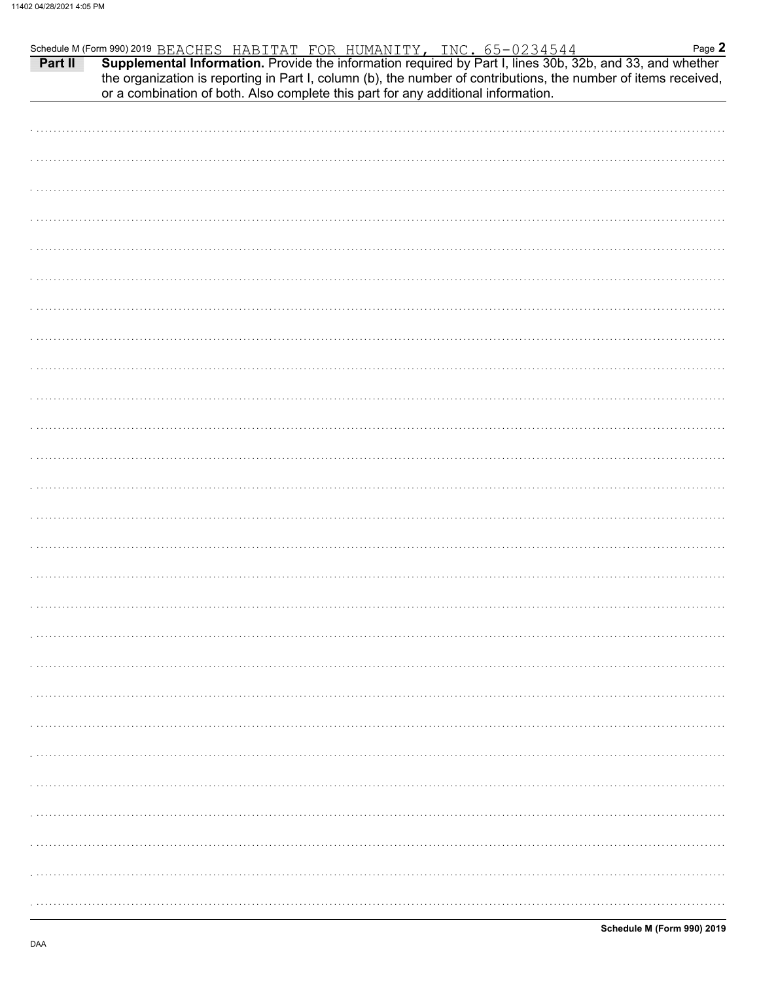| Schedule M (Form 990) 2019 BEACHES HABITAT FOR HUMANITY, INC. 65-0234544 Page 2<br><b>Part II</b> Supplemental Information. Provide the information required by Part I, lines 30b, 32b, and 33, and whether |  |                                                                                                                 | Page 2 |
|-------------------------------------------------------------------------------------------------------------------------------------------------------------------------------------------------------------|--|-----------------------------------------------------------------------------------------------------------------|--------|
| or a combination of both. Also complete this part for any additional information.                                                                                                                           |  | the organization is reporting in Part I, column (b), the number of contributions, the number of items received, |        |
|                                                                                                                                                                                                             |  |                                                                                                                 |        |
|                                                                                                                                                                                                             |  |                                                                                                                 |        |
|                                                                                                                                                                                                             |  |                                                                                                                 |        |
|                                                                                                                                                                                                             |  |                                                                                                                 |        |
|                                                                                                                                                                                                             |  |                                                                                                                 |        |
|                                                                                                                                                                                                             |  |                                                                                                                 |        |
|                                                                                                                                                                                                             |  |                                                                                                                 |        |
|                                                                                                                                                                                                             |  |                                                                                                                 |        |
|                                                                                                                                                                                                             |  |                                                                                                                 |        |
|                                                                                                                                                                                                             |  |                                                                                                                 |        |
|                                                                                                                                                                                                             |  |                                                                                                                 |        |
|                                                                                                                                                                                                             |  |                                                                                                                 |        |
|                                                                                                                                                                                                             |  |                                                                                                                 |        |
|                                                                                                                                                                                                             |  |                                                                                                                 |        |
|                                                                                                                                                                                                             |  |                                                                                                                 |        |
|                                                                                                                                                                                                             |  |                                                                                                                 |        |
|                                                                                                                                                                                                             |  |                                                                                                                 |        |
|                                                                                                                                                                                                             |  |                                                                                                                 |        |
|                                                                                                                                                                                                             |  |                                                                                                                 |        |
|                                                                                                                                                                                                             |  |                                                                                                                 |        |
|                                                                                                                                                                                                             |  |                                                                                                                 |        |
|                                                                                                                                                                                                             |  |                                                                                                                 |        |
|                                                                                                                                                                                                             |  |                                                                                                                 |        |
|                                                                                                                                                                                                             |  |                                                                                                                 |        |
|                                                                                                                                                                                                             |  |                                                                                                                 |        |
|                                                                                                                                                                                                             |  |                                                                                                                 |        |
|                                                                                                                                                                                                             |  |                                                                                                                 |        |
|                                                                                                                                                                                                             |  |                                                                                                                 |        |
|                                                                                                                                                                                                             |  |                                                                                                                 |        |
|                                                                                                                                                                                                             |  |                                                                                                                 |        |
|                                                                                                                                                                                                             |  |                                                                                                                 |        |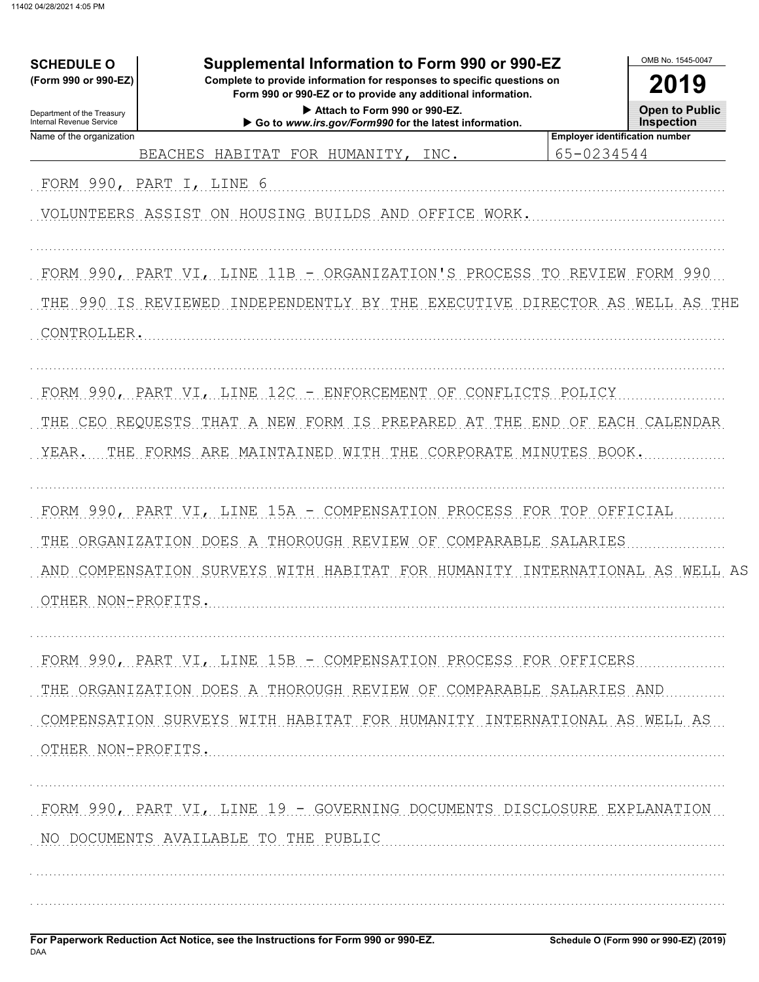| <b>SCHEDULE O</b>                                      | Supplemental Information to Form 990 or 990-EZ                                                                                         | OMB No. 1545-0047                                   |  |  |
|--------------------------------------------------------|----------------------------------------------------------------------------------------------------------------------------------------|-----------------------------------------------------|--|--|
| (Form 990 or 990-EZ)                                   | Complete to provide information for responses to specific questions on<br>Form 990 or 990-EZ or to provide any additional information. |                                                     |  |  |
| Department of the Treasury<br>Internal Revenue Service | Attach to Form 990 or 990-EZ.<br>Go to www.irs.gov/Form990 for the latest information.                                                 | <b>Open to Public</b><br>Inspection                 |  |  |
| Name of the organization                               | <b>BEACHES</b><br>HABITAT FOR HUMANITY,<br>INC.                                                                                        | <b>Employer identification number</b><br>65-0234544 |  |  |
| FORM 990, PART I, LINE 6                               |                                                                                                                                        |                                                     |  |  |
|                                                        | VOLUNTEERS ASSIST ON HOUSING BUILDS AND OFFICE WORK.                                                                                   |                                                     |  |  |
|                                                        | FORM 990, PART VI, LINE 11B - ORGANIZATION'S PROCESS TO REVIEW FORM 990                                                                |                                                     |  |  |
| THE 990 IS REVIEWED                                    | INDEPENDENTLY BY THE EXECUTIVE DIRECTOR AS WELL AS THE                                                                                 |                                                     |  |  |
| CONTROLLER.                                            |                                                                                                                                        |                                                     |  |  |
|                                                        | FORM 990, PART VI, LINE 12C - ENFORCEMENT OF CONFLICTS POLICY                                                                          |                                                     |  |  |
|                                                        | THE CEO REQUESTS THAT A NEW FORM IS PREPARED<br>AT THE                                                                                 | END OF EACH CALENDAR                                |  |  |
| YEAR.                                                  | THE FORMS ARE MAINTAINED WITH THE CORPORATE MINUTES BOOK.                                                                              |                                                     |  |  |
|                                                        | FORM 990, PART VI, LINE 15A - COMPENSATION PROCESS FOR TOP OFFICIAL                                                                    |                                                     |  |  |
| THE                                                    | ORGANIZATION DOES A THOROUGH REVIEW OF COMPARABLE SALARIES                                                                             |                                                     |  |  |
| AND<br>OTHER NON-PROFITS                               | COMPENSATION SURVEYS WITH HABITAT FOR HUMANITY INTERNATIONAL AS WELL AS                                                                |                                                     |  |  |
|                                                        | FORM 990, PART VI, LINE 15B - COMPENSATION PROCESS FOR OFFICERS                                                                        |                                                     |  |  |
|                                                        | THE ORGANIZATION DOES A THOROUGH REVIEW OF COMPARABLE SALARIES AND                                                                     |                                                     |  |  |
| OTHER NON-PROFITS.                                     | COMPENSATION SURVEYS WITH HABITAT FOR HUMANITY INTERNATIONAL AS WELL AS                                                                |                                                     |  |  |
|                                                        | FORM 990, PART VI, LINE 19 - GOVERNING DOCUMENTS DISCLOSURE EXPLANATION                                                                |                                                     |  |  |
|                                                        | NO DOCUMENTS AVAILABLE TO THE PUBLIC                                                                                                   |                                                     |  |  |
|                                                        |                                                                                                                                        |                                                     |  |  |
|                                                        |                                                                                                                                        |                                                     |  |  |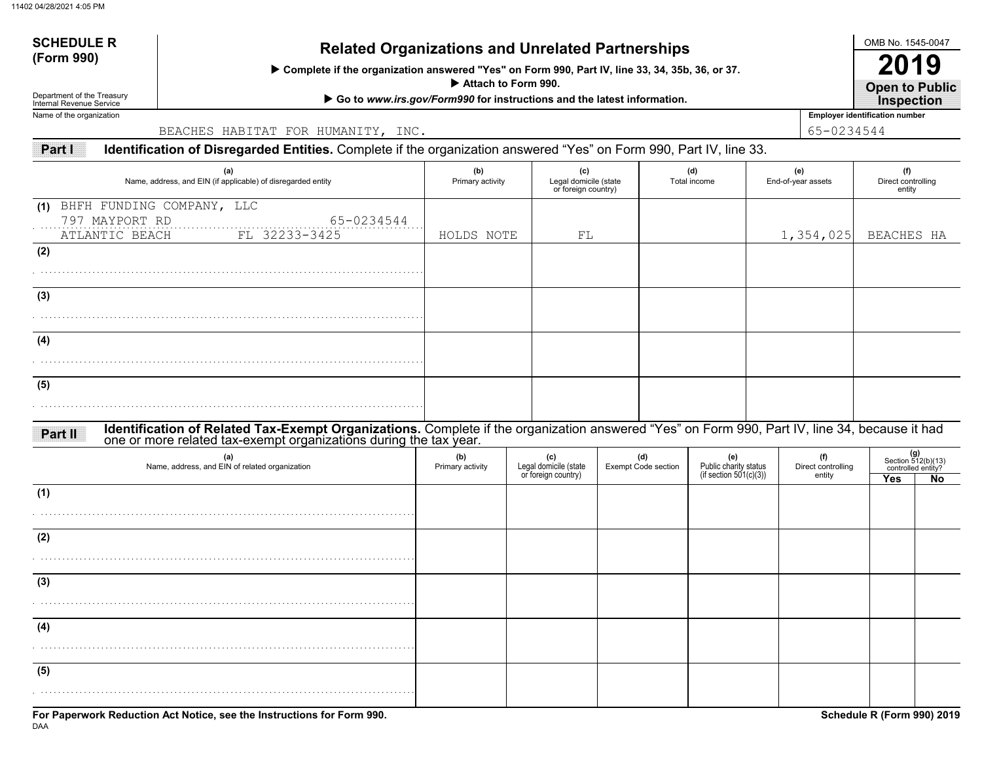# **SCHEDULE R**

# **(Form 990) Related Organizations and Unrelated Partnerships**

 **Complete if the organization answered "Yes" on Form 990, Part IV, line 33, 34, 35b, 36, or 37.**

 **Attach to Form 990.**

▶ Go to *www.irs.gov/Form990* for instructions and the latest information.

Department of the Treasury Internal Revenue Service Name of the organization

BEACHES HABITAT FOR HUMANITY, INC. 65-0234544

**Part I Identification of Disregarded Entities.** Complete if the organization answered "Yes" on Form 990, Part IV, line 33.

| (a)<br>Name, address, and EIN (if applicable) of disregarded entity                                                                                                                                                           | (b)<br>Primary activity |                                                     | (c)<br>Legal domicile (state<br>or foreign country) |                                   | (d)<br>Total income                                    | (e)<br>End-of-year assets           |           | (f)<br>Direct controlling<br>entity |                                                         |
|-------------------------------------------------------------------------------------------------------------------------------------------------------------------------------------------------------------------------------|-------------------------|-----------------------------------------------------|-----------------------------------------------------|-----------------------------------|--------------------------------------------------------|-------------------------------------|-----------|-------------------------------------|---------------------------------------------------------|
| (1) BHFH FUNDING COMPANY, LLC<br>797 MAYPORT RD<br>65-0234544<br>FL 32233-3425<br>ATLANTIC BEACH                                                                                                                              | HOLDS NOTE              |                                                     | FL                                                  |                                   |                                                        |                                     | 1,354,025 | BEACHES HA                          |                                                         |
| (2)                                                                                                                                                                                                                           |                         |                                                     |                                                     |                                   |                                                        |                                     |           |                                     |                                                         |
| (3)                                                                                                                                                                                                                           |                         |                                                     |                                                     |                                   |                                                        |                                     |           |                                     |                                                         |
| (4)                                                                                                                                                                                                                           |                         |                                                     |                                                     |                                   |                                                        |                                     |           |                                     |                                                         |
| (5)                                                                                                                                                                                                                           |                         |                                                     |                                                     |                                   |                                                        |                                     |           |                                     |                                                         |
| Identification of Related Tax-Exempt Organizations. Complete if the organization answered "Yes" on Form 990, Part IV, line 34, because it had<br>one or more related tax-exempt organizations during the tax year.<br>Part II |                         |                                                     |                                                     |                                   |                                                        |                                     |           |                                     |                                                         |
| (a)<br>Name, address, and EIN of related organization                                                                                                                                                                         | (b)<br>Primary activity | (c)<br>Legal domicile (state<br>or foreign country) |                                                     | (d)<br><b>Exempt Code section</b> | (e)<br>Public charity status<br>(if section 501(c)(3)) | (f)<br>Direct controlling<br>entity |           | <b>Yes</b>                          | $(g)$<br>Section 512(b)(13)<br>controlled entity?<br>No |
| (1)                                                                                                                                                                                                                           |                         |                                                     |                                                     |                                   |                                                        |                                     |           |                                     |                                                         |
| (2)                                                                                                                                                                                                                           |                         |                                                     |                                                     |                                   |                                                        |                                     |           |                                     |                                                         |
| (3)                                                                                                                                                                                                                           |                         |                                                     |                                                     |                                   |                                                        |                                     |           |                                     |                                                         |
| (4)                                                                                                                                                                                                                           |                         |                                                     |                                                     |                                   |                                                        |                                     |           |                                     |                                                         |
| (5)                                                                                                                                                                                                                           |                         |                                                     |                                                     |                                   |                                                        |                                     |           |                                     |                                                         |
|                                                                                                                                                                                                                               |                         |                                                     |                                                     |                                   |                                                        |                                     |           |                                     |                                                         |

OMB No. 1545-0047

**Open to Public 2019**

**Employer identification number Inspection**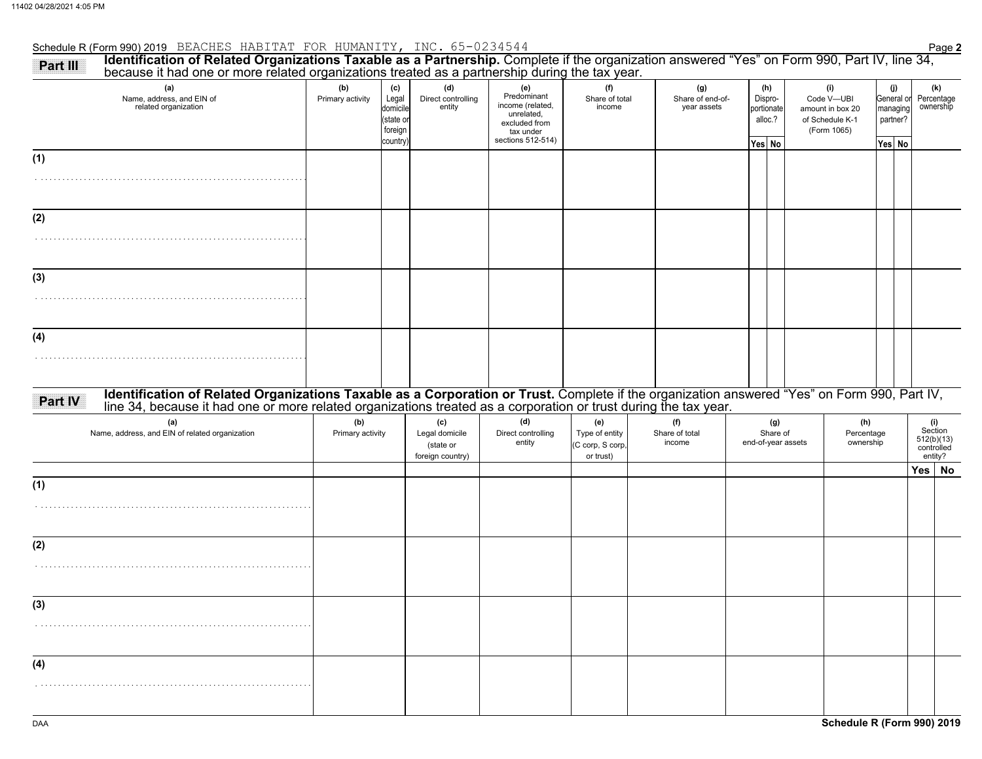# Schedule R (Form 990) 2019 Page **2** BEACHES HABITAT FOR HUMANITY, INC. 65-0234544

| Identification of Related Organizations Taxable as a Partnership. Complete if the organization answered "Yes" on Form 990, Part IV, line 34,<br>Part III<br>because it had one or more related organizations treated as a partnership during the tax year. |                         |                                                              |                                                        |                                                                                                         |                                                        |                                 |                                        |                    |                                                   |  |                                                                         |  |                                                     |                                                       |
|------------------------------------------------------------------------------------------------------------------------------------------------------------------------------------------------------------------------------------------------------------|-------------------------|--------------------------------------------------------------|--------------------------------------------------------|---------------------------------------------------------------------------------------------------------|--------------------------------------------------------|---------------------------------|----------------------------------------|--------------------|---------------------------------------------------|--|-------------------------------------------------------------------------|--|-----------------------------------------------------|-------------------------------------------------------|
| (a)<br>Name, address, and EIN of<br>related organization                                                                                                                                                                                                   | (b)<br>Primary activity | (c)<br>Legal<br>domicile<br>(state or<br>foreign<br>country) | (d)<br>Direct controlling<br>entity                    | (e)<br>Predominant<br>income (related,<br>unrelated,<br>excluded from<br>tax under<br>sections 512-514) | (f)<br>Share of total<br>income                        |                                 | (g)<br>Share of end-of-<br>year assets |                    | (h)<br>Dispro-<br>portionate<br>alloc.?<br>Yes No |  | (i)<br>Code V-UBI<br>amount in box 20<br>of Schedule K-1<br>(Form 1065) |  | (j)<br>General or<br>managing<br>partner?<br>Yes No | (k)<br>Percentage<br>ownership                        |
| (1)                                                                                                                                                                                                                                                        |                         |                                                              |                                                        |                                                                                                         |                                                        |                                 |                                        |                    |                                                   |  |                                                                         |  |                                                     |                                                       |
| (2)                                                                                                                                                                                                                                                        |                         |                                                              |                                                        |                                                                                                         |                                                        |                                 |                                        |                    |                                                   |  |                                                                         |  |                                                     |                                                       |
| (3)                                                                                                                                                                                                                                                        |                         |                                                              |                                                        |                                                                                                         |                                                        |                                 |                                        |                    |                                                   |  |                                                                         |  |                                                     |                                                       |
| (4)                                                                                                                                                                                                                                                        |                         |                                                              |                                                        |                                                                                                         |                                                        |                                 |                                        |                    |                                                   |  |                                                                         |  |                                                     |                                                       |
| Identification of Related Organizations Taxable as a Corporation or Trust. Complete if the organization answered "Yes" on Form 990, Part IV, line 34, because it had one or more related organizations treated as a corporatio<br>Part IV                  |                         |                                                              |                                                        |                                                                                                         |                                                        |                                 |                                        |                    |                                                   |  |                                                                         |  |                                                     |                                                       |
| (a)<br>Name, address, and EIN of related organization                                                                                                                                                                                                      | (b)<br>Primary activity |                                                              | (c)<br>Legal domicile<br>(state or<br>foreign country) | (d)<br>Direct controlling<br>entity                                                                     | (e)<br>Type of entity<br>(C corp, S corp,<br>or trust) | (f)<br>Share of total<br>income |                                        | end-of-year assets | (g)<br>Share of                                   |  | (h)<br>Percentage<br>ownership                                          |  |                                                     | (i)<br>Section<br>512(b)(13)<br>controlled<br>entity? |
| (1)                                                                                                                                                                                                                                                        |                         |                                                              |                                                        |                                                                                                         |                                                        |                                 |                                        |                    |                                                   |  |                                                                         |  | Yes                                                 | <b>No</b>                                             |
| (2)                                                                                                                                                                                                                                                        |                         |                                                              |                                                        |                                                                                                         |                                                        |                                 |                                        |                    |                                                   |  |                                                                         |  |                                                     |                                                       |
|                                                                                                                                                                                                                                                            |                         |                                                              |                                                        |                                                                                                         |                                                        |                                 |                                        |                    |                                                   |  |                                                                         |  |                                                     |                                                       |
| (3)                                                                                                                                                                                                                                                        |                         |                                                              |                                                        |                                                                                                         |                                                        |                                 |                                        |                    |                                                   |  |                                                                         |  |                                                     |                                                       |
| (4)                                                                                                                                                                                                                                                        |                         |                                                              |                                                        |                                                                                                         |                                                        |                                 |                                        |                    |                                                   |  |                                                                         |  |                                                     |                                                       |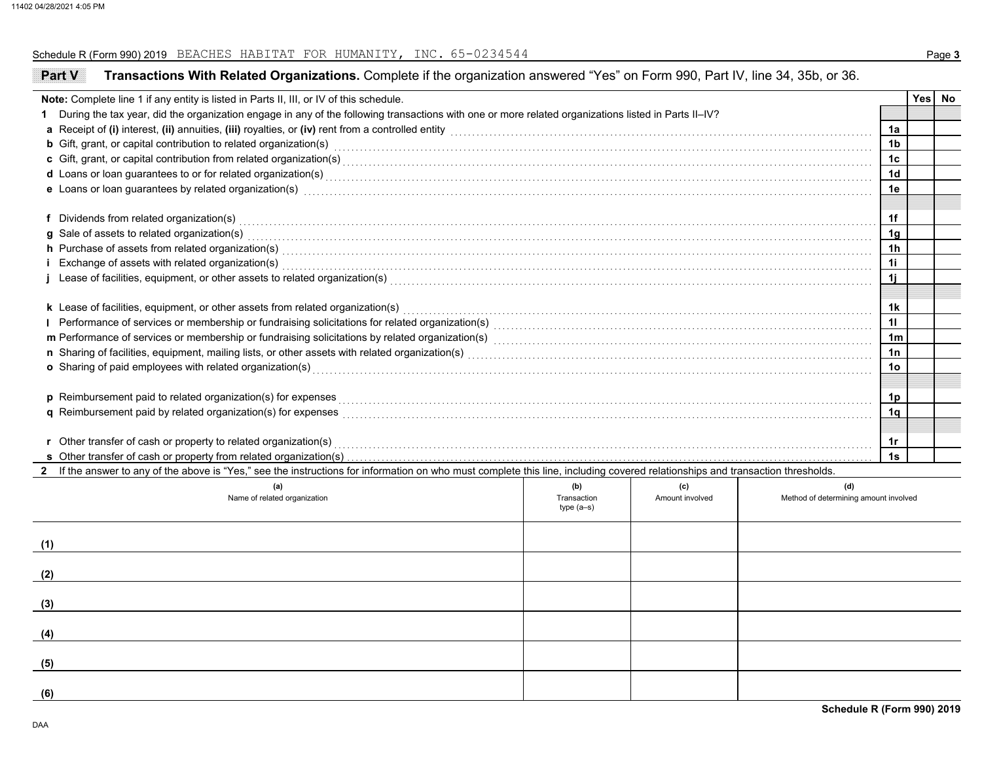### Schedule R (Form 990) 2019 BEACHES HABITAT FOR HUMANITY, INC. 65-0234544 **Page 3**

| <b>Part V</b> | Transactions With Related Organizations. Complete if the organization answered "Yes" on Form 990, Part IV, line 34, 35b, or 36.                                                                                                     |             |                 |                                       |                 |        |
|---------------|-------------------------------------------------------------------------------------------------------------------------------------------------------------------------------------------------------------------------------------|-------------|-----------------|---------------------------------------|-----------------|--------|
|               | Note: Complete line 1 if any entity is listed in Parts II, III, or IV of this schedule.                                                                                                                                             |             |                 |                                       |                 | Yes No |
|               | During the tax year, did the organization engage in any of the following transactions with one or more related organizations listed in Parts II-IV?                                                                                 |             |                 |                                       |                 |        |
|               | a Receipt of (i) interest, (ii) annuities, (iii) royalties, or (iv) rent from a controlled entity [1] controlled entity and controlled entity and controlled entity and controlled entity and contained a Receipt of (i) inter      |             |                 |                                       | 1a              |        |
|               | <b>b</b> Gift, grant, or capital contribution to related organization(s) encourse consumed and consumed contribution to related organization(s)                                                                                     |             |                 |                                       | 1b              |        |
|               | c Gift, grant, or capital contribution from related organization(s) encourse the content of content of content of the contribution from related organization(s) encourse the content of content of content of content of conte      |             |                 |                                       | 1c              |        |
|               | d Loans or loan guarantees to or for related organization(s) encourance contains an account of the container and container and container and container and container and container and container and container and container a      |             |                 |                                       | 1d              |        |
|               | e Loans or loan guarantees by related organization(s) with the control of the control of the control of the control of the control of the control of the control of the control of the control of the control of the control o      |             |                 |                                       | 1e              |        |
|               |                                                                                                                                                                                                                                     |             |                 |                                       | 1f              |        |
|               | f Dividends from related organization(s) with contact the control of the control of the control of the control or contact the control or contact the control or contact the control of the control of the control of the contr      |             |                 |                                       | 1 <sub>q</sub>  |        |
|               | g Sale of assets to related organization(s) with an example and contact the set of sale of assets to related organization(s)                                                                                                        |             |                 |                                       | 1 <sub>h</sub>  |        |
|               | h Purchase of assets from related organization(s) with an example and contained a set of a set of assets from related organization(s) with a set of a set of a set of a set of a set of a set of a set of a set of a set of a       |             |                 |                                       | 11              |        |
|               | Exchange of assets with related organization(s) with a substitution of the control of the set of an above and the control of assets with related organization(s) with the set of the control of the control of the control of       |             |                 |                                       |                 |        |
|               |                                                                                                                                                                                                                                     |             |                 |                                       | 1j              |        |
|               | k Lease of facilities, equipment, or other assets from related organization(s) Materian material content content to the content of facilities, equipment, or other assets from related organization(s) Materian material conte      |             |                 |                                       | 1k              |        |
|               | Performance of services or membership or fundraising solicitations for related organization(s) [11] processors content to the service or membership or fundraising solicitations for related organization(s) [11] processors c      |             |                 |                                       | 11              |        |
|               |                                                                                                                                                                                                                                     |             |                 |                                       | 1 <sub>m</sub>  |        |
|               |                                                                                                                                                                                                                                     |             |                 |                                       | 1n              |        |
|               | o Sharing of paid employees with related organization(s) encounteral control and contained a state of paid employees with related organization(s) encounteral contact the state of Sharing of paid employees with related orga      |             |                 |                                       | 10 <sup>°</sup> |        |
|               |                                                                                                                                                                                                                                     |             |                 |                                       |                 |        |
|               | p Reimbursement paid to related organization(s) for expenses <b>construction construction</b> construction construction construction construction construction construction construction construction construction construction con |             |                 |                                       | 1 <sub>p</sub>  |        |
|               | q Reimbursement paid by related organization(s) for expenses [11, 11, 12] All the content content of the content of the content of the content of the content of the content of the content of the content of the content of t      |             |                 |                                       | 1q              |        |
|               |                                                                                                                                                                                                                                     |             |                 |                                       |                 |        |
|               | r Other transfer of cash or property to related organization(s)                                                                                                                                                                     |             |                 |                                       | 1r              |        |
|               | s Other transfer of cash or property from related organization(s)                                                                                                                                                                   |             |                 |                                       | 1s              |        |
|               | If the answer to any of the above is "Yes," see the instructions for information on who must complete this line, including covered relationships and transaction thresholds.                                                        |             |                 |                                       |                 |        |
|               | (a)                                                                                                                                                                                                                                 | (b)         | (c)             | (d)                                   |                 |        |
|               | Name of related organization                                                                                                                                                                                                        | Transaction | Amount involved | Method of determining amount involved |                 |        |
|               |                                                                                                                                                                                                                                     | $type(a-s)$ |                 |                                       |                 |        |
|               |                                                                                                                                                                                                                                     |             |                 |                                       |                 |        |
| (1)           |                                                                                                                                                                                                                                     |             |                 |                                       |                 |        |
| (2)           |                                                                                                                                                                                                                                     |             |                 |                                       |                 |        |
|               |                                                                                                                                                                                                                                     |             |                 |                                       |                 |        |
| (3)           |                                                                                                                                                                                                                                     |             |                 |                                       |                 |        |
| (4)           |                                                                                                                                                                                                                                     |             |                 |                                       |                 |        |
|               |                                                                                                                                                                                                                                     |             |                 |                                       |                 |        |
| (5)           |                                                                                                                                                                                                                                     |             |                 |                                       |                 |        |
| (6)           |                                                                                                                                                                                                                                     |             |                 |                                       |                 |        |
|               |                                                                                                                                                                                                                                     |             |                 |                                       |                 |        |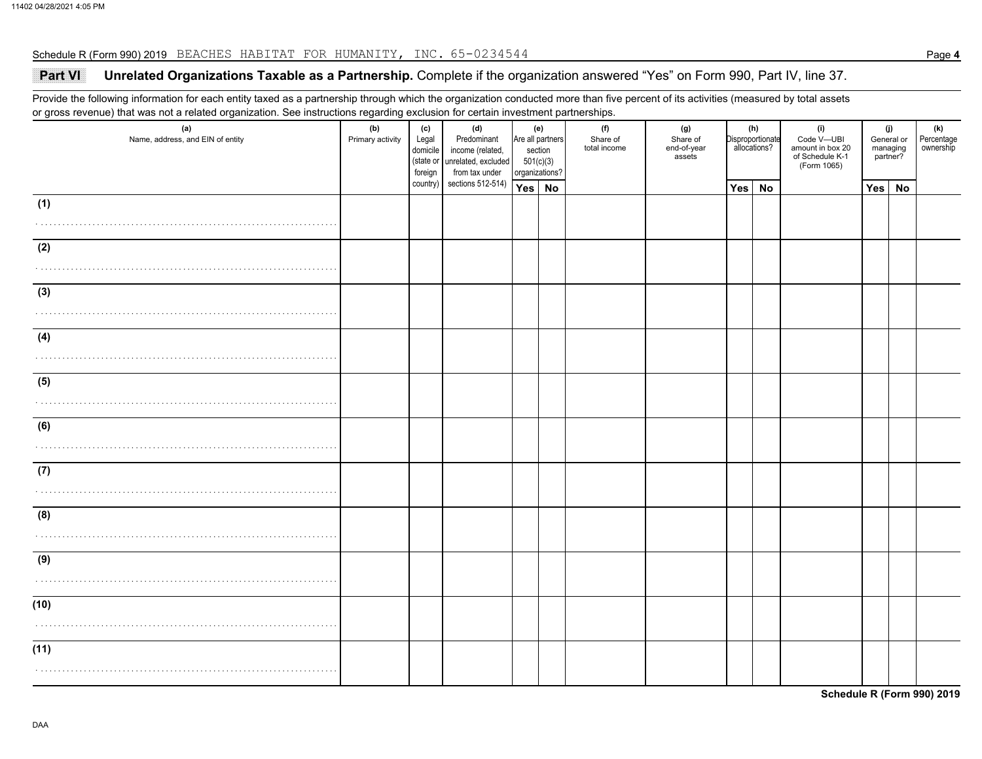### Schedule R (Form 990) 2019 BEACHES HABITAT FOR HUMANITY, INC. 65-0234544

## **Part VI Unrelated Organizations Taxable as a Partnership.** Complete if the organization answered "Yes" on Form 990, Part IV, line 37.

Provide the following information for each entity taxed as a partnership through which the organization conducted more than five percent of its activities (measured by total assets or gross revenue) that was not a related organization. See instructions regarding exclusion for certain investment partnerships.

| (a)<br>Name, address, and EIN of entity | (b)<br>(c)<br>(d)<br>Predominant<br>Primary activity<br>Legal<br>domicile<br>income (related,<br>(state or unrelated, excluded<br>foreign<br>from tax under |          | (f)<br>(e)<br>Are all partners<br>Share of<br>total income<br>section<br>501(c)(3)<br>organizations? |        | (g)<br>Share of<br>end-of-year<br>assets |  | (h)<br>Disproportionate<br>allocations? | (i)<br>Code V-UBI<br>amount in box 20<br>of Schedule K-1<br>(Form 1065) | (j)<br>General or<br>managing<br>partner? |  | (k)<br>Percentage<br>ownership |           |  |
|-----------------------------------------|-------------------------------------------------------------------------------------------------------------------------------------------------------------|----------|------------------------------------------------------------------------------------------------------|--------|------------------------------------------|--|-----------------------------------------|-------------------------------------------------------------------------|-------------------------------------------|--|--------------------------------|-----------|--|
|                                         |                                                                                                                                                             | country) | sections 512-514)                                                                                    | Yes No |                                          |  |                                         | Yes                                                                     | <b>No</b>                                 |  | <b>Yes</b>                     | <b>No</b> |  |
| (1)                                     |                                                                                                                                                             |          |                                                                                                      |        |                                          |  |                                         |                                                                         |                                           |  |                                |           |  |
|                                         |                                                                                                                                                             |          |                                                                                                      |        |                                          |  |                                         |                                                                         |                                           |  |                                |           |  |
| (2)                                     |                                                                                                                                                             |          |                                                                                                      |        |                                          |  |                                         |                                                                         |                                           |  |                                |           |  |
|                                         |                                                                                                                                                             |          |                                                                                                      |        |                                          |  |                                         |                                                                         |                                           |  |                                |           |  |
| (3)                                     |                                                                                                                                                             |          |                                                                                                      |        |                                          |  |                                         |                                                                         |                                           |  |                                |           |  |
|                                         |                                                                                                                                                             |          |                                                                                                      |        |                                          |  |                                         |                                                                         |                                           |  |                                |           |  |
| (4)                                     |                                                                                                                                                             |          |                                                                                                      |        |                                          |  |                                         |                                                                         |                                           |  |                                |           |  |
|                                         |                                                                                                                                                             |          |                                                                                                      |        |                                          |  |                                         |                                                                         |                                           |  |                                |           |  |
| (5)                                     |                                                                                                                                                             |          |                                                                                                      |        |                                          |  |                                         |                                                                         |                                           |  |                                |           |  |
|                                         |                                                                                                                                                             |          |                                                                                                      |        |                                          |  |                                         |                                                                         |                                           |  |                                |           |  |
| (6)                                     |                                                                                                                                                             |          |                                                                                                      |        |                                          |  |                                         |                                                                         |                                           |  |                                |           |  |
|                                         |                                                                                                                                                             |          |                                                                                                      |        |                                          |  |                                         |                                                                         |                                           |  |                                |           |  |
| (7)                                     |                                                                                                                                                             |          |                                                                                                      |        |                                          |  |                                         |                                                                         |                                           |  |                                |           |  |
|                                         |                                                                                                                                                             |          |                                                                                                      |        |                                          |  |                                         |                                                                         |                                           |  |                                |           |  |
| (8)                                     |                                                                                                                                                             |          |                                                                                                      |        |                                          |  |                                         |                                                                         |                                           |  |                                |           |  |
|                                         |                                                                                                                                                             |          |                                                                                                      |        |                                          |  |                                         |                                                                         |                                           |  |                                |           |  |
| (9)                                     |                                                                                                                                                             |          |                                                                                                      |        |                                          |  |                                         |                                                                         |                                           |  |                                |           |  |
|                                         |                                                                                                                                                             |          |                                                                                                      |        |                                          |  |                                         |                                                                         |                                           |  |                                |           |  |
| (10)                                    |                                                                                                                                                             |          |                                                                                                      |        |                                          |  |                                         |                                                                         |                                           |  |                                |           |  |
|                                         |                                                                                                                                                             |          |                                                                                                      |        |                                          |  |                                         |                                                                         |                                           |  |                                |           |  |
| (11)                                    |                                                                                                                                                             |          |                                                                                                      |        |                                          |  |                                         |                                                                         |                                           |  |                                |           |  |
|                                         |                                                                                                                                                             |          |                                                                                                      |        |                                          |  |                                         |                                                                         |                                           |  |                                |           |  |
|                                         |                                                                                                                                                             |          |                                                                                                      |        |                                          |  |                                         |                                                                         |                                           |  |                                |           |  |

**Schedule R (Form 990) 2019**